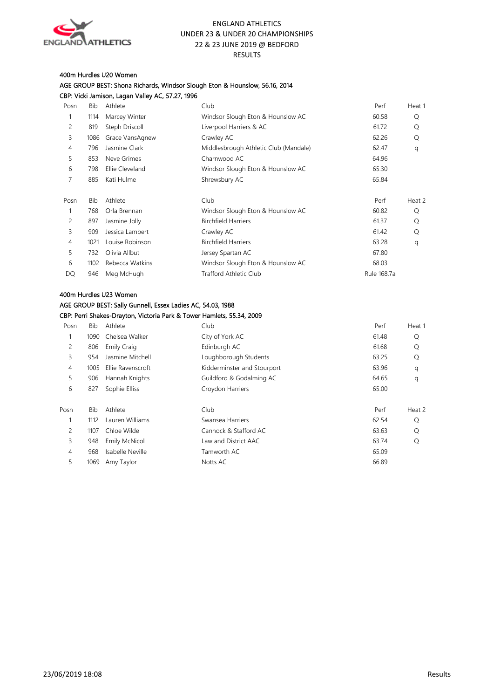

#### 400m Hurdles U20 Women

AGE GROUP BEST: Shona Richards, Windsor Slough Eton & Hounslow, 56.16, 2014 CBP: Vicki Jamison, Lagan Valley AC, 57.27, 1996

| Posn | Bib  | Athlete         | Club                                  | Perf        | Heat 1 |
|------|------|-----------------|---------------------------------------|-------------|--------|
|      | 1114 | Marcey Winter   | Windsor Slough Eton & Hounslow AC     | 60.58       | Q      |
| 2    | 819  | Steph Driscoll  | Liverpool Harriers & AC               | 61.72       | Q      |
| 3    | 1086 | Grace VansAgnew | Crawley AC                            | 62.26       | Q      |
| 4    | 796  | Jasmine Clark   | Middlesbrough Athletic Club (Mandale) | 62.47       | q      |
| 5    | 853  | Neve Grimes     | Charnwood AC                          | 64.96       |        |
| 6    | 798  | Ellie Cleveland | Windsor Slough Eton & Hounslow AC     | 65.30       |        |
| 7    | 885  | Kati Hulme      | Shrewsbury AC                         | 65.84       |        |
|      |      |                 |                                       |             |        |
| Posn | Bib  | Athlete         | Club                                  | Perf        | Heat 2 |
|      | 768  | Orla Brennan    | Windsor Slough Eton & Hounslow AC     | 60.82       | Q      |
| 2    | 897  | Jasmine Jolly   | <b>Birchfield Harriers</b>            | 61.37       | Q      |
| 3    | 909  | Jessica Lambert | Crawley AC                            | 61.42       | Q      |
| 4    | 1021 | Louise Robinson | <b>Birchfield Harriers</b>            | 63.28       | q      |
| 5    | 732  | Olivia Allbut   | Jersey Spartan AC                     | 67.80       |        |
| 6    | 1102 | Rebecca Watkins | Windsor Slough Eton & Hounslow AC     | 68.03       |        |
| DQ   | 946  | Meg McHugh      | Trafford Athletic Club                | Rule 168.7a |        |
|      |      |                 |                                       |             |        |

## 400m Hurdles U23 Women AGE GROUP BEST: Sally Gunnell, Essex Ladies AC, 54.03, 1988 CBP: Perri Shakes-Drayton, Victoria Park & Tower Hamlets, 55.34, 2009

| Posn           | Bib  | Athlete            | Club                        | Perf  | Heat 1 |
|----------------|------|--------------------|-----------------------------|-------|--------|
|                | 1090 | Chelsea Walker     | City of York AC             | 61.48 | Q      |
| 2              | 806  | <b>Emily Craig</b> | Edinburgh AC                | 61.68 | Q      |
| 3              | 954  | Jasmine Mitchell   | Loughborough Students       | 63.25 | Q      |
| 4              | 1005 | Ellie Ravenscroft  | Kidderminster and Stourport | 63.96 | q      |
| 5              | 906  | Hannah Knights     | Guildford & Godalming AC    | 64.65 | q      |
| 6              | 827  | Sophie Elliss      | Croydon Harriers            | 65.00 |        |
|                |      |                    |                             |       |        |
| Posn           | Bib  | Athlete            | Club                        | Perf  | Heat 2 |
| 1              | 1112 | Lauren Williams    | Swansea Harriers            | 62.54 | Q      |
| $\overline{c}$ | 1107 | Chloe Wilde        | Cannock & Stafford AC       | 63.63 | Q      |
| 3              | 948  | Emily McNicol      | Law and District AAC        | 63.74 | Q      |
| 4              | 968  | Isabelle Neville   | Tamworth AC                 | 65.09 |        |
| 5              | 1069 | Amy Taylor         | Notts AC                    | 66.89 |        |
|                |      |                    |                             |       |        |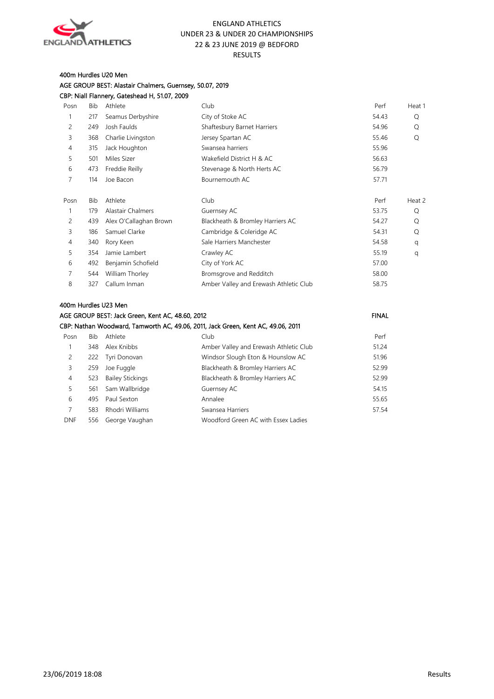

#### 400m Hurdles U20 Men AGE GROUP BEST: Alastair Chalmers, Guernsey, 50.07, 2019 CBP: Niall Flannery, Gateshead H, 51.07, 2009

| Posn           | <b>Bib</b> | Athlete                                          | Club                                                                             | Perf         | Heat 1 |
|----------------|------------|--------------------------------------------------|----------------------------------------------------------------------------------|--------------|--------|
| 1              | 217        | Seamus Derbyshire                                | City of Stoke AC                                                                 | 54.43        | Q      |
| $\overline{c}$ | 249        | Josh Faulds                                      | Shaftesbury Barnet Harriers                                                      | 54.96        | Q      |
| 3              | 368        | Charlie Livingston                               | Jersey Spartan AC                                                                | 55.46        | O      |
| $\overline{4}$ | 315        | Jack Houghton                                    | Swansea harriers                                                                 | 55.96        |        |
| 5              | 501        | Miles Sizer                                      | Wakefield District H & AC                                                        | 56.63        |        |
| 6              | 473        | Freddie Reilly                                   | Stevenage & North Herts AC                                                       | 56.79        |        |
| $\overline{7}$ | 114        | Joe Bacon                                        | Bournemouth AC                                                                   | 57.71        |        |
| Posn           | <b>Bib</b> | Athlete                                          | Club                                                                             | Perf         | Heat 2 |
| 1              | 179        | Alastair Chalmers                                | Guernsey AC                                                                      | 53.75        | Q      |
| $\overline{c}$ | 439        | Alex O'Callaghan Brown                           | Blackheath & Bromley Harriers AC                                                 | 54.27        | Q      |
| 3              | 186        | Samuel Clarke                                    | Cambridge & Coleridge AC                                                         | 54.31        | Q      |
| $\overline{4}$ | 340        | Rory Keen                                        | Sale Harriers Manchester                                                         | 54.58        | q      |
| 5              | 354        | Jamie Lambert                                    | Crawley AC                                                                       | 55.19        | q      |
| 6              | 492        | Benjamin Schofield                               | City of York AC                                                                  | 57.00        |        |
| $\overline{7}$ | 544        | William Thorley                                  | Bromsgrove and Redditch                                                          | 58.00        |        |
| 8              | 327        | Callum Inman                                     | Amber Valley and Erewash Athletic Club                                           | 58.75        |        |
|                |            | 400m Hurdles U23 Men                             |                                                                                  |              |        |
|                |            | AGE GROUP BEST: Jack Green, Kent AC, 48.60, 2012 |                                                                                  | <b>FINAL</b> |        |
|                |            |                                                  | CBP: Nathan Woodward, Tamworth AC, 49.06, 2011, Jack Green, Kent AC, 49.06, 2011 |              |        |
| Posn           | <b>Bib</b> | Athlete                                          | Club                                                                             | Perf         |        |
| $\mathbf{1}$   | 348        | Alex Knibbs                                      | Amber Valley and Erewash Athletic Club                                           | 51.24        |        |
| 2              | 222        | Tyri Donovan                                     | Windsor Slough Eton & Hounslow AC                                                | 51.96        |        |
| 3              | 259        | Joe Fuggle                                       | Blackheath & Bromley Harriers AC                                                 | 52.99        |        |
| $\overline{4}$ | 523        | <b>Bailey Stickings</b>                          | Blackheath & Bromley Harriers AC                                                 | 52.99        |        |
| 5              | 561        | Sam Wallbridge                                   | Guernsey AC                                                                      | 54.15        |        |
| 6              | 495        | Paul Sexton                                      | Annalee                                                                          | 55.65        |        |
| 7              | 583        | Rhodri Williams                                  | Swansea Harriers                                                                 | 57.54        |        |
| <b>DNF</b>     | 556        | George Vaughan                                   | Woodford Green AC with Essex Ladies                                              |              |        |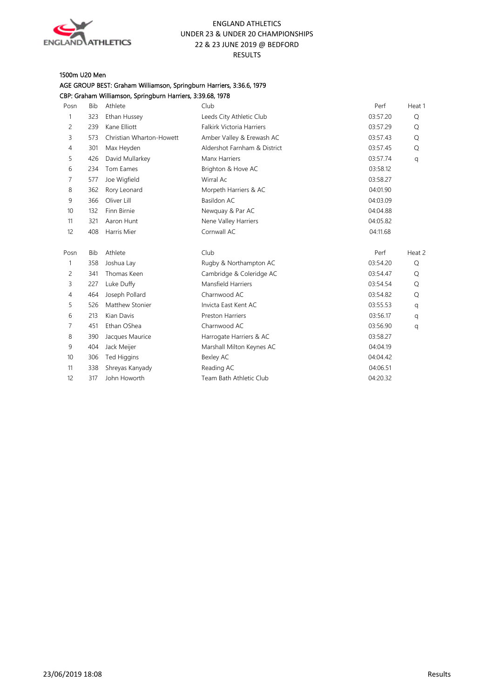

#### 1500m U20 Men

## AGE GROUP BEST: Graham Williamson, Springburn Harriers, 3:36.6, 1979 CBP: Graham Williamson, Springburn Harriers, 3:39.68, 1978

| Posn | <b>Bib</b> | Athlete                  | Club                             | Perf     | Heat 1 |
|------|------------|--------------------------|----------------------------------|----------|--------|
| 1    | 323        | Ethan Hussey             | Leeds City Athletic Club         | 03:57.20 | Q      |
| 2    | 239        | Kane Elliott             | <b>Falkirk Victoria Harriers</b> | 03:57.29 | Q      |
| 3    | 573        | Christian Wharton-Howett | Amber Valley & Erewash AC        | 03:57.43 | Q      |
| 4    | 301        | Max Heyden               | Aldershot Farnham & District     | 03:57.45 | Q      |
| 5    | 426        | David Mullarkey          | Manx Harriers                    | 03:57.74 | q      |
| 6    | 234        | Tom Eames                | Brighton & Hove AC               | 03:58.12 |        |
| 7    | 577        | Joe Wigfield             | Wirral Ac                        | 03:58.27 |        |
| 8    | 362        | Rory Leonard             | Morpeth Harriers & AC            | 04:01.90 |        |
| 9    | 366        | Oliver Lill              | Basildon AC                      | 04:03.09 |        |
| 10   | 132        | Finn Birnie              | Newquay & Par AC                 | 04:04.88 |        |
| 11   | 321        | Aaron Hunt               | Nene Valley Harriers             | 04:05.82 |        |
| 12   | 408        | Harris Mier              | Cornwall AC                      | 04:11.68 |        |
| Posn | <b>Bib</b> | Athlete                  | Club                             | Perf     | Heat 2 |
| 1    | 358        | Joshua Lay               | Rugby & Northampton AC           | 03:54.20 | Q      |
| 2    | 341        | Thomas Keen              | Cambridge & Coleridge AC         | 03:54.47 | Q      |
| 3    | 227        | Luke Duffy               | <b>Mansfield Harriers</b>        | 03:54.54 | Q      |
| 4    | 464        | Joseph Pollard           | Charnwood AC                     | 03:54.82 | Q      |
| 5    | 526        | Matthew Stonier          | Invicta East Kent AC             | 03:55.53 | q      |
| 6    | 213        | Kian Davis               | <b>Preston Harriers</b>          | 03:56.17 | q      |
| 7    | 451        | Ethan OShea              | Charnwood AC                     | 03:56.90 | q      |
| 8    | 390        | Jacques Maurice          | Harrogate Harriers & AC          | 03:58.27 |        |
| 9    | 404        | Jack Meijer              | Marshall Milton Keynes AC        | 04:04.19 |        |
| 10   | 306        | <b>Ted Higgins</b>       | Bexley AC                        | 04:04.42 |        |
| 11   | 338        | Shreyas Kanyady          | Reading AC                       | 04:06.51 |        |
| 12   | 317        | John Howorth             | Team Bath Athletic Club          | 04:20.32 |        |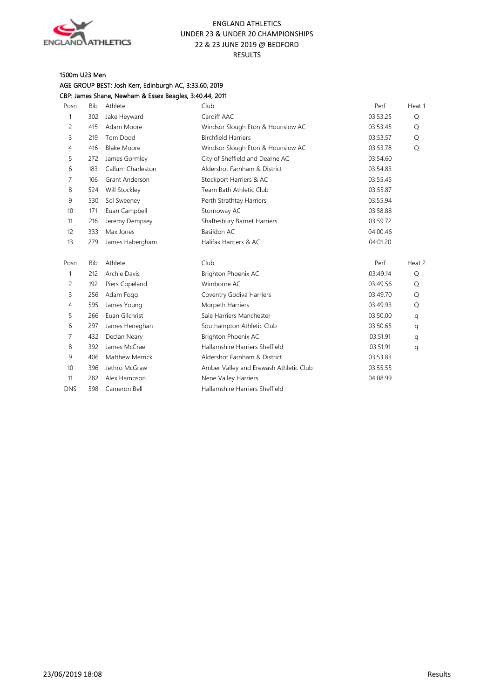

## 1500m U23 Men

AGE GROUP BEST: Josh Kerr, Edinburgh AC, 3:33.60, 2019 CBP: James Shane, Newham & Essex Beagles, 3:40.44, 2011

| Posn           | <b>Bib</b> | Athlete                | Club                                   | Perf     | Heat 1 |
|----------------|------------|------------------------|----------------------------------------|----------|--------|
| $\mathbf{1}$   | 302        | Jake Heyward           | Cardiff AAC                            | 03:53.25 | Q      |
| 2              | 415        | Adam Moore             | Windsor Slough Eton & Hounslow AC      | 03:53.45 | Q      |
| 3              | 219        | Tom Dodd               | <b>Birchfield Harriers</b>             | 03:53.57 | Q      |
| $\overline{4}$ | 416        | <b>Blake Moore</b>     | Windsor Slough Eton & Hounslow AC      | 03:53.78 | Q      |
| 5              | 272        | James Gormley          | City of Sheffield and Dearne AC        | 03:54.60 |        |
| 6              | 183        | Callum Charleston      | Aldershot Farnham & District           | 03:54.83 |        |
| 7              | 106        | Grant Anderson         | Stockport Harriers & AC                | 03:55.45 |        |
| 8              | 524        | Will Stockley          | Team Bath Athletic Club                | 03:55.87 |        |
| 9              | 530        | Sol Sweeney            | Perth Strathtay Harriers               | 03:55.94 |        |
| 10             | 171        | Euan Campbell          | Stornoway AC                           | 03:58.88 |        |
| 11             | 216        | Jeremy Dempsey         | Shaftesbury Barnet Harriers            | 03:59.72 |        |
| 12             | 333        | Max Jones              | Basildon AC                            | 04:00.46 |        |
| 13             | 279        | James Habergham        | Halifax Harriers & AC                  | 04:01.20 |        |
| Posn           | <b>Bib</b> | Athlete                | Club                                   | Perf     | Heat 2 |
| 1              | 212        | Archie Davis           | Brighton Phoenix AC                    | 03:49.14 | Q      |
| 2              | 192        | Piers Copeland         | Wimborne AC                            | 03:49.56 | Q      |
| 3              | 256        | Adam Fogg              | Coventry Godiva Harriers               | 03:49.70 | Q      |
| $\overline{4}$ | 595        | James Young            | Morpeth Harriers                       | 03:49.93 | Q      |
| 5              | 266        | Euan Gilchrist         | Sale Harriers Manchester               | 03:50.00 | q      |
| 6              | 297        | James Heneghan         | Southampton Athletic Club              | 03:50.65 | q      |
| 7              | 432        | Declan Neary           | Brighton Phoenix AC                    | 03:51.91 | q      |
| 8              | 392        | James McCrae           | Hallamshire Harriers Sheffield         | 03:51.91 | q      |
| 9              | 406        | <b>Matthew Merrick</b> | Aldershot Farnham & District           | 03:53.83 |        |
| 10             | 396        | Jethro McGraw          | Amber Valley and Erewash Athletic Club | 03:55.55 |        |
| 11             | 282        | Alex Hampson           | Nene Valley Harriers                   | 04:08.99 |        |
| <b>DNS</b>     | 598        | Cameron Bell           | Hallamshire Harriers Sheffield         |          |        |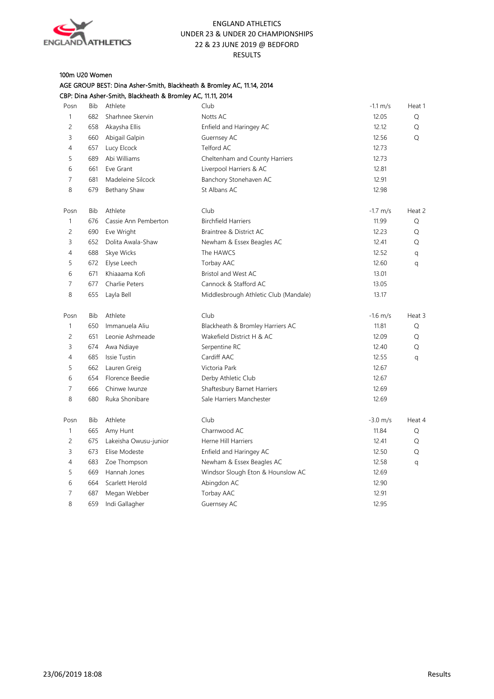

## 100m U20 Women

|                |     | CBP: Dina Asher-Smith, Blackheath & Bromley AC, 11.11, 2014 |                                       |                    |        |
|----------------|-----|-------------------------------------------------------------|---------------------------------------|--------------------|--------|
| Posn           | Bib | Athlete                                                     | Club                                  | $-1.1 \text{ m/s}$ | Heat 1 |
| $\mathbf{1}$   | 682 | Sharhnee Skervin                                            | Notts AC                              | 12.05              | Q      |
| $\overline{c}$ | 658 | Akaysha Ellis                                               | Enfield and Haringey AC               | 12.12              | Q      |
| 3              | 660 | Abigail Galpin                                              | Guernsey AC                           | 12.56              | Q      |
| $\overline{4}$ | 657 | Lucy Elcock                                                 | Telford AC                            | 12.73              |        |
| 5              | 689 | Abi Williams                                                | Cheltenham and County Harriers        | 12.73              |        |
| 6              | 661 | Eve Grant                                                   | Liverpool Harriers & AC               | 12.81              |        |
| $\overline{7}$ | 681 | Madeleine Silcock                                           | Banchory Stonehaven AC                | 12.91              |        |
| 8              | 679 | Bethany Shaw                                                | St Albans AC                          | 12.98              |        |
| Posn           | Bib | Athlete                                                     | Club                                  | $-1.7$ m/s         | Heat 2 |
| 1              | 676 | Cassie Ann Pemberton                                        | <b>Birchfield Harriers</b>            | 11.99              | Q      |
| $\overline{c}$ | 690 | Eve Wright                                                  | Braintree & District AC               | 12.23              | Q      |
| 3              | 652 | Dolita Awala-Shaw                                           | Newham & Essex Beagles AC             | 12.41              | Q      |
| $\overline{4}$ | 688 | Skye Wicks                                                  | The HAWCS                             | 12.52              | q      |
| 5              | 672 | Elyse Leech                                                 | Torbay AAC                            | 12.60              | q      |
| 6              | 671 | Khiaaama Kofi                                               | Bristol and West AC                   | 13.01              |        |
| $\overline{7}$ | 677 | Charlie Peters                                              | Cannock & Stafford AC                 | 13.05              |        |
| 8              | 655 | Layla Bell                                                  | Middlesbrough Athletic Club (Mandale) | 13.17              |        |
| Posn           | Bib | Athlete                                                     | Club                                  | $-1.6$ m/s         | Heat 3 |
| 1              | 650 | Immanuela Aliu                                              | Blackheath & Bromley Harriers AC      | 11.81              | Q      |
| $\overline{c}$ | 651 | Leonie Ashmeade                                             | Wakefield District H & AC             | 12.09              | Q      |
| 3              | 674 | Awa Ndiaye                                                  | Serpentine RC                         | 12.40              | Q      |
| $\overline{4}$ | 685 | Issie Tustin                                                | Cardiff AAC                           | 12.55              | q      |
| 5              | 662 | Lauren Greig                                                | Victoria Park                         | 12.67              |        |
| 6              | 654 | Florence Beedie                                             | Derby Athletic Club                   | 12.67              |        |
| $\overline{7}$ | 666 | Chinwe Iwunze                                               | Shaftesbury Barnet Harriers           | 12.69              |        |
| 8              | 680 | Ruka Shonibare                                              | Sale Harriers Manchester              | 12.69              |        |
| Posn           | Bib | Athlete                                                     | Club                                  | $-3.0 \text{ m/s}$ | Heat 4 |
| $\mathbf{1}$   | 665 | Amy Hunt                                                    | Charnwood AC                          | 11.84              | Q      |
| $\overline{c}$ | 675 | Lakeisha Owusu-junior                                       | Herne Hill Harriers                   | 12.41              | Q      |
| 3              | 673 | Elise Modeste                                               | Enfield and Haringey AC               | 12.50              | Q      |
| $\overline{4}$ | 683 | Zoe Thompson                                                | Newham & Essex Beagles AC             | 12.58              | q      |
| 5              | 669 | Hannah Jones                                                | Windsor Slough Eton & Hounslow AC     | 12.69              |        |
| 6              | 664 | Scarlett Herold                                             | Abingdon AC                           | 12.90              |        |
| $\overline{7}$ | 687 | Megan Webber                                                | Torbay AAC                            | 12.91              |        |
| 8              | 659 | Indi Gallagher                                              | Guernsey AC                           | 12.95              |        |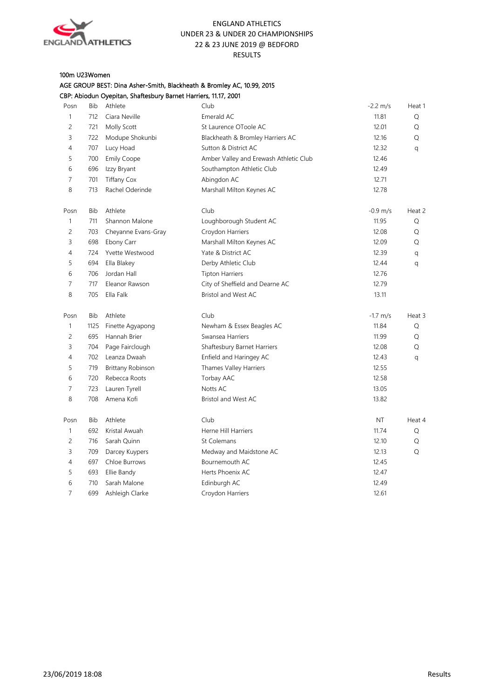

## 100m U23Women

|                |            | CBP: Abiodun Oyepitan, Shaftesbury Barnet Harriers, 11.17, 2001 |                                        |                      |        |
|----------------|------------|-----------------------------------------------------------------|----------------------------------------|----------------------|--------|
| Posn           | Bib        | Athlete                                                         | Club                                   | $-2.2 \, \text{m/s}$ | Heat 1 |
| $\mathbf{1}$   | 712        | Ciara Neville                                                   | Emerald AC                             | 11.81                | Q      |
| $\overline{c}$ | 721        | Molly Scott                                                     | St Laurence OToole AC                  | 12.01                | Q      |
| 3              | 722        | Modupe Shokunbi                                                 | Blackheath & Bromley Harriers AC       | 12.16                | Q      |
| 4              | 707        | Lucy Hoad                                                       | Sutton & District AC                   | 12.32                | q      |
| 5              | 700        | <b>Emily Coope</b>                                              | Amber Valley and Erewash Athletic Club | 12.46                |        |
| 6              | 696        | Izzy Bryant                                                     | Southampton Athletic Club              | 12.49                |        |
| 7              | 701        | <b>Tiffany Cox</b>                                              | Abingdon AC                            | 12.71                |        |
| 8              | 713        | Rachel Oderinde                                                 | Marshall Milton Keynes AC              | 12.78                |        |
| Posn           | <b>Bib</b> | Athlete                                                         | Club                                   | $-0.9$ m/s           | Heat 2 |
| $\mathbf{1}$   | 711        | Shannon Malone                                                  | Loughborough Student AC                | 11.95                | Q      |
| $\overline{c}$ | 703        | Cheyanne Evans-Gray                                             | Croydon Harriers                       | 12.08                | Q      |
| 3              | 698        | Ebony Carr                                                      | Marshall Milton Keynes AC              | 12.09                | Q      |
| 4              | 724        | Yvette Westwood                                                 | Yate & District AC                     | 12.39                | q      |
| 5              | 694        | Ella Blakey                                                     | Derby Athletic Club                    | 12.44                | q      |
| 6              | 706        | Jordan Hall                                                     | <b>Tipton Harriers</b>                 | 12.76                |        |
| 7              | 717        | Eleanor Rawson                                                  | City of Sheffield and Dearne AC        | 12.79                |        |
| 8              | 705        | Ella Falk                                                       | Bristol and West AC                    | 13.11                |        |
| Posn           | <b>Bib</b> | Athlete                                                         | Club                                   | $-1.7$ m/s           | Heat 3 |
| $\mathbf{1}$   | 1125       | Finette Agyapong                                                | Newham & Essex Beagles AC              | 11.84                | Q      |
| $\overline{c}$ | 695        | Hannah Brier                                                    | Swansea Harriers                       | 11.99                | Q      |
| 3              | 704        | Page Fairclough                                                 | Shaftesbury Barnet Harriers            | 12.08                | Q      |
| 4              | 702        | Leanza Dwaah                                                    | Enfield and Haringey AC                | 12.43                | q      |
| 5              | 719        | Brittany Robinson                                               | Thames Valley Harriers                 | 12.55                |        |
| 6              | 720        | Rebecca Roots                                                   | Torbay AAC                             | 12.58                |        |
| $\overline{7}$ | 723        | Lauren Tyrell                                                   | Notts AC                               | 13.05                |        |
| 8              | 708        | Amena Kofi                                                      | Bristol and West AC                    | 13.82                |        |
| Posn           | Bib        | Athlete                                                         | Club                                   | <b>NT</b>            | Heat 4 |
| $\mathbf{1}$   | 692        | Kristal Awuah                                                   | Herne Hill Harriers                    | 11.74                | Q      |
| 2              | 716        | Sarah Quinn                                                     | St Colemans                            | 12.10                | Q      |
| 3              | 709        | Darcey Kuypers                                                  | Medway and Maidstone AC                | 12.13                | Q      |
| 4              | 697        | Chloe Burrows                                                   | Bournemouth AC                         | 12.45                |        |
| 5              | 693        | Ellie Bandy                                                     | Herts Phoenix AC                       | 12.47                |        |
| 6              | 710        | Sarah Malone                                                    | Edinburgh AC                           | 12.49                |        |
| $\overline{7}$ | 699        | Ashleigh Clarke                                                 | Croydon Harriers                       | 12.61                |        |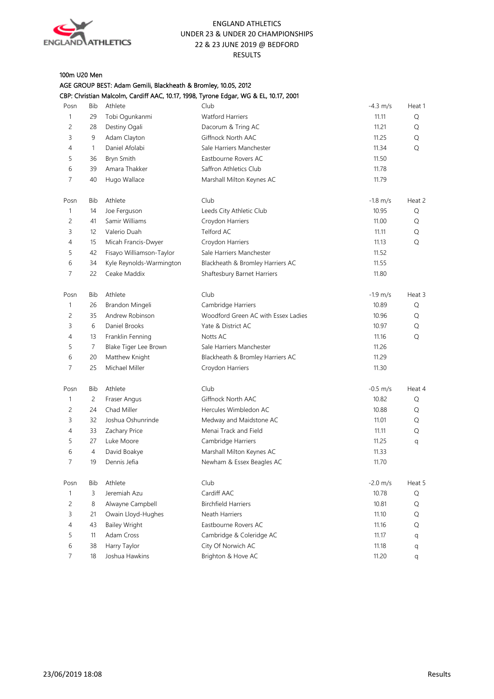

## 100m U20 Men

AGE GROUP BEST: Adam Gemili, Blackheath & Bromley, 10.05, 2012

| CBP: Christian Malcolm, Cardiff AAC, 10.17, 1998, Tyrone Edgar, WG & EL, 10.17, 2001 |  |  |  |
|--------------------------------------------------------------------------------------|--|--|--|
|--------------------------------------------------------------------------------------|--|--|--|

| Posn           | Bib            | Athlete                  | Club                                | $-4.3$ m/s         | Heat 1 |
|----------------|----------------|--------------------------|-------------------------------------|--------------------|--------|
| $\mathbf{1}$   | 29             | Tobi Ogunkanmi           | <b>Watford Harriers</b>             | 11.11              | Q      |
| 2              | 28             | Destiny Ogali            | Dacorum & Tring AC                  | 11.21              | Q      |
| 3              | 9              | Adam Clayton             | Giffnock North AAC                  | 11.25              | Q      |
| 4              | 1              | Daniel Afolabi           | Sale Harriers Manchester            | 11.34              | Q      |
| 5              | 36             | Bryn Smith               | Eastbourne Rovers AC                | 11.50              |        |
| 6              | 39             | Amara Thakker            | Saffron Athletics Club              | 11.78              |        |
| 7              | 40             | Hugo Wallace             | Marshall Milton Keynes AC           | 11.79              |        |
| Posn           | Bib            | Athlete                  | Club                                | $-1.8$ m/s         | Heat 2 |
| 1              | 14             | Joe Ferguson             | Leeds City Athletic Club            | 10.95              | Q      |
| 2              | 41             | Samir Williams           | Croydon Harriers                    | 11.00              | Q      |
| 3              | 12             | Valerio Duah             | Telford AC                          | 11.11              | Q      |
| 4              | 15             | Micah Francis-Dwyer      | Croydon Harriers                    | 11.13              | Q      |
| 5              | 42             | Fisayo Williamson-Taylor | Sale Harriers Manchester            | 11.52              |        |
| 6              | 34             | Kyle Reynolds-Warmington | Blackheath & Bromley Harriers AC    | 11.55              |        |
| 7              | 22             | Ceake Maddix             | Shaftesbury Barnet Harriers         | 11.80              |        |
| Posn           | Bib            | Athlete                  | Club                                | $-1.9$ m/s         | Heat 3 |
| 1              | 26             | Brandon Mingeli          | Cambridge Harriers                  | 10.89              | Q      |
| 2              | 35             | Andrew Robinson          | Woodford Green AC with Essex Ladies | 10.96              | Q      |
| 3              | 6              | Daniel Brooks            | Yate & District AC                  | 10.97              | Q      |
| 4              | 13             | Franklin Fenning         | Notts AC                            | 11.16              | Q      |
| 5              | 7              | Blake Tiger Lee Brown    | Sale Harriers Manchester            | 11.26              |        |
| 6              | 20             | Matthew Knight           | Blackheath & Bromley Harriers AC    | 11.29              |        |
| 7              | 25             | Michael Miller           | Croydon Harriers                    | 11.30              |        |
| Posn           | Bib            | Athlete                  | Club                                | $-0.5$ m/s         | Heat 4 |
| 1              | 2              | Fraser Angus             | Giffnock North AAC                  | 10.82              | Q      |
| 2              | 24             | Chad Miller              | Hercules Wimbledon AC               | 10.88              | Q      |
| 3              | 32             | Joshua Oshunrinde        | Medway and Maidstone AC             | 11.01              | Q      |
| 4              | 33             | Zachary Price            | Menai Track and Field               | 11.11              | Q      |
| 5              | 27             | Luke Moore               | Cambridge Harriers                  | 11.25              | q      |
| 6              | $\overline{4}$ | David Boakye             | Marshall Milton Keynes AC           | 11.33              |        |
| 7              | 19             | Dennis Jefia             | Newham & Essex Beagles AC           | 11.70              |        |
| Posn           | Bib            | Athlete                  | Club                                | $-2.0 \text{ m/s}$ | Heat 5 |
| $\mathbf{1}$   | $\mathsf 3$    | Jeremiah Azu             | Cardiff AAC                         | 10.78              | Q      |
| $\overline{c}$ | 8              | Alwayne Campbell         | <b>Birchfield Harriers</b>          | 10.81              | Q      |
| $\mathsf{3}$   | 21             | Owain Lloyd-Hughes       | Neath Harriers                      | 11.10              | Q      |
| $\overline{4}$ | 43             | <b>Bailey Wright</b>     | Eastbourne Rovers AC                | 11.16              | Q      |
| 5              | 11             | Adam Cross               | Cambridge & Coleridge AC            | 11.17              | q      |
| 6              | 38             | Harry Taylor             | City Of Norwich AC                  | 11.18              | q      |
| $\overline{7}$ | 18             | Joshua Hawkins           | Brighton & Hove AC                  | 11.20              | q      |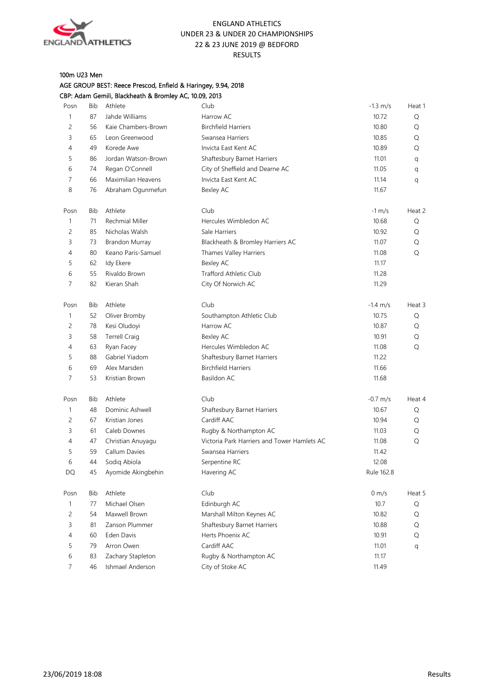

## 100m U23 Men AGE GROUP BEST: Reece Prescod, Enfield & Haringey, 9.94, 2018

|                |            | CBP: Adam Gemili, Blackheath & Bromley AC, 10.09, 2013 |                                             |                      |        |
|----------------|------------|--------------------------------------------------------|---------------------------------------------|----------------------|--------|
| Posn           | <b>Bib</b> | Athlete                                                | Club                                        | $-1.3 \, \text{m/s}$ | Heat 1 |
| $\mathbf{1}$   | 87         | Jahde Williams                                         | Harrow AC                                   | 10.72                | Q      |
| $\overline{c}$ | 56         | Kaie Chambers-Brown                                    | <b>Birchfield Harriers</b>                  | 10.80                | Q      |
| 3              | 65         | Leon Greenwood                                         | Swansea Harriers                            | 10.85                | Q      |
| 4              | 49         | Korede Awe                                             | Invicta East Kent AC                        | 10.89                | Q      |
| 5              | 86         | Jordan Watson-Brown                                    | Shaftesbury Barnet Harriers                 | 11.01                | q      |
| 6              | 74         | Regan O'Connell                                        | City of Sheffield and Dearne AC             | 11.05                | q      |
| 7              | 66         | Maximilian Heavens                                     | Invicta East Kent AC                        | 11.14                | q      |
| 8              | 76         | Abraham Ogunmefun                                      | Bexley AC                                   | 11.67                |        |
| Posn           | Bib        | Athlete                                                | Club                                        | $-1$ m/s             | Heat 2 |
| 1              | 71         | Rechmial Miller                                        | Hercules Wimbledon AC                       | 10.68                | Q      |
| 2              | 85         | Nicholas Walsh                                         | Sale Harriers                               | 10.92                | Q      |
| 3              | 73         | Brandon Murray                                         | Blackheath & Bromley Harriers AC            | 11.07                | Q      |
| 4              | 80         | Keano Paris-Samuel                                     | Thames Valley Harriers                      | 11.08                | Q      |
| 5              | 62         | Idy Ekere                                              | Bexley AC                                   | 11.17                |        |
| 6              | 55         | Rivaldo Brown                                          | <b>Trafford Athletic Club</b>               | 11.28                |        |
| 7              | 82         | Kieran Shah                                            | City Of Norwich AC                          | 11.29                |        |
| Posn           | Bib        | Athlete                                                | Club                                        | $-1.4 \text{ m/s}$   | Heat 3 |
| 1              | 52         | Oliver Bromby                                          | Southampton Athletic Club                   | 10.75                | Q      |
| 2              | 78         | Kesi Oludoyi                                           | Harrow AC                                   | 10.87                | Q      |
| 3              | 58         | <b>Terrell Craig</b>                                   | Bexley AC                                   | 10.91                | Q      |
| 4              | 63         | Ryan Facey                                             | Hercules Wimbledon AC                       | 11.08                | Q      |
| 5              | 88         | Gabriel Yiadom                                         | Shaftesbury Barnet Harriers                 | 11.22                |        |
| 6              | 69         | Alex Marsden                                           | <b>Birchfield Harriers</b>                  | 11.66                |        |
| 7              | 53         | Kristian Brown                                         | Basildon AC                                 | 11.68                |        |
| Posn           | Bib        | Athlete                                                | Club                                        | $-0.7$ m/s           | Heat 4 |
| 1              | 48         | Dominic Ashwell                                        | Shaftesbury Barnet Harriers                 | 10.67                | Q      |
| 2              | 67         | Kristian Jones                                         | Cardiff AAC                                 | 10.94                | Q      |
| 3              | 61         | Caleb Downes                                           | Rugby & Northampton AC                      | 11.03                | Q      |
| 4              | 47         | Christian Anuyagu                                      | Victoria Park Harriers and Tower Hamlets AC | 11.08                | Q      |
| 5              | 59         | Callum Davies                                          | Swansea Harriers                            | 11.42                |        |
| 6              | 44         | Sodiq Abiola                                           | Serpentine RC                               | 12.08                |        |
| DQ             | 45         | Ayomide Akingbehin                                     | Havering AC                                 | Rule 162.8           |        |
| Posn           | <b>Bib</b> | Athlete                                                | Club                                        | $0 \text{ m/s}$      | Heat 5 |
| 1              | 77         | Michael Olsen                                          | Edinburgh AC                                | 10.7                 | Q      |
| 2              | 54         | Maxwell Brown                                          | Marshall Milton Keynes AC                   | 10.82                | Q      |
| 3              | 81         | Zanson Plummer                                         | Shaftesbury Barnet Harriers                 | 10.88                | Q      |
| 4              | 60         | Eden Davis                                             | Herts Phoenix AC                            | 10.91                | Q      |
| 5              | 79         | Arron Owen                                             | Cardiff AAC                                 | 11.01                | q      |
| 6              | 83         | Zachary Stapleton                                      | Rugby & Northampton AC                      | 11.17                |        |
| 7              | 46         | Ishmael Anderson                                       | City of Stoke AC                            | 11.49                |        |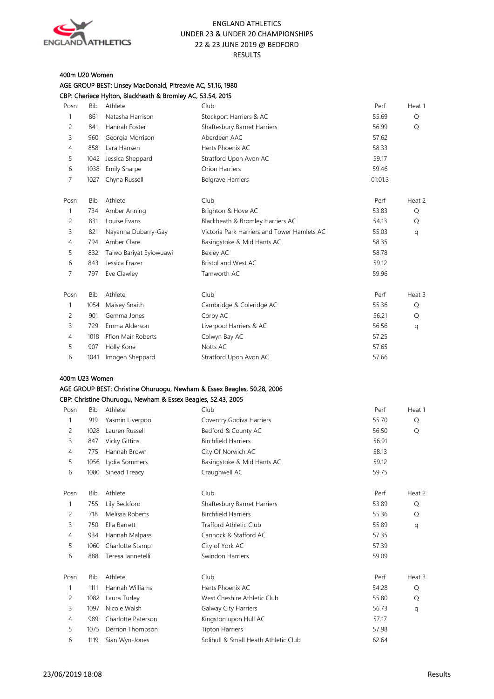

#### 400m U20 Women

AGE GROUP BEST: Linsey MacDonald, Pitreavie AC, 51.16, 1980 CBP: Cheriece Hylton, Blackheath & Bromley AC, 53.54, 2015

| Posn           | <b>Bib</b> | Athlete                                                      | Club                                                                    | Perf    | Heat 1 |
|----------------|------------|--------------------------------------------------------------|-------------------------------------------------------------------------|---------|--------|
| $\mathbf{1}$   | 861        | Natasha Harrison                                             | Stockport Harriers & AC                                                 | 55.69   | Q      |
| 2              | 841        | Hannah Foster                                                | Shaftesbury Barnet Harriers                                             | 56.99   | Q      |
| 3              | 960        | Georgia Morrison                                             | Aberdeen AAC                                                            | 57.62   |        |
| $\overline{4}$ | 858        | Lara Hansen                                                  | Herts Phoenix AC                                                        | 58.33   |        |
| 5              | 1042       | Jessica Sheppard                                             | Stratford Upon Avon AC                                                  | 59.17   |        |
| 6              | 1038       | <b>Emily Sharpe</b>                                          | Orion Harriers                                                          | 59.46   |        |
| 7              | 1027       | Chyna Russell                                                | <b>Belgrave Harriers</b>                                                | 01:01.3 |        |
| Posn           | <b>Bib</b> | Athlete                                                      | Club                                                                    | Perf    | Heat 2 |
| $\mathbf{1}$   | 734        | Amber Anning                                                 | Brighton & Hove AC                                                      | 53.83   | Q      |
| 2              | 831        | Louise Evans                                                 | Blackheath & Bromley Harriers AC                                        | 54.13   | Q      |
| 3              | 821        | Nayanna Dubarry-Gay                                          | Victoria Park Harriers and Tower Hamlets AC                             | 55.03   | q      |
| $\overline{4}$ | 794        | Amber Clare                                                  | Basingstoke & Mid Hants AC                                              | 58.35   |        |
| 5              | 832        | Taiwo Bariyat Eyiowuawi                                      | Bexley AC                                                               | 58.78   |        |
| 6              | 843        | Jessica Frazer                                               | Bristol and West AC                                                     | 59.12   |        |
| 7              | 797        | Eve Clawley                                                  | Tamworth AC                                                             | 59.96   |        |
| Posn           | <b>Bib</b> | Athlete                                                      | Club                                                                    | Perf    | Heat 3 |
| 1              | 1054       | Maisey Snaith                                                | Cambridge & Coleridge AC                                                | 55.36   | Q      |
| 2              | 901        | Gemma Jones                                                  | Corby AC                                                                | 56.21   | Q      |
| 3              | 729        | Emma Alderson                                                | Liverpool Harriers & AC                                                 | 56.56   | q      |
| 4              | 1018       | Ffion Mair Roberts                                           | Colwyn Bay AC                                                           | 57.25   |        |
| 5              | 907        | Holly Kone                                                   | Notts AC                                                                | 57.65   |        |
| 6              |            | 1041 Imogen Sheppard                                         | Stratford Upon Avon AC                                                  | 57.66   |        |
| 400m U23 Women |            |                                                              |                                                                         |         |        |
|                |            |                                                              | AGE GROUP BEST: Christine Ohuruogu, Newham & Essex Beagles, 50.28, 2006 |         |        |
|                |            | CBP: Christine Ohuruogu, Newham & Essex Beagles, 52.43, 2005 |                                                                         |         |        |

| Posn           | <b>Bib</b> | Athlete              | Club                                 | Perf  | Heat 1 |
|----------------|------------|----------------------|--------------------------------------|-------|--------|
| 1              | 919        | Yasmin Liverpool     | Coventry Godiva Harriers             | 55.70 | Q      |
| $\overline{c}$ | 1028       | Lauren Russell       | Bedford & County AC                  | 56.50 | Q      |
| 3              | 847        | <b>Vicky Gittins</b> | <b>Birchfield Harriers</b>           | 56.91 |        |
| 4              | 775        | Hannah Brown         | City Of Norwich AC                   | 58.13 |        |
| 5              | 1056       | Lydia Sommers        | Basingstoke & Mid Hants AC           | 59.12 |        |
| 6              | 1080       | Sinead Treacy        | Craughwell AC                        | 59.75 |        |
|                |            |                      |                                      |       |        |
| Posn           | Bib        | Athlete              | Club                                 | Perf  | Heat 2 |
| $\mathbf{1}$   | 755        | Lily Beckford        | Shaftesbury Barnet Harriers          | 53.89 | Q      |
| $\overline{c}$ | 718        | Melissa Roberts      | <b>Birchfield Harriers</b>           | 55.36 | Q      |
| 3              | 750        | Ella Barrett         | <b>Trafford Athletic Club</b>        | 55.89 | q      |
| 4              | 934        | Hannah Malpass       | Cannock & Stafford AC                | 57.35 |        |
| 5              | 1060       | Charlotte Stamp      | City of York AC                      | 57.39 |        |
| 6              | 888        | Teresa lannetelli    | Swindon Harriers                     | 59.09 |        |
|                |            |                      |                                      |       |        |
| Posn           | <b>Bib</b> | Athlete              | Club                                 | Perf  | Heat 3 |
| 1              | 1111       | Hannah Williams      | Herts Phoenix AC                     | 54.28 | Q      |
| $\overline{c}$ | 1082       | Laura Turley         | West Cheshire Athletic Club          | 55.80 | Q      |
| 3              | 1097       | Nicole Walsh         | Galway City Harriers                 | 56.73 | q      |
| 4              | 989        | Charlotte Paterson   | Kingston upon Hull AC                | 57.17 |        |
| 5              | 1075       | Derrion Thompson     | <b>Tipton Harriers</b>               | 57.98 |        |
| 6              | 1119       | Sian Wyn-Jones       | Solihull & Small Heath Athletic Club | 62.64 |        |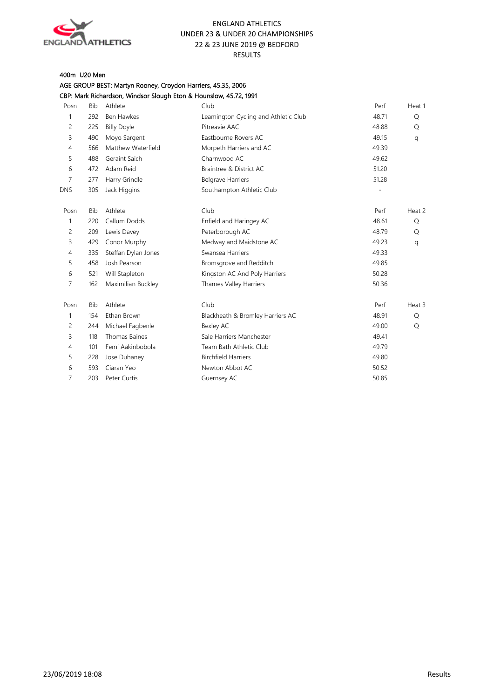

## 400m U20 Men

AGE GROUP BEST: Martyn Rooney, Croydon Harriers, 45.35, 2006 CBP: Mark Richardson, Windsor Slough Eton & Hounslow, 45.72, 1991

| Posn           | <b>Bib</b> | Athlete              | Club                                 | Perf  | Heat 1 |
|----------------|------------|----------------------|--------------------------------------|-------|--------|
| 1              | 292        | <b>Ben Hawkes</b>    | Leamington Cycling and Athletic Club | 48.71 | Q      |
| $\overline{c}$ | 225        | <b>Billy Doyle</b>   | Pitreavie AAC                        | 48.88 | Q      |
| 3              | 490        | Moyo Sargent         | Eastbourne Rovers AC                 | 49.15 | q      |
| $\overline{4}$ | 566        | Matthew Waterfield   | Morpeth Harriers and AC              | 49.39 |        |
| 5              | 488        | Geraint Saich        | Charnwood AC                         | 49.62 |        |
| 6              | 472        | Adam Reid            | Braintree & District AC              | 51.20 |        |
| 7              | 277        | Harry Grindle        | <b>Belgrave Harriers</b>             | 51.28 |        |
| <b>DNS</b>     | 305        | Jack Higgins         | Southampton Athletic Club            |       |        |
| Posn           | <b>Bib</b> | Athlete              | Club                                 | Perf  | Heat 2 |
| 1              | 220        | Callum Dodds         | Enfield and Haringey AC              | 48.61 | Q      |
| $\overline{c}$ | 209        | Lewis Davey          | Peterborough AC                      | 48.79 | Q      |
| 3              | 429        | Conor Murphy         | Medway and Maidstone AC              | 49.23 | q      |
| $\overline{4}$ | 335        | Steffan Dylan Jones  | Swansea Harriers                     | 49.33 |        |
| 5              | 458        | Josh Pearson         | Bromsgrove and Redditch              | 49.85 |        |
| 6              | 521        | Will Stapleton       | Kingston AC And Poly Harriers        | 50.28 |        |
| 7              | 162        | Maximilian Buckley   | Thames Valley Harriers               | 50.36 |        |
| Posn           | <b>Bib</b> | Athlete              | Club                                 | Perf  | Heat 3 |
| 1              | 154        | Ethan Brown          | Blackheath & Bromley Harriers AC     | 48.91 | Q      |
| 2              | 244        | Michael Fagbenle     | Bexley AC                            | 49.00 | Q      |
| 3              | 118        | <b>Thomas Baines</b> | Sale Harriers Manchester             | 49.41 |        |
| $\overline{4}$ | 101        | Femi Aakinbobola     | Team Bath Athletic Club              | 49.79 |        |
| 5              | 228        | Jose Duhaney         | <b>Birchfield Harriers</b>           | 49.80 |        |
| 6              | 593        | Ciaran Yeo           | Newton Abbot AC                      | 50.52 |        |
| 7              | 203        | Peter Curtis         | Guernsey AC                          | 50.85 |        |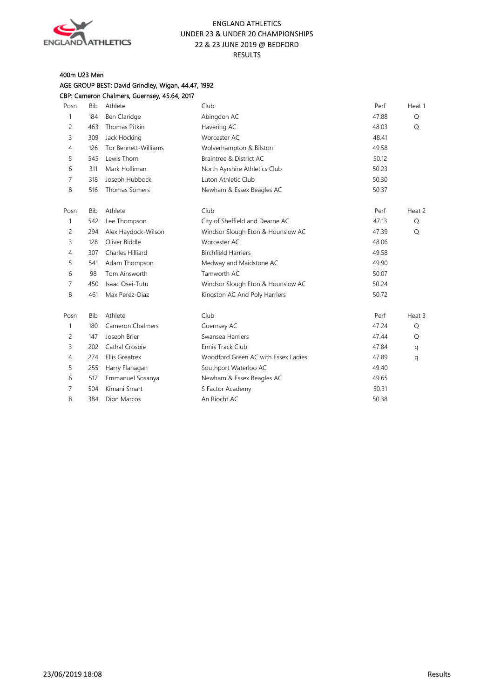

## 400m U23 Men

## AGE GROUP BEST: David Grindley, Wigan, 44.47, 1992 CBP: Cameron Chalmers, Guernsey, 45.64, 2017

| Posn | Bib        | Athlete                 | Club                                | Perf  | Heat 1 |
|------|------------|-------------------------|-------------------------------------|-------|--------|
| 1    | 184        | Ben Claridge            | Abingdon AC                         | 47.88 | Q      |
| 2    | 463        | <b>Thomas Pitkin</b>    | Havering AC                         | 48.03 | Q      |
| 3    | 309        | Jack Hocking            | Worcester AC                        | 48.41 |        |
| 4    | 126        | Tor Bennett-Williams    | Wolverhampton & Bilston             | 49.58 |        |
| 5    | 545        | Lewis Thorn             | Braintree & District AC             | 50.12 |        |
| 6    | 311        | Mark Holliman           | North Ayrshire Athletics Club       | 50.23 |        |
| 7    | 318        | Joseph Hubbock          | Luton Athletic Club                 | 50.30 |        |
| 8    | 516        | <b>Thomas Somers</b>    | Newham & Essex Beagles AC           | 50.37 |        |
| Posn | <b>Bib</b> | Athlete                 | Club                                | Perf  | Heat 2 |
| 1    | 542        | Lee Thompson            | City of Sheffield and Dearne AC     | 47.13 | Q      |
| 2    | 294        | Alex Haydock-Wilson     | Windsor Slough Eton & Hounslow AC   | 47.39 | Q      |
| 3    | 128        | Oliver Biddle           | Worcester AC                        | 48.06 |        |
| 4    | 307        | Charles Hilliard        | <b>Birchfield Harriers</b>          | 49.58 |        |
| 5    | 541        | Adam Thompson           | Medway and Maidstone AC             | 49.90 |        |
| 6    | 98         | Tom Ainsworth           | Tamworth AC                         | 50.07 |        |
| 7    | 450        | Isaac Osei-Tutu         | Windsor Slough Eton & Hounslow AC   | 50.24 |        |
| 8    | 461        | Max Perez-Diaz          | Kingston AC And Poly Harriers       | 50.72 |        |
| Posn | <b>Bib</b> | Athlete                 | Club                                | Perf  | Heat 3 |
| 1    | 180        | <b>Cameron Chalmers</b> | Guernsey AC                         | 47.24 | Q      |
| 2    | 147        | Joseph Brier            | Swansea Harriers                    | 47.44 | Q      |
| 3    | 202        | Cathal Crosbie          | Ennis Track Club                    | 47.84 | q      |
| 4    | 274        | <b>Ellis Greatrex</b>   | Woodford Green AC with Essex Ladies | 47.89 | q      |
| 5    | 255        | Harry Flanagan          | Southport Waterloo AC               | 49.40 |        |
| 6    | 517        | Emmanuel Sosanya        | Newham & Essex Beagles AC           | 49.65 |        |
| 7    | 504        | Kimani Smart            | S Factor Academy                    | 50.31 |        |
| 8    | 384        | <b>Dion Marcos</b>      | An Riocht AC                        | 50.38 |        |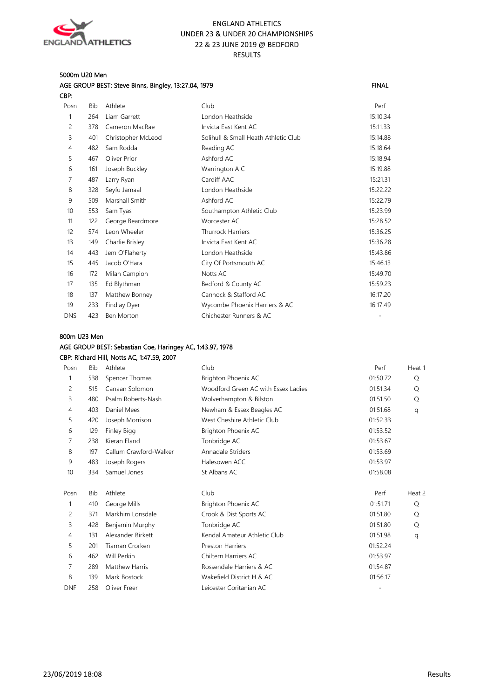

#### 5000m U20 Men

| FINAL |
|-------|
|       |

| ٠ | ۰. |  |
|---|----|--|
|   |    |  |

| Posn             | Bib | Athlete            | Club                                 | Perf     |
|------------------|-----|--------------------|--------------------------------------|----------|
| 1                | 264 | Liam Garrett       | London Heathside                     | 15:10.34 |
| 2                | 378 | Cameron MacRae     | Invicta East Kent AC                 | 15:11.33 |
| 3                | 401 | Christopher McLeod | Solihull & Small Heath Athletic Club | 15:14.88 |
| 4                | 482 | Sam Rodda          | Reading AC                           | 15:18.64 |
| 5                | 467 | Oliver Prior       | Ashford AC                           | 15:18.94 |
| 6                | 161 | Joseph Buckley     | Warrington A C                       | 15:19.88 |
| 7                | 487 | Larry Ryan         | Cardiff AAC                          | 15:21.31 |
| 8                | 328 | Seyfu Jamaal       | London Heathside                     | 15:22.22 |
| 9                | 509 | Marshall Smith     | Ashford AC                           | 15:22.79 |
| 10 <sup>10</sup> | 553 | Sam Tyas           | Southampton Athletic Club            | 15:23.99 |
| 11               | 122 | George Beardmore   | Worcester AC                         | 15:28.52 |
| 12               | 574 | Leon Wheeler       | <b>Thurrock Harriers</b>             | 15:36.25 |
| 13               | 149 | Charlie Brisley    | Invicta East Kent AC                 | 15:36.28 |
| 14               | 443 | Jem O'Flaherty     | London Heathside                     | 15:43.86 |
| 15               | 445 | Jacob O'Hara       | City Of Portsmouth AC                | 15:46.13 |
| 16               | 172 | Milan Campion      | Notts AC                             | 15:49.70 |
| 17               | 135 | Ed Blythman        | Bedford & County AC                  | 15:59.23 |
| 18               | 137 | Matthew Bonney     | Cannock & Stafford AC                | 16:17.20 |
| 19               | 233 | Findlay Dyer       | Wycombe Phoenix Harriers & AC        | 16:17.49 |
| <b>DNS</b>       | 423 | <b>Ben Morton</b>  | Chichester Runners & AC              |          |

#### 800m U23 Men

## AGE GROUP BEST: Sebastian Coe, Haringey AC, 1:43.97, 1978

#### CBP: Richard Hill, Notts AC, 1:47.59, 2007

| Posn           | <b>Bib</b> | Athlete                | Club                                | Perf     | Heat 1 |
|----------------|------------|------------------------|-------------------------------------|----------|--------|
|                | 538        | Spencer Thomas         | Brighton Phoenix AC                 | 01:50.72 | Q      |
| 2              | 515        | Canaan Solomon         | Woodford Green AC with Essex Ladies | 01:51.34 | Q      |
| 3              | 480        | Psalm Roberts-Nash     | Wolverhampton & Bilston             | 01:51.50 | Q      |
| $\overline{4}$ | 403        | Daniel Mees            | Newham & Essex Beagles AC           | 01:51.68 | q      |
| 5              | 420        | Joseph Morrison        | West Cheshire Athletic Club         | 01:52.33 |        |
| 6              | 129        | Finley Bigg            | Brighton Phoenix AC                 | 01:53.52 |        |
| 7              | 238        | Kieran Eland           | Tonbridge AC                        | 01:53.67 |        |
| 8              | 197        | Callum Crawford-Walker | Annadale Striders                   | 01:53.69 |        |
| 9              | 483        | Joseph Rogers          | Halesowen ACC                       | 01:53.97 |        |
| 10             | 334        | Samuel Jones           | St Albans AC                        | 01:58.08 |        |
| Posn           | <b>Bib</b> | Athlete                | Club                                | Perf     | Heat 2 |
|                | 410        | George Mills           | Brighton Phoenix AC                 | 01:51.71 | Q      |
| 2              | 371        | Markhim Lonsdale       | Crook & Dist Sports AC              | 01:51.80 | Q      |
| 3              | 428        | Benjamin Murphy        | Tonbridge AC                        | 01:51.80 | Q      |
| $\overline{4}$ | 131        | Alexander Birkett      | Kendal Amateur Athletic Club        | 01:51.98 | q      |
| 5              | 201        | Tiarnan Crorken        | <b>Preston Harriers</b>             | 01:52.24 |        |
| 6              | 462        | Will Perkin            | Chiltern Harriers AC                | 01:53.97 |        |
| 7              | 289        | Matthew Harris         | Rossendale Harriers & AC            | 01:54.87 |        |
| 8              | 139        | Mark Bostock           | Wakefield District H & AC           | 01:56.17 |        |
| <b>DNF</b>     | 258        | Oliver Freer           | Leicester Coritanian AC             |          |        |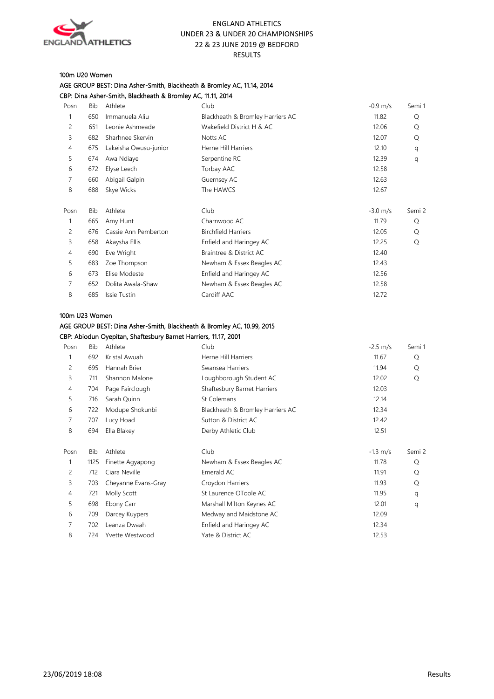

#### 100m U20 Women

|      |     | CBP: Dina Asher-Smith, Blackheath & Bromley AC, 11.11, 2014 |                                  |                      |        |
|------|-----|-------------------------------------------------------------|----------------------------------|----------------------|--------|
| Posn | Bib | Athlete                                                     | Club                             | $-0.9$ m/s           | Semi 1 |
| 1    | 650 | Immanuela Aliu                                              | Blackheath & Bromley Harriers AC | 11.82                | Q      |
| 2    | 651 | Leonie Ashmeade                                             | Wakefield District H & AC        | 12.06                | Q      |
| 3    | 682 | Sharhnee Skervin                                            | Notts AC                         | 12.07                | Q      |
| 4    | 675 | Lakeisha Owusu-junior                                       | Herne Hill Harriers              | 12.10                | q      |
| 5    | 674 | Awa Ndiaye                                                  | Serpentine RC                    | 12.39                | q      |
| 6    | 672 | Elyse Leech                                                 | Torbay AAC                       | 12.58                |        |
| 7    | 660 | Abigail Galpin                                              | Guernsey AC                      | 12.63                |        |
| 8    | 688 | Skye Wicks                                                  | The HAWCS                        | 12.67                |        |
| Posn | Bib | Athlete                                                     | Club                             | $-3.0 \; \text{m/s}$ | Semi 2 |
| 1    | 665 | Amy Hunt                                                    | Charnwood AC                     | 11.79                | Q      |
| 2    | 676 | Cassie Ann Pemberton                                        | <b>Birchfield Harriers</b>       | 12.05                | Q      |
| 3    | 658 | Akaysha Ellis                                               | Enfield and Haringey AC          | 12.25                | Q      |
| 4    | 690 | Eve Wright                                                  | Braintree & District AC          | 12.40                |        |
| 5    | 683 | Zoe Thompson                                                | Newham & Essex Beagles AC        | 12.43                |        |
| 6    | 673 | Elise Modeste                                               | Enfield and Haringey AC          | 12.56                |        |
| 7    | 652 | Dolita Awala-Shaw                                           | Newham & Essex Beagles AC        | 12.58                |        |
| 8    | 685 | Issie Tustin                                                | Cardiff AAC                      | 12.72                |        |

#### 100m U23 Women

## AGE GROUP BEST: Dina Asher-Smith, Blackheath & Bromley AC, 10.99, 2015

AGE GROUP BEST: Dina Asher-Smith, Blackheath & Bromley AC, 11.14, 2014

CBP: Abiodun Oyepitan, Shaftesbury Barnet Harriers, 11.17, 2001

| Posn | <b>Bib</b> | Athlete             | Club                             | $-2.5 \, \text{m/s}$ | Semi 1 |
|------|------------|---------------------|----------------------------------|----------------------|--------|
|      | 692        | Kristal Awuah       | Herne Hill Harriers              | 11.67                | Q      |
| 2    | 695        | Hannah Brier        | Swansea Harriers                 | 11.94                | Q      |
| 3    | 711        | Shannon Malone      | Loughborough Student AC          | 12.02                | Q      |
| 4    | 704        | Page Fairclough     | Shaftesbury Barnet Harriers      | 12.03                |        |
| 5    | 716        | Sarah Quinn         | St Colemans                      | 12.14                |        |
| 6    | 722        | Modupe Shokunbi     | Blackheath & Bromley Harriers AC | 12.34                |        |
| 7    | 707        | Lucy Hoad           | Sutton & District AC             | 12.42                |        |
| 8    | 694        | Ella Blakey         | Derby Athletic Club              | 12.51                |        |
|      |            |                     |                                  |                      |        |
| Posn | Bib        | Athlete             | Club                             | $-1.3$ m/s           | Semi 2 |
|      | 1125       | Finette Agyapong    | Newham & Essex Beagles AC        | 11.78                | Q      |
| 2    | 712        | Ciara Neville       | Emerald AC                       | 11.91                | Q      |
| 3    | 703        | Cheyanne Evans-Gray | Croydon Harriers                 | 11.93                | Q      |
| 4    | 721        | Molly Scott         | St Laurence OToole AC            | 11.95                | q      |
| 5    | 698        | Ebony Carr          | Marshall Milton Keynes AC        | 12.01                | q      |
| 6    | 709        | Darcey Kuypers      | Medway and Maidstone AC          | 12.09                |        |
| 7    | 702        | Leanza Dwaah        | Enfield and Haringey AC          | 12.34                |        |
| 8    | 724        | Yvette Westwood     | Yate & District AC               | 12.53                |        |
|      |            |                     |                                  |                      |        |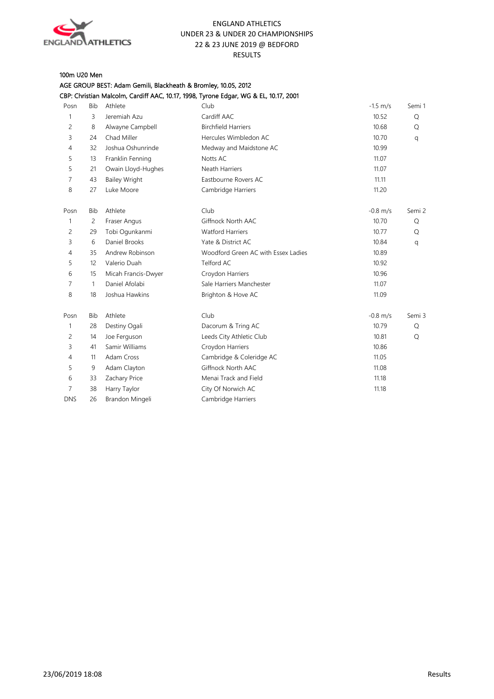

## 100m U20 Men

AGE GROUP BEST: Adam Gemili, Blackheath & Bromley, 10.05, 2012

| CBP: Christian Malcolm, Cardiff AAC, 10.17, 1998, Tyrone Edgar, WG & EL, 10.17, 2001 |  |  |  |  |  |  |  |  |  |  |  |  |
|--------------------------------------------------------------------------------------|--|--|--|--|--|--|--|--|--|--|--|--|
|--------------------------------------------------------------------------------------|--|--|--|--|--|--|--|--|--|--|--|--|

| Posn           | <b>Bib</b> | Athlete              | Club                                | $-1.5$ m/s | Semi 1 |
|----------------|------------|----------------------|-------------------------------------|------------|--------|
| 1              | 3          | Jeremiah Azu         | Cardiff AAC                         | 10.52      | Q      |
| 2              | 8          | Alwayne Campbell     | <b>Birchfield Harriers</b>          | 10.68      | Q      |
| 3              | 24         | Chad Miller          | Hercules Wimbledon AC               | 10.70      | q      |
| 4              | 32         | Joshua Oshunrinde    | Medway and Maidstone AC             | 10.99      |        |
| 5              | 13         | Franklin Fenning     | Notts AC                            | 11.07      |        |
| 5              | 21         | Owain Lloyd-Hughes   | <b>Neath Harriers</b>               | 11.07      |        |
| 7              | 43         | <b>Bailey Wright</b> | Eastbourne Rovers AC                | 11.11      |        |
| 8              | 27         | Luke Moore           | Cambridge Harriers                  | 11.20      |        |
| Posn           | <b>Bib</b> | Athlete              | Club                                | $-0.8$ m/s | Semi 2 |
| 1              | 2          | Fraser Angus         | Giffnock North AAC                  | 10.70      | Q      |
| 2              | 29         | Tobi Ogunkanmi       | <b>Watford Harriers</b>             | 10.77      | Q      |
| 3              | 6          | Daniel Brooks        | Yate & District AC                  | 10.84      | q      |
| $\overline{4}$ | 35         | Andrew Robinson      | Woodford Green AC with Essex Ladies | 10.89      |        |
| 5              | 12         | Valerio Duah         | Telford AC                          | 10.92      |        |
| 6              | 15         | Micah Francis-Dwyer  | Croydon Harriers                    | 10.96      |        |
| 7              | 1          | Daniel Afolabi       | Sale Harriers Manchester            | 11.07      |        |
| 8              | 18         | Joshua Hawkins       | Brighton & Hove AC                  | 11.09      |        |
| Posn           | <b>Bib</b> | Athlete              | Club                                | $-0.8$ m/s | Semi 3 |
| 1              | 28         | Destiny Ogali        | Dacorum & Tring AC                  | 10.79      | Q      |
| 2              | 14         | Joe Ferguson         | Leeds City Athletic Club            | 10.81      | Q      |
| 3              | 41         | Samir Williams       | Croydon Harriers                    | 10.86      |        |
| 4              | 11         | Adam Cross           | Cambridge & Coleridge AC            | 11.05      |        |
| 5              | 9          | Adam Clayton         | Giffnock North AAC                  | 11.08      |        |
| 6              | 33         | Zachary Price        | Menai Track and Field               | 11.18      |        |
| 7              | 38         | Harry Taylor         | City Of Norwich AC                  | 11.18      |        |
| <b>DNS</b>     | 26         | Brandon Mingeli      | Cambridge Harriers                  |            |        |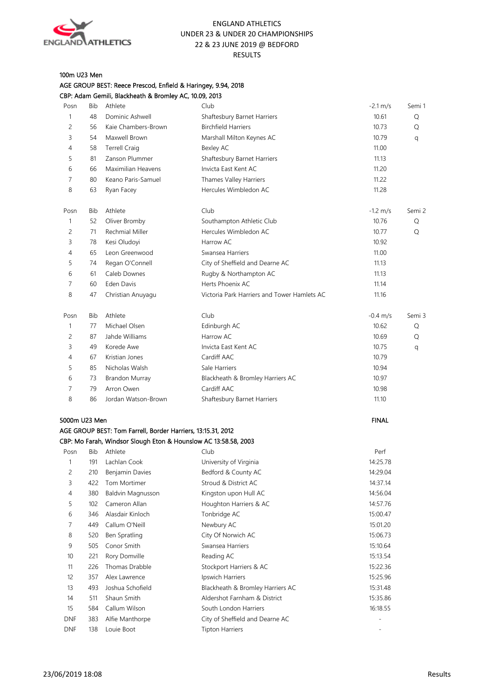

## 100m U23 Men

| AGE GROUP BEST: Reece Prescod, Enfield & Haringey, 9.94, 2018 |
|---------------------------------------------------------------|
| CBP: Adam Gemili, Blackheath & Bromley AC, 10.09, 2013        |

| Posn           | Bib | Athlete                                                         | Club                                        | $-2.1 \text{ m/s}$   | Semi 1 |
|----------------|-----|-----------------------------------------------------------------|---------------------------------------------|----------------------|--------|
| 1              | 48  | Dominic Ashwell                                                 | Shaftesbury Barnet Harriers                 | 10.61                | Q      |
| 2              | 56  | Kaie Chambers-Brown                                             | <b>Birchfield Harriers</b>                  | 10.73                | Q      |
| 3              | 54  | Maxwell Brown                                                   | Marshall Milton Keynes AC                   | 10.79                | q      |
| 4              | 58  | <b>Terrell Craig</b>                                            | Bexley AC                                   | 11.00                |        |
| 5              | 81  | Zanson Plummer                                                  | Shaftesbury Barnet Harriers                 | 11.13                |        |
| 6              | 66  | Maximilian Heavens                                              | Invicta East Kent AC                        | 11.20                |        |
| $\overline{7}$ | 80  | Keano Paris-Samuel                                              | Thames Valley Harriers                      | 11.22                |        |
| 8              | 63  | Ryan Facey                                                      | Hercules Wimbledon AC                       | 11.28                |        |
| Posn           | Bib | Athlete                                                         | Club                                        | $-1.2 \, \text{m/s}$ | Semi 2 |
| 1              | 52  | Oliver Bromby                                                   | Southampton Athletic Club                   | 10.76                | Q      |
| 2              | 71  | Rechmial Miller                                                 | Hercules Wimbledon AC                       | 10.77                | Q      |
| 3              | 78  | Kesi Oludoyi                                                    | Harrow AC                                   | 10.92                |        |
| 4              | 65  | Leon Greenwood                                                  | Swansea Harriers                            | 11.00                |        |
| 5              | 74  | Regan O'Connell                                                 | City of Sheffield and Dearne AC             | 11.13                |        |
| 6              | 61  | Caleb Downes                                                    | Rugby & Northampton AC                      | 11.13                |        |
| 7              | 60  | Eden Davis                                                      | Herts Phoenix AC                            | 11.14                |        |
| 8              | 47  | Christian Anuyagu                                               | Victoria Park Harriers and Tower Hamlets AC | 11.16                |        |
| Posn           | Bib | Athlete                                                         | Club                                        | $-0.4 \, \text{m/s}$ | Semi 3 |
| 1              | 77  | Michael Olsen                                                   | Edinburgh AC                                | 10.62                | Q      |
| 2              | 87  | Jahde Williams                                                  | Harrow AC                                   | 10.69                | Q      |
| 3              | 49  | Korede Awe                                                      | Invicta East Kent AC                        | 10.75                | q      |
| 4              | 67  | Kristian Jones                                                  | Cardiff AAC                                 | 10.79                |        |
| 5              | 85  | Nicholas Walsh                                                  | Sale Harriers                               | 10.94                |        |
| 6              | 73  | Brandon Murray                                                  | Blackheath & Bromley Harriers AC            | 10.97                |        |
| $\overline{7}$ | 79  | Arron Owen                                                      | Cardiff AAC                                 | 10.98                |        |
| 8              | 86  | Jordan Watson-Brown                                             | Shaftesbury Barnet Harriers                 | 11.10                |        |
| 5000m U23 Men  |     |                                                                 |                                             | <b>FINAL</b>         |        |
|                |     | AGE GROUP BEST: Tom Farrell, Border Harriers, 13:15.31, 2012    |                                             |                      |        |
|                |     | CBP: Mo Farah, Windsor Slough Eton & Hounslow AC 13:58.58, 2003 |                                             |                      |        |
| Posn           | Bib | Athlete                                                         | Club                                        | Perf                 |        |
| 1              | 191 | Lachlan Cook                                                    | University of Virginia                      | 14:25.78             |        |
| 2              |     | 210 Benjamin Davies                                             | Bedford & County AC                         | 14:29.04             |        |
| 3              | 422 | Tom Mortimer                                                    | Stroud & District AC                        | 14:37.14             |        |
| $\overline{4}$ | 380 | Baldvin Magnusson                                               | Kingston upon Hull AC                       | 14:56.04             |        |
| 5              | 102 | Cameron Allan                                                   | Houghton Harriers & AC                      | 14:57.76             |        |
| 6              | 346 | Alasdair Kinloch                                                | Tonbridge AC                                | 15:00.47             |        |
| 7              | 449 | Callum O'Neill                                                  | Newbury AC                                  | 15:01.20             |        |
| 8              | 520 | Ben Spratling                                                   | City Of Norwich AC                          | 15:06.73             |        |
| 9              | 505 | Conor Smith                                                     | Swansea Harriers                            | 15:10.64             |        |

| 9                 | 505 | Conor Smith      | Swansea Harriers                 | 15:10.64 |
|-------------------|-----|------------------|----------------------------------|----------|
| 10                | 221 | Rory Domville    | Reading AC                       | 15:13.54 |
| 11                | 226 | Thomas Drabble   | Stockport Harriers & AC          | 15:22.36 |
| $12 \overline{ }$ | 357 | Alex Lawrence    | Ipswich Harriers                 | 15:25.96 |
| 13                | 493 | Joshua Schofield | Blackheath & Bromley Harriers AC | 15:31.48 |
| 14                | 511 | Shaun Smith      | Aldershot Farnham & District     | 15:35.86 |
| 15                | 584 | Callum Wilson    | South London Harriers            | 16:18.55 |
| DNF               | 383 | Alfie Manthorpe  | City of Sheffield and Dearne AC  |          |
| <b>DNF</b>        | 138 | Louie Boot       | <b>Tipton Harriers</b>           |          |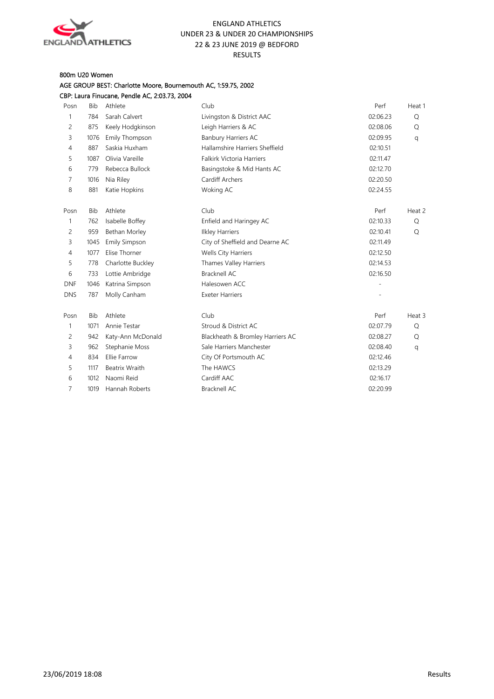

## 800m U20 Women

## AGE GROUP BEST: Charlotte Moore, Bournemouth AC, 1:59.75, 2002

| <b>Bib</b> | Athlete              | Club                             | Perf     | Heat 1 |
|------------|----------------------|----------------------------------|----------|--------|
| 784        | Sarah Calvert        | Livingston & District AAC        | 02:06.23 | Q      |
| 875        | Keely Hodgkinson     | Leigh Harriers & AC              | 02:08.06 | Q      |
| 1076       | Emily Thompson       | Banbury Harriers AC              | 02:09.95 | q      |
| 887        | Saskia Huxham        | Hallamshire Harriers Sheffield   | 02:10.51 |        |
| 1087       | Olivia Vareille      | <b>Falkirk Victoria Harriers</b> | 02:11.47 |        |
| 779        | Rebecca Bullock      | Basingstoke & Mid Hants AC       | 02:12.70 |        |
| 1016       | Nia Riley            | Cardiff Archers                  | 02:20.50 |        |
| 881        | Katie Hopkins        | Woking AC                        | 02:24.55 |        |
| <b>Bib</b> | Athlete              | Club                             | Perf     | Heat 2 |
| 762        | Isabelle Boffey      | Enfield and Haringey AC          | 02:10.33 | Q      |
| 959        | Bethan Morley        | <b>Ilkley Harriers</b>           | 02:10.41 | Q      |
| 1045       | <b>Emily Simpson</b> | City of Sheffield and Dearne AC  | 02:11.49 |        |
| 1077       | Elise Thorner        | Wells City Harriers              | 02:12.50 |        |
| 778        | Charlotte Buckley    | Thames Valley Harriers           | 02:14.53 |        |
| 733        | Lottie Ambridge      | <b>Bracknell AC</b>              | 02:16.50 |        |
| 1046       | Katrina Simpson      | Halesowen ACC                    |          |        |
| 787        | Molly Canham         | <b>Exeter Harriers</b>           |          |        |
| <b>Bib</b> | Athlete              | Club                             | Perf     | Heat 3 |
| 1071       | Annie Testar         | Stroud & District AC             | 02:07.79 | Q      |
| 942        | Katy-Ann McDonald    | Blackheath & Bromley Harriers AC | 02:08.27 | Q      |
| 962        | Stephanie Moss       | Sale Harriers Manchester         | 02:08.40 | q      |
| 834        | <b>Ellie Farrow</b>  | City Of Portsmouth AC            | 02:12.46 |        |
| 1117       | Beatrix Wraith       | The HAWCS                        | 02:13.29 |        |
| 1012       | Naomi Reid           | Cardiff AAC                      | 02:16.17 |        |
| 1019       | Hannah Roberts       | Bracknell AC                     | 02:20.99 |        |
|            |                      |                                  |          |        |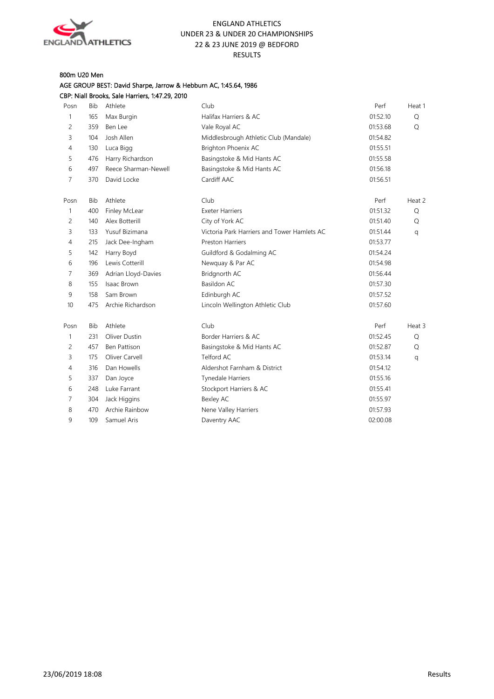

## 800m U20 Men

#### AGE GROUP BEST: David Sharpe, Jarrow & Hebburn AC, 1:45.64, 1986 CBP: Niall Brooks, Sale Harriers, 1:47.29, 2010

| Posn           | <b>Bib</b> | Athlete              | Club                                        | Perf     | Heat 1 |
|----------------|------------|----------------------|---------------------------------------------|----------|--------|
| 1              | 165        | Max Burgin           | Halifax Harriers & AC                       | 01:52.10 | Q      |
| 2              | 359        | Ben Lee              | Vale Royal AC                               | 01:53.68 | Q      |
| 3              | 104        | Josh Allen           | Middlesbrough Athletic Club (Mandale)       | 01:54.82 |        |
| 4              | 130        | Luca Bigg            | Brighton Phoenix AC                         | 01:55.51 |        |
| 5              | 476        | Harry Richardson     | Basingstoke & Mid Hants AC                  | 01:55.58 |        |
| 6              | 497        | Reece Sharman-Newell | Basingstoke & Mid Hants AC                  | 01:56.18 |        |
| $\overline{7}$ | 370        | David Locke          | Cardiff AAC                                 | 01:56.51 |        |
| Posn           | <b>Bib</b> | Athlete              | Club                                        | Perf     | Heat 2 |
| $\mathbf{1}$   | 400        | Finley McLear        | <b>Exeter Harriers</b>                      | 01:51.32 | Q      |
| 2              | 140        | Alex Botterill       | City of York AC                             | 01:51.40 | Q      |
| 3              | 133        | Yusuf Bizimana       | Victoria Park Harriers and Tower Hamlets AC | 01:51.44 | q      |
| 4              | 215        | Jack Dee-Ingham      | <b>Preston Harriers</b>                     | 01:53.77 |        |
| 5              | 142        | Harry Boyd           | Guildford & Godalming AC                    | 01:54.24 |        |
| 6              | 196        | Lewis Cotterill      | Newquay & Par AC                            | 01:54.98 |        |
| 7              | 369        | Adrian Lloyd-Davies  | Bridgnorth AC                               | 01:56.44 |        |
| 8              | 155        | Isaac Brown          | <b>Basildon AC</b>                          | 01:57.30 |        |
| 9              | 158        | Sam Brown            | Edinburgh AC                                | 01:57.52 |        |
| 10             | 475        | Archie Richardson    | Lincoln Wellington Athletic Club            | 01:57.60 |        |
| Posn           | <b>Bib</b> | Athlete              | Club                                        | Perf     | Heat 3 |
| $\mathbf{1}$   | 231        | Oliver Dustin        | Border Harriers & AC                        | 01:52.45 | Q      |
| 2              | 457        | Ben Pattison         | Basingstoke & Mid Hants AC                  | 01:52.87 | Q      |
| 3              | 175        | Oliver Carvell       | Telford AC                                  | 01:53.14 | q      |
| $\overline{4}$ | 316        | Dan Howells          | Aldershot Farnham & District                | 01:54.12 |        |
| 5              | 337        | Dan Joyce            | <b>Tynedale Harriers</b>                    | 01:55.16 |        |
| 6              | 248        | Luke Farrant         | Stockport Harriers & AC                     | 01:55.41 |        |
| 7              | 304        | Jack Higgins         | Bexley AC                                   | 01:55.97 |        |
| 8              | 470        | Archie Rainbow       | Nene Valley Harriers                        | 01:57.93 |        |
| 9              | 109        | Samuel Aris          | Daventry AAC                                | 02:00.08 |        |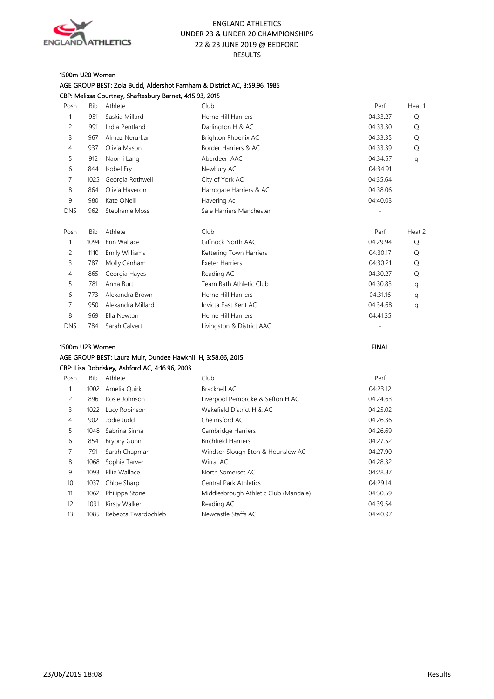

#### 1500m U20 Women

|                 |            | CBP: Melissa Courtney, Shaftesbury Barnet, 4:15.93, 2015     |                           |              |        |
|-----------------|------------|--------------------------------------------------------------|---------------------------|--------------|--------|
| Posn            | Bib        | Athlete                                                      | Club                      | Perf         | Heat 1 |
| $\mathbf{1}$    | 951        | Saskia Millard                                               | Herne Hill Harriers       | 04:33.27     | Q      |
| 2               | 991        | India Pentland                                               | Darlington H & AC         | 04:33.30     | Q      |
| 3               | 967        | Almaz Nerurkar                                               | Brighton Phoenix AC       | 04:33.35     | Q      |
| 4               | 937        | Olivia Mason                                                 | Border Harriers & AC      | 04:33.39     | Q      |
| 5               | 912        | Naomi Lang                                                   | Aberdeen AAC              | 04:34.57     | q      |
| 6               | 844        | Isobel Fry                                                   | Newbury AC                | 04:34.91     |        |
| 7               | 1025       | Georgia Rothwell                                             | City of York AC           | 04:35.64     |        |
| 8               | 864        | Olivia Haveron                                               | Harrogate Harriers & AC   | 04:38.06     |        |
| 9               | 980        | Kate ONeill                                                  | Havering Ac               | 04:40.03     |        |
| <b>DNS</b>      | 962        | Stephanie Moss                                               | Sale Harriers Manchester  |              |        |
| Posn            | <b>Bib</b> | Athlete                                                      | Club                      | Perf         | Heat 2 |
| $\mathbf{1}$    | 1094       | Erin Wallace                                                 | Giffnock North AAC        | 04:29.94     | Q      |
| 2               | 1110       | Emily Williams                                               | Kettering Town Harriers   | 04:30.17     | Q      |
| 3               | 787        | Molly Canham                                                 | <b>Exeter Harriers</b>    | 04:30.21     | Q      |
| $\overline{4}$  | 865        | Georgia Hayes                                                | Reading AC                | 04:30.27     | Q      |
| 5               | 781        | Anna Burt                                                    | Team Bath Athletic Club   | 04:30.83     | q      |
| 6               | 773        | Alexandra Brown                                              | Herne Hill Harriers       | 04:31.16     | q      |
| 7               | 950        | Alexandra Millard                                            | Invicta East Kent AC      | 04:34.68     | q      |
| 8               | 969        | Ella Newton                                                  | Herne Hill Harriers       | 04:41.35     |        |
| <b>DNS</b>      | 784        | Sarah Calvert                                                | Livingston & District AAC |              |        |
| 1500m U23 Women |            |                                                              |                           | <b>FINAL</b> |        |
|                 |            | AGE GROUP BEST: Laura Muir, Dundee Hawkhill H, 3:58.66, 2015 |                           |              |        |
|                 |            | CBP: Lisa Dobriskey, Ashford AC, 4:16.96, 2003               |                           |              |        |

# AGE GROUP BEST: Zola Budd, Aldershot Farnham & District AC, 3:59.96, 1985

| Posn           | Bib  | Athlete             | Club                                  | Perf     |
|----------------|------|---------------------|---------------------------------------|----------|
| 1              | 1002 | Amelia Ouirk        | Bracknell AC                          | 04:23.12 |
| 2              | 896  | Rosie Johnson       | Liverpool Pembroke & Sefton H AC      | 04:24.63 |
| 3              | 1022 | Lucy Robinson       | Wakefield District H & AC             | 04:25.02 |
| $\overline{4}$ | 902  | Jodie Judd          | Chelmsford AC                         | 04:26.36 |
| 5              | 1048 | Sabrina Sinha       | Cambridge Harriers                    | 04:26.69 |
| 6              | 854  | Bryony Gunn         | <b>Birchfield Harriers</b>            | 04:27.52 |
| 7              | 791  | Sarah Chapman       | Windsor Slough Eton & Hounslow AC     | 04:27.90 |
| 8              | 1068 | Sophie Tarver       | Wirral AC                             | 04:28.32 |
| 9              | 1093 | Ellie Wallace       | North Somerset AC                     | 04:28.87 |
| 10             | 1037 | Chloe Sharp         | <b>Central Park Athletics</b>         | 04:29.14 |
| 11             | 1062 | Philippa Stone      | Middlesbrough Athletic Club (Mandale) | 04:30.59 |
| 12             | 1091 | Kirsty Walker       | Reading AC                            | 04:39.54 |
| 13             | 1085 | Rebecca Twardochleb | Newcastle Staffs AC                   | 04:40.97 |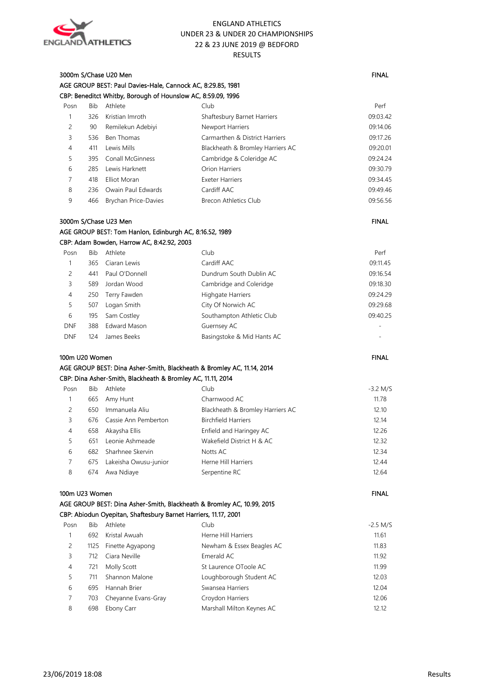

| 3000m S/Chase U20 Men                                        | <b>FINAL</b> |
|--------------------------------------------------------------|--------------|
| AGE GROUP BEST: Paul Davies-Hale, Cannock AC, 8:29.85, 1981  |              |
| CBP: Beneditct Whitby, Borough of Hounslow AC, 8:59.09, 1996 |              |

| Posn | Bib | Athlete                     | Club                             | Perf     |
|------|-----|-----------------------------|----------------------------------|----------|
|      | 326 | Kristian Imroth             | Shaftesbury Barnet Harriers      | 09:03.42 |
| 2    | 90  | Remilekun Adebiyi           | Newport Harriers                 | 09:14.06 |
| 3    | 536 | Ben Thomas                  | Carmarthen & District Harriers   | 09:17.26 |
| 4    | 411 | Lewis Mills                 | Blackheath & Bromley Harriers AC | 09:20.01 |
| 5    | 395 | <b>Conall McGinness</b>     | Cambridge & Coleridge AC         | 09:24.24 |
| 6    | 285 | Lewis Harknett              | Orion Harriers                   | 09:30.79 |
|      | 418 | Elliot Moran                | <b>Exeter Harriers</b>           | 09:34.45 |
| 8    | 236 | Owain Paul Edwards          | Cardiff AAC                      | 09:49.46 |
| 9    | 466 | <b>Brychan Price-Davies</b> | <b>Brecon Athletics Club</b>     | 09:56.56 |

## 3000m S/Chase U23 Men FINAL And the Second State of the Second State of the Second State of the Second State of the Second State of the Second State of the Second State of the Second State of the Second State of the Second AGE GROUP BEST: Tom Hanlon, Edinburgh AC, 8:16.52, 1989

|  | CBP: Adam Bowden, Harrow AC, 8:42.92, 2003 |  |
|--|--------------------------------------------|--|
|--|--------------------------------------------|--|

| Bib | Athlete             | Club                       | Perf     |
|-----|---------------------|----------------------------|----------|
| 365 | Ciaran Lewis        | Cardiff AAC                | 09:11.45 |
| 441 | Paul O'Donnell      | Dundrum South Dublin AC    | 09:16.54 |
| 589 | Jordan Wood         | Cambridge and Coleridge    | 09:18.30 |
| 250 | Terry Fawden        | <b>Highgate Harriers</b>   | 09:24.29 |
| 507 | Logan Smith         | City Of Norwich AC         | 09:29.68 |
| 195 | Sam Costley         | Southampton Athletic Club  | 09:40.25 |
| 388 | <b>Edward Mason</b> | Guernsey AC                |          |
| 124 | James Beeks         | Basingstoke & Mid Hants AC | ۰        |
|     |                     |                            |          |

#### 100m U20 Women FINAL AGE GROUP BEST: Dina Asher-Smith, Blackheath & Bromley AC, 11.14, 2014 CBP: Dina Asher-Smith, Blackheath & Bromley AC, 11.11, 2014

| Posn | Bib | Athlete               | Club                             | $-3.2$ M/S |
|------|-----|-----------------------|----------------------------------|------------|
|      | 665 | Amy Hunt              | Charnwood AC                     | 11.78      |
|      | 650 | Immanuela Aliu        | Blackheath & Bromley Harriers AC | 12.10      |
| 3    | 676 | Cassie Ann Pemberton  | <b>Birchfield Harriers</b>       | 12.14      |
| 4    | 658 | Akaysha Ellis         | Enfield and Haringey AC          | 12.26      |
| 5.   | 651 | Leonie Ashmeade       | Wakefield District H & AC        | 12.32      |
| 6    | 682 | Sharhnee Skervin      | Notts AC                         | 12.34      |
|      | 675 | Lakeisha Owusu-junior | Herne Hill Harriers              | 12.44      |
| 8    | 674 | Awa Ndiaye            | Serpentine RC                    | 12.64      |

#### 100m U23 Women FINAL And the state of the state of the state of the state of the state of the state of the state of the state of the state of the state of the state of the state of the state of the state of the state of th

## AGE GROUP BEST: Dina Asher-Smith, Blackheath & Bromley AC, 10.99, 2015

#### CBP: Abiodun Oyepitan, Shaftesbury Barnet Harriers, 11.17, 2001

| Posn | <b>Bib</b> | Athlete               | Club                      | $-2.5$ M/S |
|------|------------|-----------------------|---------------------------|------------|
|      | 692        | Kristal Awuah         | Herne Hill Harriers       | 11.61      |
| 2    |            | 1125 Finette Agyapong | Newham & Essex Beagles AC | 11.83      |
| 3    | 712        | Ciara Neville         | Emerald AC                | 11.92      |
| 4    | 721        | Molly Scott           | St Laurence OToole AC     | 11.99      |
|      | 711        | Shannon Malone        | Loughborough Student AC   | 12.03      |
| 6    | 695        | Hannah Brier          | Swansea Harriers          | 12.04      |
|      | 703        | Cheyanne Evans-Gray   | Croydon Harriers          | 12.06      |
| 8    | 698        | Ebony Carr            | Marshall Milton Keynes AC | 12.12      |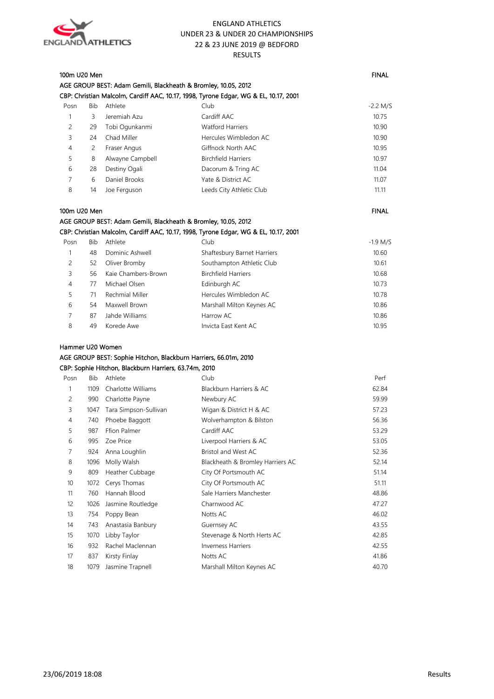

|                |            | AGE GROUP BEST: Adam Gemili, Blackheath & Bromley, 10.05, 2012 |                                                                                      |              |
|----------------|------------|----------------------------------------------------------------|--------------------------------------------------------------------------------------|--------------|
|                |            |                                                                | CBP: Christian Malcolm, Cardiff AAC, 10.17, 1998, Tyrone Edgar, WG & EL, 10.17, 2001 |              |
| Posn           | Bib        | Athlete                                                        | Club                                                                                 | $-2.2$ M/S   |
| 1              | 3          | Jeremiah Azu                                                   | Cardiff AAC                                                                          | 10.75        |
| 2              | 29         | Tobi Ogunkanmi                                                 | <b>Watford Harriers</b>                                                              | 10.90        |
| 3              | 24         | Chad Miller                                                    | Hercules Wimbledon AC                                                                | 10.90        |
| $\overline{4}$ | 2          | Fraser Angus                                                   | Giffnock North AAC                                                                   | 10.95        |
| 5              | 8          | Alwayne Campbell                                               | <b>Birchfield Harriers</b>                                                           | 10.97        |
| 6              | 28         | Destiny Ogali                                                  | Dacorum & Tring AC                                                                   | 11.04        |
| $\overline{7}$ | 6          | Daniel Brooks                                                  | Yate & District AC                                                                   | 11.07        |
| 8              | 14         | Joe Ferguson                                                   | Leeds City Athletic Club                                                             | 11.11        |
| 100m U20 Men   |            |                                                                |                                                                                      | <b>FINAL</b> |
|                |            | AGE GROUP BEST: Adam Gemili, Blackheath & Bromley, 10.05, 2012 |                                                                                      |              |
|                |            |                                                                | CBP: Christian Malcolm, Cardiff AAC, 10.17, 1998, Tyrone Edgar, WG & EL, 10.17, 2001 |              |
| Posn           | <b>Bib</b> | Athlete                                                        | Club                                                                                 | $-1.9$ M/S   |
| 1              | 48         | Dominic Ashwell                                                | Shaftesbury Barnet Harriers                                                          | 10.60        |
| $\overline{c}$ | 52         | Oliver Bromby                                                  | Southampton Athletic Club                                                            | 10.61        |
| 3              | 56         | Kaie Chambers-Brown                                            | <b>Birchfield Harriers</b>                                                           | 10.68        |
| $\overline{4}$ | 77         | Michael Olsen                                                  | Edinburgh AC                                                                         | 10.73        |
| 5              | 71         | Rechmial Miller                                                | Hercules Wimbledon AC                                                                | 10.78        |
| 6              | 54         | Maxwell Brown                                                  | Marshall Milton Keynes AC                                                            | 10.86        |
| 7              | 87         | Jahde Williams                                                 | Harrow AC                                                                            | 10.86        |

49 Korede Awe Invicta East Kent AC 10.95

100m U20 Men FINAL And the state of the state of the state of the state of the state of the state of the state of the state of the state of the state of the state of the state of the state of the state of the state of the

#### Hammer U20 Women

## AGE GROUP BEST: Sophie Hitchon, Blackburn Harriers, 66.01m, 2010

#### CBP: Sophie Hitchon, Blackburn Harriers, 63.74m, 2010

| Posn | Bib  | Athlete               | Club                             | Perf  |
|------|------|-----------------------|----------------------------------|-------|
| 1    | 1109 | Charlotte Williams    | Blackburn Harriers & AC          | 62.84 |
| 2    | 990  | Charlotte Payne       | Newbury AC                       | 59.99 |
| 3    | 1047 | Tara Simpson-Sullivan | Wigan & District H & AC          | 57.23 |
| 4    | 740  | Phoebe Baggott        | Wolverhampton & Bilston          | 56.36 |
| 5    | 987  | Ffion Palmer          | Cardiff AAC                      | 53.29 |
| 6    | 995  | Zoe Price             | Liverpool Harriers & AC          | 53.05 |
| 7    | 924  | Anna Loughlin         | Bristol and West AC              | 52.36 |
| 8    | 1096 | Molly Walsh           | Blackheath & Bromley Harriers AC | 52.14 |
| 9    | 809  | Heather Cubbage       | City Of Portsmouth AC            | 51.14 |
| 10   | 1072 | Cerys Thomas          | City Of Portsmouth AC            | 51.11 |
| 11   | 760  | Hannah Blood          | Sale Harriers Manchester         | 48.86 |
| 12   | 1026 | Jasmine Routledge     | Charnwood AC                     | 47.27 |
| 13   | 754  | Poppy Bean            | Notts AC                         | 46.02 |
| 14   | 743  | Anastasia Banbury     | Guernsey AC                      | 43.55 |
| 15   | 1070 | Libby Taylor          | Stevenage & North Herts AC       | 42.85 |
| 16   | 932  | Rachel Maclennan      | <b>Inverness Harriers</b>        | 42.55 |
| 17   | 837  | Kirsty Finlay         | Notts AC                         | 41.86 |
| 18   | 1079 | Jasmine Trapnell      | Marshall Milton Keynes AC        | 40.70 |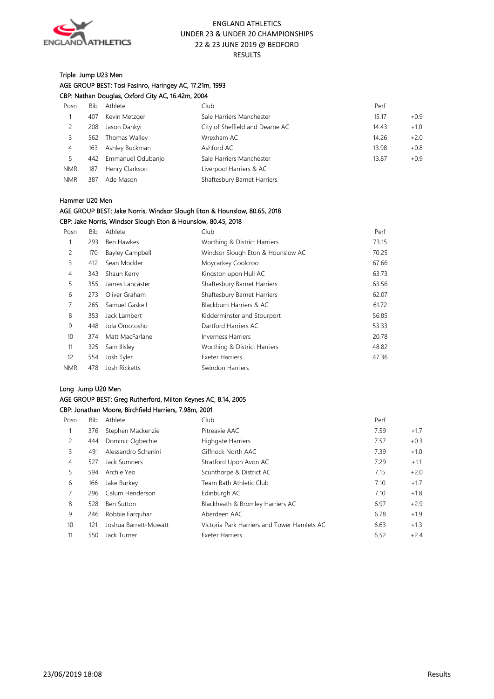

#### Triple Jump U23 Men AGE GROUP BEST: Tosi Fasinro, Haringey AC, 17.21m, 1993 CBP: Nathan Douglas, Oxford City AC, 16.42m, 2004

| Posn           | Bib | Athlete           | Club                            | Perf            |
|----------------|-----|-------------------|---------------------------------|-----------------|
|                | 407 | Kevin Metzger     | Sale Harriers Manchester        | 15.17<br>$+0.9$ |
|                | 208 | Jason Dankyi      | City of Sheffield and Dearne AC | $+1.0$<br>14.43 |
|                | 562 | Thomas Walley     | Wrexham AC                      | 14.26<br>$+2.0$ |
| $\overline{4}$ | 163 | Ashley Buckman    | Ashford AC                      | 13.98<br>$+0.8$ |
|                | 442 | Emmanuel Odubanjo | Sale Harriers Manchester        | $+0.9$<br>13.87 |
| <b>NMR</b>     | 187 | Henry Clarkson    | Liverpool Harriers & AC         |                 |
| <b>NMR</b>     | 387 | Ade Mason         | Shaftesbury Barnet Harriers     |                 |

#### Hammer U20 Men

#### AGE GROUP BEST: Jake Norris, Windsor Slough Eton & Hounslow, 80.65, 2018 CBP: Jake Norris, Windsor Slough Eton & Hounslow, 80.45, 2018

| Posn       | Bib | Athlete                | Club                              | Perf  |
|------------|-----|------------------------|-----------------------------------|-------|
| 1          | 293 | Ben Hawkes             | Worthing & District Harriers      | 73.15 |
| 2          | 170 | <b>Bayley Campbell</b> | Windsor Slough Eton & Hounslow AC | 70.25 |
| 3          | 412 | Sean Mockler           | Moycarkey Coolcroo                | 67.66 |
| 4          | 343 | Shaun Kerry            | Kingston upon Hull AC             | 63.73 |
| 5          | 355 | James Lancaster        | Shaftesbury Barnet Harriers       | 63.56 |
| 6          | 273 | Oliver Graham          | Shaftesbury Barnet Harriers       | 62.07 |
| 7          | 265 | Samuel Gaskell         | Blackburn Harriers & AC           | 61.72 |
| 8          | 353 | Jack Lambert           | Kidderminster and Stourport       | 56.85 |
| 9          | 448 | Jola Omotosho          | Dartford Harriers AC              | 53.33 |
| 10         | 374 | Matt MacFarlane        | <b>Inverness Harriers</b>         | 20.78 |
| 11         | 325 | Sam Illsley            | Worthing & District Harriers      | 48.82 |
| 12         | 554 | Josh Tyler             | <b>Exeter Harriers</b>            | 47.36 |
| <b>NMR</b> | 478 | Josh Ricketts          | Swindon Harriers                  |       |

#### Long Jump U20 Men

#### AGE GROUP BEST: Greg Rutherford, Milton Keynes AC, 8.14, 2005 CBP: Jonathan Moore, Birchfield Harriers, 7.98m, 2001

| Posn | Bib | Athlete               | Club                                        | Perf |        |
|------|-----|-----------------------|---------------------------------------------|------|--------|
|      | 376 | Stephen Mackenzie     | Pitreavie AAC                               | 7.59 | $+1.7$ |
| 2    | 444 | Dominic Ogbechie      | <b>Highgate Harriers</b>                    | 7.57 | $+0.3$ |
| 3    | 491 | Alessandro Schenini   | Giffnock North AAC                          | 7.39 | $+1.0$ |
| 4    | 527 | Jack Sumners          | Stratford Upon Avon AC                      | 7.29 | $+1.1$ |
| 5    | 594 | Archie Yeo            | Scunthorpe & District AC                    | 7.15 | $+2.0$ |
| 6    | 166 | Jake Burkey           | Team Bath Athletic Club                     | 7.10 | $+1.7$ |
|      | 296 | Calum Henderson       | Edinburgh AC                                | 7.10 | $+1.8$ |
| 8    | 528 | <b>Ben Sutton</b>     | Blackheath & Bromley Harriers AC            | 6.97 | $+2.9$ |
| 9    | 246 | Robbie Farguhar       | Aberdeen AAC                                | 6.78 | $+1.9$ |
| 10   | 121 | Joshua Barrett-Mowatt | Victoria Park Harriers and Tower Hamlets AC | 6.63 | $+1.3$ |
| 11   | 550 | Jack Turner           | <b>Exeter Harriers</b>                      | 6.52 | $+2.4$ |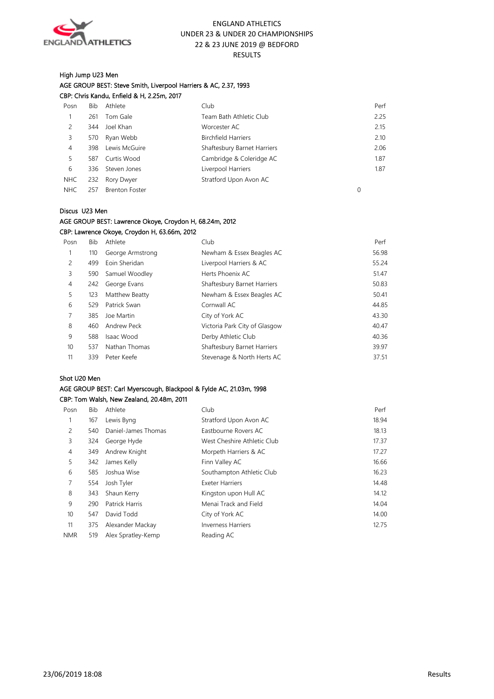

#### High Jump U23 Men AGE GROUP BEST: Steve Smith, Liverpool Harriers & AC, 2.37, 1993 CBP: Chris Kandu, Enfield & H, 2.25m, 2017

| Posn       | Bib | Athlete               | Club                        | Perf |
|------------|-----|-----------------------|-----------------------------|------|
|            | 261 | Tom Gale              | Team Bath Athletic Club     | 2.25 |
| 2          | 344 | Joel Khan             | Worcester AC                | 2.15 |
| 3          | 570 | Ryan Webb             | <b>Birchfield Harriers</b>  | 2.10 |
| 4          | 398 | Lewis McGuire         | Shaftesbury Barnet Harriers | 2.06 |
| 5          | 587 | Curtis Wood           | Cambridge & Coleridge AC    | 1.87 |
| 6          |     | 336 Steven Jones      | Liverpool Harriers          | 1.87 |
| NHC        |     | 232 Rory Dwyer        | Stratford Upon Avon AC      |      |
| <b>NHC</b> | 257 | <b>Brenton Foster</b> |                             |      |

#### Discus U23 Men

#### AGE GROUP BEST: Lawrence Okoye, Croydon H, 68.24m, 2012 CBP: Lawrence Okoye, Croydon H, 63.66m, 2012

| Posn           | Bib | Athlete          | Club                          | Perf  |
|----------------|-----|------------------|-------------------------------|-------|
|                | 110 | George Armstrong | Newham & Essex Beagles AC     | 56.98 |
| 2              | 499 | Eoin Sheridan    | Liverpool Harriers & AC       | 55.24 |
| 3              | 590 | Samuel Woodley   | Herts Phoenix AC              | 51.47 |
| $\overline{4}$ | 242 | George Evans     | Shaftesbury Barnet Harriers   | 50.83 |
| 5              | 123 | Matthew Beatty   | Newham & Essex Beagles AC     | 50.41 |
| 6              | 529 | Patrick Swan     | Cornwall AC                   | 44.85 |
| 7              | 385 | Joe Martin       | City of York AC               | 43.30 |
| 8              | 460 | Andrew Peck      | Victoria Park City of Glasgow | 40.47 |
| 9              | 588 | Isaac Wood       | Derby Athletic Club           | 40.36 |
| 10             | 537 | Nathan Thomas    | Shaftesbury Barnet Harriers   | 39.97 |
| 11             | 339 | Peter Keefe      | Stevenage & North Herts AC    | 37.51 |
|                |     |                  |                               |       |

#### Shot U20 Men

## AGE GROUP BEST: Carl Myerscough, Blackpool & Fylde AC, 21.03m, 1998 CBP: Tom Walsh, New Zealand, 20.48m, 2011

| Posn           | Bib | Athlete             | Club                        | Perf  |
|----------------|-----|---------------------|-----------------------------|-------|
| 1              | 167 | Lewis Byng          | Stratford Upon Avon AC      | 18.94 |
| 2              | 540 | Daniel-James Thomas | Eastbourne Rovers AC        | 18.13 |
| 3              | 324 | George Hyde         | West Cheshire Athletic Club | 17.37 |
| $\overline{4}$ | 349 | Andrew Knight       | Morpeth Harriers & AC       | 17.27 |
| 5              | 342 | James Kelly         | Finn Valley AC              | 16.66 |
| 6              | 585 | Joshua Wise         | Southampton Athletic Club   | 16.23 |
| 7              | 554 | Josh Tyler          | <b>Exeter Harriers</b>      | 14.48 |
| 8              | 343 | Shaun Kerry         | Kingston upon Hull AC       | 14.12 |
| 9              | 290 | Patrick Harris      | Menai Track and Field       | 14.04 |
| 10             | 547 | David Todd          | City of York AC             | 14.00 |
| 11             | 375 | Alexander Mackay    | <b>Inverness Harriers</b>   | 12.75 |
| <b>NMR</b>     | 519 | Alex Spratley-Kemp  | Reading AC                  |       |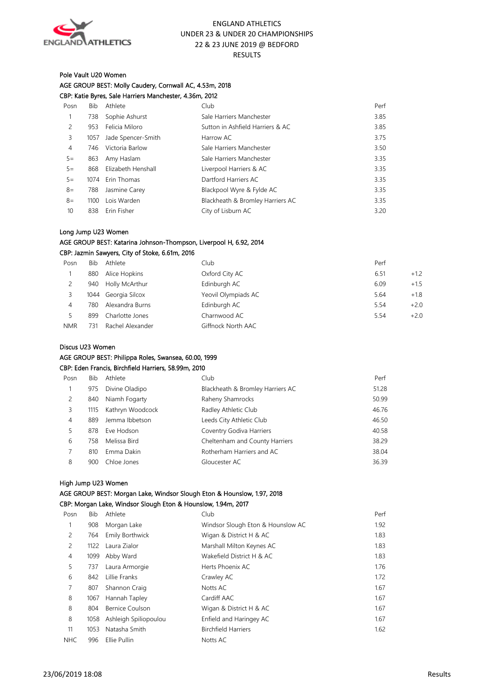

## Pole Vault U20 Women

AGE GROUP BEST: Molly Caudery, Cornwall AC, 4.53m, 2018 CBP: Katie Byres, Sale Harriers Manchester, 4.36m, 2012

| Posn  | Bib  | Athlete            | Club                             | Perf |
|-------|------|--------------------|----------------------------------|------|
|       | 738  | Sophie Ashurst     | Sale Harriers Manchester         | 3.85 |
| 2     | 953  | Felicia Miloro     | Sutton in Ashfield Harriers & AC | 3.85 |
| 3     | 1057 | Jade Spencer-Smith | Harrow AC                        | 3.75 |
| 4     | 746  | Victoria Barlow    | Sale Harriers Manchester         | 3.5C |
| $5 =$ | 863  | Amy Haslam         | Sale Harriers Manchester         | 3.35 |
| $5 =$ | 868  | Elizabeth Henshall | Liverpool Harriers & AC          | 3.35 |
| $5 =$ | 1074 | Erin Thomas        | Dartford Harriers AC             | 3.35 |
| $8 =$ | 788  | Jasmine Carey      | Blackpool Wyre & Fylde AC        | 3.35 |
| $8=$  | 1100 | Lois Warden        | Blackheath & Bromley Harriers AC | 3.35 |
| 10    | 838  | Erin Fisher        | City of Lisburn AC               | 3.20 |
|       |      |                    |                                  |      |

#### Long Jump U23 Women

#### AGE GROUP BEST: Katarina Johnson-Thompson, Liverpool H, 6.92, 2014 CBP: Jazmin Sawyers, City of Stoke, 6.61m, 2016

| Posn       | Bib | Athlete             | Club                | Perf |        |
|------------|-----|---------------------|---------------------|------|--------|
|            | 880 | Alice Hopkins       | Oxford City AC      | 6.51 | $+1.2$ |
|            | 940 | Holly McArthur      | Edinburgh AC        | 6.09 | $+1.5$ |
|            |     | 1044 Georgia Silcox | Yeovil Olympiads AC | 5.64 | $+1.8$ |
| 4          | 780 | Alexandra Burns     | Edinburgh AC        | 5.54 | $+2.0$ |
|            | 899 | Charlotte Jones     | Charnwood AC        | 5.54 | $+2.0$ |
| <b>NMR</b> | 731 | Rachel Alexander    | Giffnock North AAC  |      |        |

#### Discus U23 Women

#### AGE GROUP BEST: Philippa Roles, Swansea, 60.00, 1999

#### CBP: Eden Francis, Birchfield Harriers, 58.99m, 2010

| Posn           | Bib  | Athlete          | Club                             | Perf  |
|----------------|------|------------------|----------------------------------|-------|
|                | 975  | Divine Oladipo   | Blackheath & Bromley Harriers AC | 51.28 |
| 2              | 840  | Niamh Fogarty    | Raheny Shamrocks                 | 50.99 |
| 3.             | 1115 | Kathryn Woodcock | Radley Athletic Club             | 46.76 |
| $\overline{4}$ | 889  | Jemma Ibbetson   | Leeds City Athletic Club         | 46.50 |
|                | 878  | Eve Hodson       | Coventry Godiva Harriers         | 40.58 |
| 6              | 758  | Melissa Bird     | Cheltenham and County Harriers   | 38.29 |
|                | 810  | Emma Dakin       | Rotherham Harriers and AC        | 38.04 |
| 8              | 900  | Chloe Jones      | Gloucester AC                    | 36.39 |

#### High Jump U23 Women

#### AGE GROUP BEST: Morgan Lake, Windsor Slough Eton & Hounslow, 1.97, 2018 CBP: Morgan Lake, Windsor Slough Eton & Hounslow, 1.94m, 2017

| Posn           | Bib  | Athlete               | Club                              | Per  |
|----------------|------|-----------------------|-----------------------------------|------|
|                | 908  | Morgan Lake           | Windsor Slough Eton & Hounslow AC | 1.92 |
| 2              | 764  | Emily Borthwick       | Wigan & District H & AC           | 1.83 |
| $\overline{c}$ | 1122 | Laura Zialor          | Marshall Milton Keynes AC         | 1.83 |
| $\overline{4}$ | 1099 | Abby Ward             | Wakefield District H & AC         | 1.83 |
| 5              | 737  | Laura Armorgie        | Herts Phoenix AC                  | 1.76 |
| 6              | 842  | Lillie Franks         | Crawley AC                        | 1.72 |
| 7              | 807  | Shannon Craig         | Notts AC                          | 1.67 |
| 8              | 1067 | Hannah Tapley         | Cardiff AAC                       | 1.67 |
| 8              | 804  | Bernice Coulson       | Wigan & District H & AC           | 1.67 |
| 8              | 1058 | Ashleigh Spiliopoulou | Enfield and Haringey AC           | 1.67 |
| 11             | 1053 | Natasha Smith         | <b>Birchfield Harriers</b>        | 1.62 |
| <b>NHC</b>     | 996  | Ellie Pullin          | Notts AC                          |      |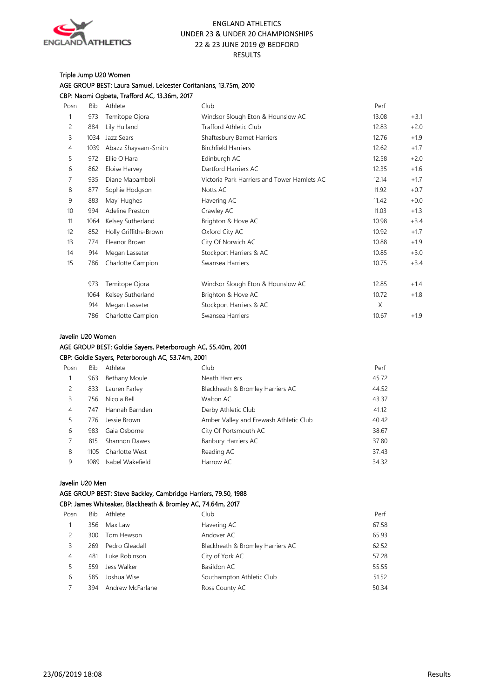

#### Triple Jump U20 Women AGE GROUP BEST: Laura Samuel, Leicester Coritanians, 13.75m, 2010 CBP: Naomi Ogbeta, Trafford AC, 13.36m, 2017

| Posn | Bib  | Athlete               | Club                                        | Perf  |        |
|------|------|-----------------------|---------------------------------------------|-------|--------|
| 1    | 973  | Temitope Ojora        | Windsor Slough Eton & Hounslow AC           | 13.08 | $+3.1$ |
| 2    | 884  | Lily Hulland          | <b>Trafford Athletic Club</b>               | 12.83 | $+2.0$ |
| 3    | 1034 | Jazz Sears            | Shaftesbury Barnet Harriers                 | 12.76 | $+1.9$ |
| 4    | 1039 | Abazz Shayaam-Smith   | <b>Birchfield Harriers</b>                  | 12.62 | $+1.7$ |
| 5    | 972  | Ellie O'Hara          | Edinburgh AC                                | 12.58 | $+2.0$ |
| 6    | 862  | Eloise Harvey         | Dartford Harriers AC                        | 12.35 | $+1.6$ |
| 7    | 935  | Diane Mapamboli       | Victoria Park Harriers and Tower Hamlets AC | 12.14 | $+1.7$ |
| 8    | 877  | Sophie Hodgson        | Notts AC                                    | 11.92 | $+0.7$ |
| 9    | 883  | Mayi Hughes           | Havering AC                                 | 11.42 | $+0.0$ |
| 10   | 994  | Adeline Preston       | Crawley AC                                  | 11.03 | $+1.3$ |
| 11   | 1064 | Kelsey Sutherland     | Brighton & Hove AC                          | 10.98 | $+3.4$ |
| 12   | 852  | Holly Griffiths-Brown | Oxford City AC                              | 10.92 | $+1.7$ |
| 13   | 774  | Eleanor Brown         | City Of Norwich AC                          | 10.88 | $+1.9$ |
| 14   | 914  | Megan Lasseter        | Stockport Harriers & AC                     | 10.85 | $+3.0$ |
| 15   | 786  | Charlotte Campion     | Swansea Harriers                            | 10.75 | $+3.4$ |
|      | 973  | Temitope Ojora        | Windsor Slough Eton & Hounslow AC           | 12.85 | $+1.4$ |
|      | 1064 | Kelsey Sutherland     | Brighton & Hove AC                          | 10.72 | $+1.8$ |
|      | 914  | Megan Lasseter        | Stockport Harriers & AC                     | X     |        |
|      | 786  | Charlotte Campion     | Swansea Harriers                            | 10.67 | $+1.9$ |

#### Javelin U20 Women

## AGE GROUP BEST: Goldie Sayers, Peterborough AC, 55.40m, 2001

#### CBP: Goldie Sayers, Peterborough AC, 53.74m, 2001

| Posn           | Bib   | Athlete          | Club                                   | Perf  |
|----------------|-------|------------------|----------------------------------------|-------|
|                | 963   | Bethany Moule    | Neath Harriers                         | 45.72 |
| 2              | 833   | Lauren Farley    | Blackheath & Bromley Harriers AC       | 44.52 |
| 3              | 756   | Nicola Bell      | Walton AC                              | 43.37 |
| 4              | 747   | Hannah Barnden   | Derby Athletic Club                    | 41.12 |
| 5              | 776   | Jessie Brown     | Amber Valley and Erewash Athletic Club | 40.42 |
| 6              | 983   | Gaia Osborne     | City Of Portsmouth AC                  | 38.67 |
| $\overline{7}$ | 815   | Shannon Dawes    | <b>Banbury Harriers AC</b>             | 37.80 |
| 8              | 110.5 | Charlotte West   | Reading AC                             | 37.43 |
| 9              | 1089  | Isabel Wakefield | Harrow AC                              | 34.32 |

#### Javelin U20 Men

## AGE GROUP BEST: Steve Backley, Cambridge Harriers, 79.50, 1988

## CBP: James Whiteaker, Blackheath & Bromley AC, 74.64m, 2017

| Posn | <b>Bib</b> | Athlete          | Club                             | Perf  |
|------|------------|------------------|----------------------------------|-------|
|      | 356        | Max Law          | Havering AC                      | 67.58 |
| 2    | 300        | Tom Hewson       | Andover AC                       | 65.93 |
| 3    | 269        | Pedro Gleadall   | Blackheath & Bromley Harriers AC | 62.52 |
| 4    | 481        | Luke Robinson    | City of York AC                  | 57.28 |
| 5    | 559        | Jess Walker      | Basildon AC                      | 55.55 |
| 6    | 585        | Joshua Wise      | Southampton Athletic Club        | 51.52 |
|      | 394        | Andrew McFarlane | Ross County AC                   | 50.34 |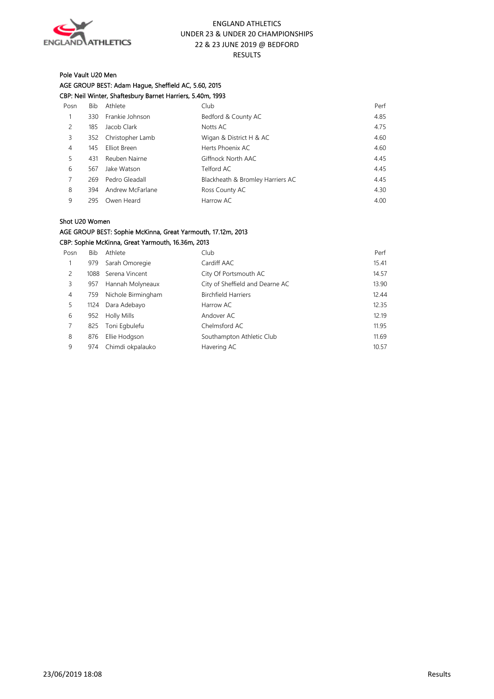

## Pole Vault U20 Men AGE GROUP BEST: Adam Hague, Sheffield AC, 5.60, 2015 CBP: Neil Winter, Shaftesbury Barnet Harriers, 5.40m, 1993

| Posn | Bib | Athlete          | Club                             | Perf |
|------|-----|------------------|----------------------------------|------|
|      | 330 | Frankie Johnson  | Bedford & County AC              | 4.85 |
| 2    | 185 | Jacob Clark      | Notts AC                         | 4.75 |
| 3    | 352 | Christopher Lamb | Wigan & District H & AC          | 4.60 |
| 4    | 145 | Elliot Breen     | Herts Phoenix AC                 | 4.60 |
| 5    | 431 | Reuben Nairne    | Giffnock North AAC               | 4.45 |
| 6    | 567 | Jake Watson      | Telford AC                       | 4.45 |
|      | 269 | Pedro Gleadall   | Blackheath & Bromley Harriers AC | 4.45 |
| 8    | 394 | Andrew McFarlane | Ross County AC                   | 4.30 |
| 9    | 295 | Owen Heard       | Harrow AC                        | 4.00 |
|      |     |                  |                                  |      |

#### Shot U20 Women

## AGE GROUP BEST: Sophie McKinna, Great Yarmouth, 17.12m, 2013 CBP: Sophie McKinna, Great Yarmouth, 16.36m, 2013

| Posn           | Bib  | Athlete            | Club                            | Perf  |
|----------------|------|--------------------|---------------------------------|-------|
|                | 979  | Sarah Omoregie     | Cardiff AAC                     | 15.41 |
| 2              | 1088 | Serena Vincent     | City Of Portsmouth AC           | 14.57 |
| 3              | 957  | Hannah Molyneaux   | City of Sheffield and Dearne AC | 13.90 |
| $\overline{4}$ | 759  | Nichole Birmingham | <b>Birchfield Harriers</b>      | 12.44 |
| 5              | 1124 | Dara Adebayo       | Harrow AC                       | 12.35 |
| 6              | 952  | <b>Holly Mills</b> | Andover AC                      | 12.19 |
|                | 825  | Toni Egbulefu      | Chelmsford AC                   | 11.95 |
| 8              | 876  | Ellie Hodgson      | Southampton Athletic Club       | 11.69 |
| 9              | 974  | Chimdi okpalauko   | Havering AC                     | 10.57 |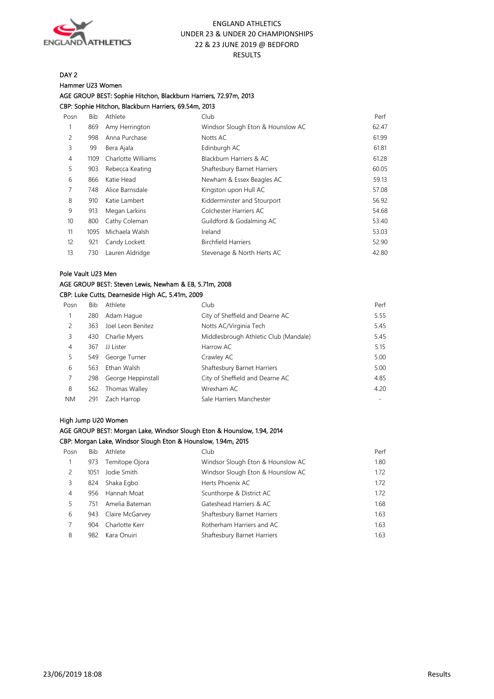

DAY 2

#### Hammer U23 Women

AGE GROUP BEST: Sophie Hitchon, Blackburn Harriers, 72.97m, 2013 CBP: Sophie Hitchon, Blackburn Harriers, 69.54m, 2013

Posn Bib Athlete Club Perf 1 869 Amy Herrington Windsor Slough Eton & Hounslow AC 62.47 2 998 Anna Purchase Notts AC 61.99 3 99 Bera Ajala Edinburgh AC 61.81 4 1109 Charlotte Williams Blackburn Harriers & AC 61.28 5 903 Rebecca Keating Shaftesbury Barnet Harriers 60.05 6 866 Katie Head Newham & Essex Beagles AC 59.13 7 748 Alice Barnsdale Kingston upon Hull AC 57.08 8 910 Katie Lambert **Kidderminster and Stourport** 56.92 9 913 Megan Larkins Colchester Harriers AC 54.68 10 800 Cathy Coleman Guildford & Godalming AC 53.40 11 1095 Michaela Walsh Ireland 53.03 12 921 Candy Lockett Birchfield Harriers 52.90 13 730 Lauren Aldridge Stevenage & North Herts AC 642.80

#### Pole Vault U23 Men

## AGE GROUP BEST: Steven Lewis, Newham & EB, 5.71m, 2008

#### CBP: Luke Cutts, Dearneside High AC, 5.41m, 2009

| Posn      | <b>Bib</b> | Athlete            | Club                                  | Perf |
|-----------|------------|--------------------|---------------------------------------|------|
|           | 280        | Adam Haque         | City of Sheffield and Dearne AC       | 5.55 |
| 2         | 363        | Joel Leon Benitez  | Notts AC/Virginia Tech                | 5.45 |
| 3         | 430        | Charlie Myers      | Middlesbrough Athletic Club (Mandale) | 5.45 |
| 4         | 367        | JJ Lister          | Harrow AC                             | 5.15 |
| 5.        | 549        | George Turner      | Crawley AC                            | 5.00 |
| 6         | 563        | Ethan Walsh        | Shaftesbury Barnet Harriers           | 5.00 |
|           | 298        | George Heppinstall | City of Sheffield and Dearne AC       | 4.85 |
| 8         | 562        | Thomas Walley      | Wrexham AC                            | 4.20 |
| <b>NM</b> | 291        | Zach Harrop        | Sale Harriers Manchester              |      |

#### High Jump U20 Women

#### AGE GROUP BEST: Morgan Lake, Windsor Slough Eton & Hounslow, 1.94, 2014

#### CBP: Morgan Lake, Windsor Slough Eton & Hounslow, 1.94m, 2015

| Posn | Bib  | Athlete         | Club                              | Perf |
|------|------|-----------------|-----------------------------------|------|
|      | 973  | Temitope Ojora  | Windsor Slough Eton & Hounslow AC | 1.80 |
| 2    | 1051 | Jodie Smith     | Windsor Slough Eton & Hounslow AC | 1.72 |
| 3    | 824  | Shaka Egbo      | Herts Phoenix AC                  | 1.72 |
| 4    | 956  | Hannah Moat     | Scunthorpe & District AC          | 1.72 |
| 5    | 751  | Amelia Bateman  | Gateshead Harriers & AC           | 1.68 |
| 6    | 943  | Claire McGarvey | Shaftesbury Barnet Harriers       | 1.63 |
|      | 904  | Charlotte Kerr  | Rotherham Harriers and AC         | 1.63 |
| 8    | 982  | Kara Onuiri     | Shaftesbury Barnet Harriers       | 1.63 |
|      |      |                 |                                   |      |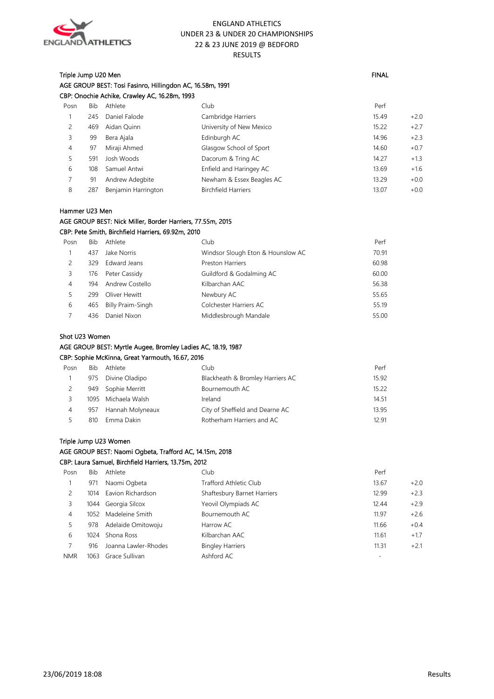

## Triple Jump U20 Men FINAL And the Second Second Second Second Second Second Second Second Second Second Second Second Second Second Second Second Second Second Second Second Second Second Second Second Second Second Second AGE GROUP BEST: Tosi Fasinro, Hillingdon AC, 16.58m, 1991 CBP: Onochie Achike, Crawley AC, 16.28m, 1993

| Posn | Bib | Athlete             | Club                       | Perf  |        |
|------|-----|---------------------|----------------------------|-------|--------|
|      | 245 | Daniel Falode       | Cambridge Harriers         | 15.49 | $+2.0$ |
| 2    | 469 | Aidan Quinn         | University of New Mexico   | 15.22 | $+2.7$ |
| 3    | 99  | Bera Ajala          | Edinburgh AC               | 14.96 | $+2.3$ |
| 4    | 97  | Miraji Ahmed        | Glasgow School of Sport    | 14.60 | $+0.7$ |
| 5    | 591 | Josh Woods          | Dacorum & Tring AC         | 14.27 | $+1.3$ |
| 6    | 108 | Samuel Antwi        | Enfield and Haringey AC    | 13.69 | $+1.6$ |
|      | 91  | Andrew Adegbite     | Newham & Essex Beagles AC  | 13.29 | $+0.0$ |
| 8    | 287 | Benjamin Harrington | <b>Birchfield Harriers</b> | 13.07 | $+0.0$ |
|      |     |                     |                            |       |        |

#### Hammer U23 Men

#### AGE GROUP BEST: Nick Miller, Border Harriers, 77.55m, 2015

## CBP: Pete Smith, Birchfield Harriers, 69.92m, 2010

| Posn | Bib. | Athlete           | Club                              | Perf  |
|------|------|-------------------|-----------------------------------|-------|
|      | 437  | Jake Norris       | Windsor Slough Eton & Hounslow AC | 70.91 |
|      | 329  | Edward Jeans      | <b>Preston Harriers</b>           | 60.98 |
| 3.   | 176  | Peter Cassidy     | Guildford & Godalming AC          | 60.00 |
| 4    | 194  | Andrew Costello   | Kilbarchan AAC                    | 56.38 |
|      | 299  | Oliver Hewitt     | Newbury AC                        | 55.65 |
| 6    | 465  | Billy Praim-Singh | Colchester Harriers AC            | 55.19 |
|      | 436  | Daniel Nixon      | Middlesbrough Mandale             | 55.00 |

#### Shot U23 Women

## AGE GROUP BEST: Myrtle Augee, Bromley Ladies AC, 18.19, 1987

CBP: Sophie McKinna, Great Yarmouth, 16.67, 2016

| Posn | Bib | Athlete             | Club                             | Perf  |
|------|-----|---------------------|----------------------------------|-------|
|      | 975 | Divine Oladipo      | Blackheath & Bromley Harriers AC | 15.92 |
|      | 949 | Sophie Merritt      | Bournemouth AC                   | 15.22 |
|      |     | 1095 Michaela Walsh | Ireland                          | 14.51 |
| 4    | 957 | Hannah Molyneaux    | City of Sheffield and Dearne AC  | 13.95 |
|      | 810 | Emma Dakin          | Rotherham Harriers and AC        | 12 91 |

## Triple Jump U23 Women

## AGE GROUP BEST: Naomi Ogbeta, Trafford AC, 14.15m, 2018

#### CBP: Laura Samuel, Birchfield Harriers, 13.75m, 2012

| Posn       | Bib  | Athlete              | Club                        | Perf            |
|------------|------|----------------------|-----------------------------|-----------------|
|            | 971  | Naomi Ogbeta         | Trafford Athletic Club      | $+2.0$<br>13.67 |
|            | 1014 | Eavion Richardson    | Shaftesbury Barnet Harriers | $+2.3$<br>12.99 |
| 3          | 1044 | Georgia Silcox       | Yeovil Olympiads AC         | $+2.9$<br>12.44 |
| 4          | 1052 | Madeleine Smith      | Bournemouth AC              | $+2.6$<br>11.97 |
|            | 978  | Adelaide Omitowoju   | Harrow AC                   | $+0.4$<br>11.66 |
| 6          | 1024 | Shona Ross           | Kilbarchan AAC              | $+1.7$<br>11.61 |
|            | 916  | Joanna Lawler-Rhodes | <b>Bingley Harriers</b>     | 11.31<br>$+2.1$ |
| <b>NMR</b> | 1063 | Grace Sullivan       | Ashford AC                  |                 |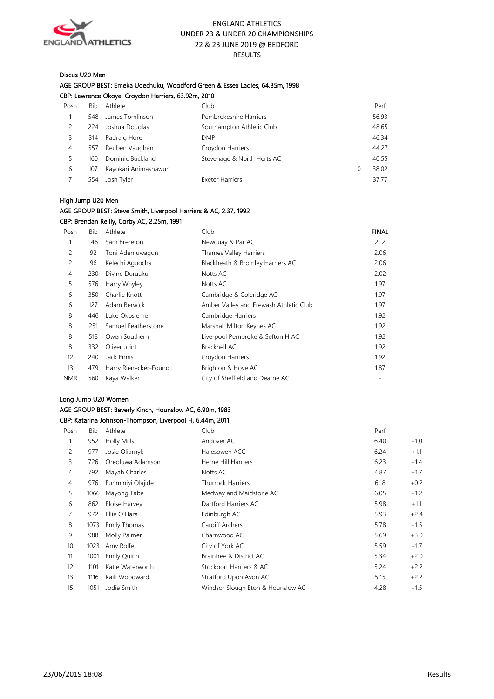

#### Discus U20 Men

| AGE GROUP BEST: Emeka Udechuku, Woodford Green & Essex Ladies, 64.35m, 1998 |
|-----------------------------------------------------------------------------|
| CBP: Lawrence Okoye, Croydon Harriers, 63.92m, 2010                         |

| Posn | <b>Bib</b> | Athlete              | Club                       |   | Perf  |
|------|------------|----------------------|----------------------------|---|-------|
|      | 548        | James Tomlinson      | Pembrokeshire Harriers     |   | 56.93 |
|      | 224        | Joshua Douglas       | Southampton Athletic Club  |   | 48.65 |
| 3    | 314        | Padraig Hore         | <b>DMP</b>                 |   | 46.34 |
| 4    | 557        | Reuben Vaughan       | Croydon Harriers           |   | 44.27 |
| 5.   | 160        | Dominic Buckland     | Stevenage & North Herts AC |   | 40.55 |
| 6    | 107        | Kayokari Animashawun |                            | 0 | 38.02 |
|      | 554        | Josh Tyler           | <b>Exeter Harriers</b>     |   | 37.77 |
|      |            |                      |                            |   |       |

#### High Jump U20 Men

## AGE GROUP BEST: Steve Smith, Liverpool Harriers & AC, 2.37, 1992 CBP: Brendan Reilly, Corby AC, 2.25m, 1991

| Posn           | <b>Bib</b> | Athlete               | Club                                   | <b>FINAL</b> |
|----------------|------------|-----------------------|----------------------------------------|--------------|
|                | 146        | Sam Brereton          | Newquay & Par AC                       | 2.12         |
| 2              | 92         | Toni Ademuwagun       | Thames Valley Harriers                 | 2.06         |
| 2              | 96         | Kelechi Aguocha       | Blackheath & Bromley Harriers AC       | 2.06         |
| $\overline{4}$ | 230        | Divine Duruaku        | Notts AC                               | 2.02         |
| 5              | 576        | Harry Whyley          | Notts AC                               | 1.97         |
| 6              | 350        | Charlie Knott         | Cambridge & Coleridge AC               | 1.97         |
| 6              | 127        | Adam Berwick          | Amber Valley and Erewash Athletic Club | 1.97         |
| 8              | 446        | Luke Okosieme         | Cambridge Harriers                     | 1.92         |
| 8              | 251        | Samuel Featherstone   | Marshall Milton Keynes AC              | 1.92         |
| 8              | 518        | Owen Southern         | Liverpool Pembroke & Sefton H AC       | 1.92         |
| 8              | 332        | Oliver Joint          | Bracknell AC                           | 1.92         |
| 12             | 240        | Jack Ennis            | Croydon Harriers                       | 1.92         |
| 13             | 479        | Harry Rienecker-Found | Brighton & Hove AC                     | 1.87         |
| <b>NMR</b>     | 560        | Kaya Walker           | City of Sheffield and Dearne AC        |              |

#### Long Jump U20 Women

## AGE GROUP BEST: Beverly Kinch, Hounslow AC, 6.90m, 1983 CBP: Katarina Johnson-Thompson, Liverpool H, 6.44m, 2011

| Posn              | <b>Bib</b> | Athlete           | Club                              | Perf |        |
|-------------------|------------|-------------------|-----------------------------------|------|--------|
|                   | 952        | Holly Mills       | Andover AC                        | 6.40 | $+1.0$ |
| 2                 | 977        | Josie Oliarnyk    | Halesowen ACC                     | 6.24 | $+1.1$ |
| 3                 | 726        | Oreoluwa Adamson  | Herne Hill Harriers               | 6.23 | $+1.4$ |
| 4                 | 792        | Mayah Charles     | Notts AC                          | 4.87 | $+1.7$ |
| 4                 | 976        | Funminiyi Olajide | <b>Thurrock Harriers</b>          | 6.18 | $+0.2$ |
| 5                 | 1066       | Mayong Tabe       | Medway and Maidstone AC           | 6.05 | $+1.2$ |
| 6                 | 862        | Eloise Harvey     | Dartford Harriers AC              | 5.98 | $+1.1$ |
| 7                 | 972        | Ellie O'Hara      | Edinburgh AC                      | 5.93 | $+2.4$ |
| 8                 | 1073       | Emily Thomas      | Cardiff Archers                   | 5.78 | $+1.5$ |
| 9                 | 988        | Molly Palmer      | Charnwood AC                      | 5.69 | $+3.0$ |
| 10                | 1023       | Amy Rolfe         | City of York AC                   | 5.59 | $+1.7$ |
| 11                | 1001       | Emily Quinn       | Braintree & District AC           | 5.34 | $+2.0$ |
| $12 \overline{ }$ | 1101       | Katie Waterworth  | Stockport Harriers & AC           | 5.24 | $+2.2$ |
| 13                | 1116       | Kaili Woodward    | Stratford Upon Avon AC            | 5.15 | $+2.2$ |
| 15                | 1051       | Jodie Smith       | Windsor Slough Eton & Hounslow AC | 4.28 | $+1.5$ |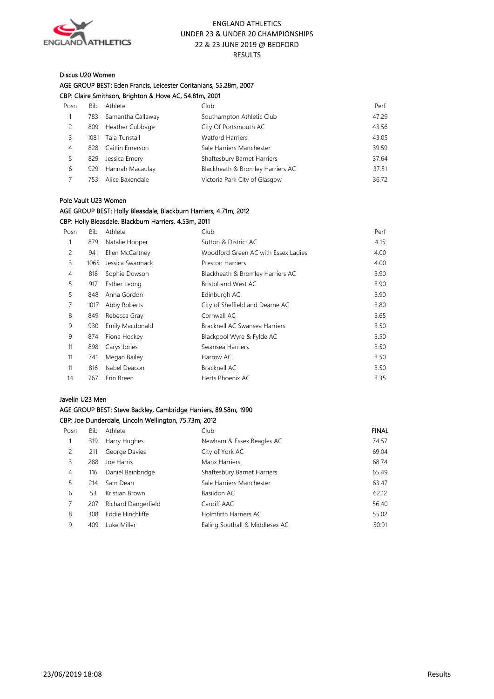

#### Discus U20 Women

## AGE GROUP BEST: Eden Francis, Leicester Coritanians, 55.28m, 2007

|                |            | CBP: Claire Smithson, Brighton & Hove AC, 54.81m, 2001 |                                  |       |
|----------------|------------|--------------------------------------------------------|----------------------------------|-------|
| Posn           | <b>Bib</b> | Athlete                                                | Club                             | Perf  |
| 1              | 783        | Samantha Callaway                                      | Southampton Athletic Club        | 47.29 |
| 2              | 809        | Heather Cubbage                                        | City Of Portsmouth AC            | 43.56 |
| 3              | 1081       | Taia Tunstall                                          | <b>Watford Harriers</b>          | 43.05 |
| $\overline{4}$ | 828        | Caitlin Emerson                                        | Sale Harriers Manchester         | 39.59 |
| 5              | 829        | Jessica Emery                                          | Shaftesbury Barnet Harriers      | 37.64 |
| 6              | 929        | Hannah Macaulay                                        | Blackheath & Bromley Harriers AC | 37.51 |
|                | 753        | Alice Baxendale                                        | Victoria Park City of Glasgow    | 36.72 |

#### Pole Vault U23 Women

## AGE GROUP BEST: Holly Bleasdale, Blackburn Harriers, 4.71m, 2012 CBP: Holly Bleasdale, Blackburn Harriers, 4.53m, 2011

| Posn | Bib  | Athlete          | Club                                | Perf |
|------|------|------------------|-------------------------------------|------|
|      | 879  | Natalie Hooper   | Sutton & District AC                | 4.15 |
| 2    | 941  | Ellen McCartney  | Woodford Green AC with Essex Ladies | 4.00 |
| 3    | 1065 | Jessica Swannack | <b>Preston Harriers</b>             | 4.00 |
| 4    | 818  | Sophie Dowson    | Blackheath & Bromley Harriers AC    | 3.90 |
| 5    | 917  | Esther Leong     | Bristol and West AC                 | 3.90 |
| 5    | 848  | Anna Gordon      | Edinburgh AC                        | 3.90 |
|      | 1017 | Abby Roberts     | City of Sheffield and Dearne AC     | 3.80 |
| 8    | 849  | Rebecca Gray     | Cornwall AC                         | 3.65 |
| 9    | 930  | Emily Macdonald  | Bracknell AC Swansea Harriers       | 3.50 |
| 9    | 874  | Fiona Hockey     | Blackpool Wyre & Fylde AC           | 3.50 |
| 11   | 898  | Carys Jones      | Swansea Harriers                    | 3.50 |
| 11   | 741  | Megan Bailey     | Harrow AC                           | 3.50 |
| 11   | 816  | Isabel Deacon    | Bracknell AC                        | 3.50 |
| 14   | 767  | Erin Breen       | Herts Phoenix AC                    | 3.35 |
|      |      |                  |                                     |      |

#### Javelin U23 Men

#### AGE GROUP BEST: Steve Backley, Cambridge Harriers, 89.58m, 1990 CBP: Joe Dunderdale, Lincoln Wellington, 75.73m, 2012

| Posn           | Bib | Athlete             | Club                           | <b>FINAL</b> |
|----------------|-----|---------------------|--------------------------------|--------------|
|                | 319 | Harry Hughes        | Newham & Essex Beagles AC      | 74.57        |
| 2              | 211 | George Davies       | City of York AC                | 69.04        |
| 3              | 288 | Joe Harris          | Manx Harriers                  | 68.74        |
| $\overline{4}$ | 116 | Daniel Bainbridge   | Shaftesbury Barnet Harriers    | 65.49        |
| 5.             | 214 | Sam Dean            | Sale Harriers Manchester       | 63.47        |
| 6              | 53  | Kristian Brown      | Basildon AC                    | 62.12        |
| 7              | 207 | Richard Dangerfield | Cardiff AAC                    | 56.40        |
| 8              | 308 | Eddie Hinchliffe    | Holmfirth Harriers AC          | 55.02        |
| 9              | 409 | Luke Miller         | Ealing Southall & Middlesex AC | 50.91        |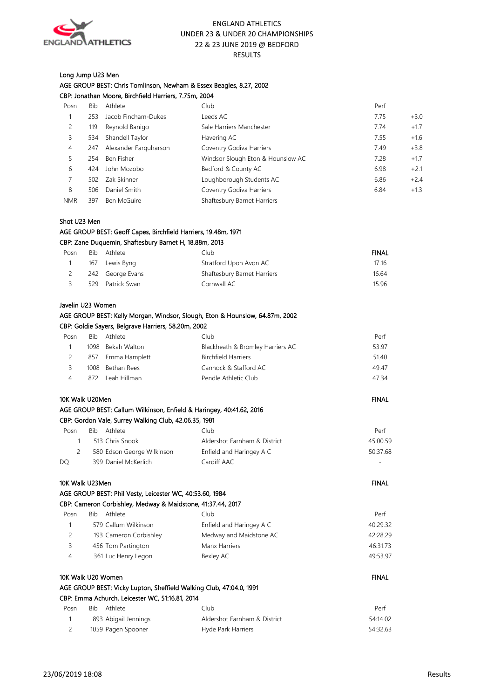

## Long Jump U23 Men

| AGE GROUP BEST: Chris Tomlinson, Newham & Essex Beagles, 8.27, 2002 |  |
|---------------------------------------------------------------------|--|
| CBP: Jonathan Moore, Birchfield Harriers, 7.75m, 2004               |  |

| Posn       | Bib | Athlete               | Club                              | Perf |        |
|------------|-----|-----------------------|-----------------------------------|------|--------|
|            | 253 | Jacob Fincham-Dukes   | Leeds AC                          | 7.75 | $+3.0$ |
| 2          | 119 | Reynold Banigo        | Sale Harriers Manchester          | 7.74 | $+1.7$ |
| 3          | 534 | Shandell Taylor       | Havering AC                       | 7.55 | $+1.6$ |
| 4          | 247 | Alexander Farguharson | Coventry Godiva Harriers          | 7.49 | $+3.8$ |
| 5.         | 254 | Ben Fisher            | Windsor Slough Eton & Hounslow AC | 7.28 | $+1.7$ |
| 6          | 424 | John Mozobo           | Bedford & County AC               | 6.98 | $+2.1$ |
|            | 502 | Zak Skinner           | Loughborough Students AC          | 6.86 | $+2.4$ |
| 8          | 506 | Daniel Smith          | Coventry Godiva Harriers          | 6.84 | $+1.3$ |
| <b>NMR</b> | 397 | Ben McGuire           | Shaftesbury Barnet Harriers       |      |        |

#### Shot U23 Men

AGE GROUP BEST: Geoff Capes, Birchfield Harriers, 19.48m, 1971

#### CBP: Zane Duquemin, Shaftesbury Barnet H, 18.88m, 2013

| Posn | Bib | Athlete          | Clubi                       | <b>FINAL</b> |
|------|-----|------------------|-----------------------------|--------------|
|      | 167 | Lewis Byng       | Stratford Upon Avon AC      | 17.16        |
| 2    |     | 242 George Evans | Shaftesbury Barnet Harriers | 16.64        |
|      | 529 | Patrick Swan     | Cornwall AC                 | 15.96        |

#### Javelin U23 Women

#### AGE GROUP BEST: Kelly Morgan, Windsor, Slough, Eton & Hounslow, 64.87m, 2002 CBP: Goldie Sayers, Belgrave Harriers, 58.20m, 2002

| Posn | Bib. | Athlete           | Club                             | Perf  |
|------|------|-------------------|----------------------------------|-------|
|      |      | 1098 Bekah Walton | Blackheath & Bromley Harriers AC | 53.97 |
|      |      | 857 Emma Hamplett | <b>Birchfield Harriers</b>       | 51.40 |
| ₹    | 1008 | Bethan Rees       | Cannock & Stafford AC            | 49.47 |
|      | 872  | Leah Hillman      | Pendle Athletic Club             | 47.34 |

#### 10K Walk U20Men FINAL And the U20Men Final And the U20Men Final And the U20Men Final And the U20Men Final And the U

| AGE GROUP BEST: Callum Wilkinson, Enfield & Haringey, 40:41.62, 2016 |  |
|----------------------------------------------------------------------|--|
| CBP: Gordon Vale, Surrey Walking Club, 42.06.35, 1981                |  |

| Posn | Bib<br>Athlete             | Club                         | Perf     |
|------|----------------------------|------------------------------|----------|
|      | 513 Chris Snook            | Aldershot Farnham & District | 45:00.59 |
|      | 580 Edson George Wilkinson | Enfield and Haringey A C     | 50:37.68 |
| DO   | 399 Daniel McKerlich       | Cardiff AAC                  | ٠        |

#### 10K Walk U23Men FINAL November 2021 and the USA of the USA of the USA of the USA of the USA of the USA of the U

|         |       |         | AGE GROUP BEST: Phil Vesty, Leicester WC, 40:53.60, 1984    |      |
|---------|-------|---------|-------------------------------------------------------------|------|
|         |       |         | CBP: Cameron Corbishley, Medway & Maidstone, 41:37.44, 2017 |      |
| $P0$ cn | - Rih | ⊿thlete | Cluh                                                        | Part |

| <b>EU5LE</b> | <b>DID</b><br>A111C1C  | <b>CHUD</b>              | <b>FEIL</b> |
|--------------|------------------------|--------------------------|-------------|
|              | 579 Callum Wilkinson   | Enfield and Haringey A C | 40:29.32    |
|              | 193 Cameron Corbishley | Medway and Maidstone AC  | 42:28.29    |
|              | 456 Tom Partington     | Manx Harriers            | 46:31.73    |
|              | 361 Luc Henry Legon    | Bexley AC                | 49:53.97    |
|              |                        |                          |             |

## 10K Walk U20 Women FINAL And the U20 Women Final And the U20 Women Final And the U20 Women Final And the U20 Women Final And the U20 Women of the U20 Women of the U20 Women of the U20 Women of the U20 Women of the U20 Wome AGE GROUP BEST: Vicky Lupton, Sheffield Walking Club, 47:04.0, 1991

|      | CBP: Emma Achurch, Leicester WC, 51:16.81, 2014 |                              |          |  |  |  |
|------|-------------------------------------------------|------------------------------|----------|--|--|--|
| Posn | <b>Rib</b><br>Athlete                           | Club                         | Perf     |  |  |  |
|      | 893 Abigail Jennings                            | Aldershot Farnham & District | 54:14.02 |  |  |  |
|      | 1059 Pagen Spooner                              | Hyde Park Harriers           | 54:32.63 |  |  |  |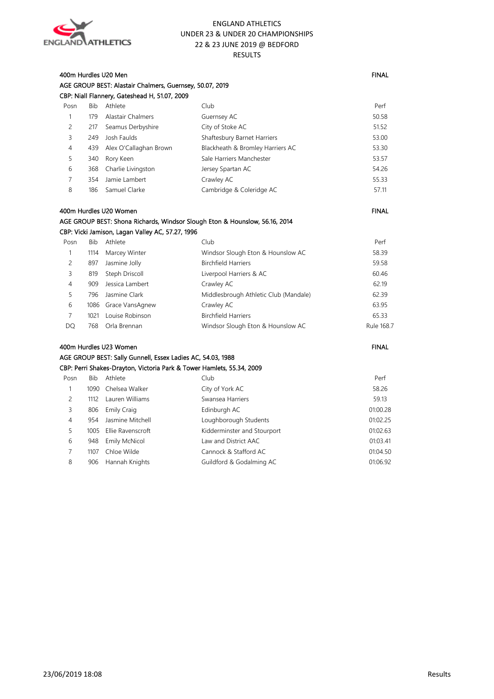

#### 400m Hurdles U20 Men FINAL And the State of the State of the State of the State of the State of the State of the State of the State of the State of the State of the State of the State of the State of the State of the State AGE GROUP BEST: Alastair Chalmers, Guernsey, 50.07, 2019 CBP: Niall Flannery, Gateshead H, 51.07, 2009

| Posn | Bib | Athlete                | Club.                            | Perf  |
|------|-----|------------------------|----------------------------------|-------|
|      | 179 | Alastair Chalmers      | Guernsey AC                      | 50.58 |
| 2    | 217 | Seamus Derbyshire      | City of Stoke AC                 | 51.52 |
| 3    | 249 | Josh Faulds            | Shaftesbury Barnet Harriers      | 53.00 |
| 4    | 439 | Alex O'Callaghan Brown | Blackheath & Bromley Harriers AC | 53.30 |
| 5    | 340 | Rory Keen              | Sale Harriers Manchester         | 53.57 |
| 6    | 368 | Charlie Livingston     | Jersey Spartan AC                | 54.26 |
|      | 354 | Jamie Lambert          | Crawley AC                       | 55.33 |
| 8    | 186 | Samuel Clarke          | Cambridge & Coleridge AC         | 57.11 |
|      |     |                        |                                  |       |

#### 400m Hurdles U20 Women FINAL And the U20 Women FINAL And the U20 Women FINAL And the U20 Women FINAL AGE GROUP BEST: Shona Richards, Windsor Slough Eton & Hounslow, 56.16, 2014 CBP: Vicki Jamison, Lagan Valley AC, 57.27, 1996

| Posn | Bib. | Athlete              | Club                                  | Perf       |
|------|------|----------------------|---------------------------------------|------------|
|      | 1114 | Marcey Winter        | Windsor Slough Eton & Hounslow AC     | 58.39      |
| 2    | 897  | Jasmine Jolly        | <b>Birchfield Harriers</b>            | 59.58      |
| 3    | 819  | Steph Driscoll       | Liverpool Harriers & AC               | 60.46      |
| 4    | 909  | Jessica Lambert      | Crawley AC                            | 62.19      |
| 5    | 796  | Jasmine Clark        | Middlesbrough Athletic Club (Mandale) | 62.39      |
| 6    |      | 1086 Grace VansAgnew | Crawley AC                            | 63.95      |
|      | 1021 | Louise Robinson      | <b>Birchfield Harriers</b>            | 65.33      |
| DO   | 768  | Orla Brennan         | Windsor Slough Eton & Hounslow AC     | Rule 168.7 |
|      |      |                      |                                       |            |

## 400m Hurdles U23 Women FINAL And the United States of the United States of the United States of the United States of the United States of the United States of the United States of the United States of the United States of AGE GROUP BEST: Sally Gunnell, Essex Ladies AC, 54.03, 1988 CBP: Perri Shakes-Drayton, Victoria Park & Tower Hamlets, 55.34, 2009 Posn Bib Athlete Club Club Club Perf 1 1090 Chelsea Walker City of York AC 58.26 2 1112 Lauren Williams Swansea Harriers 59.13 3 806 Emily Craig Edinburgh AC 01:00.28 4 954 Jasmine Mitchell Loughborough Students 01:02.25 5 1005 Ellie Ravenscroft Kidderminster and Stourport 01:02.63 6 948 Emily McNicol Law and District AAC 01:03.41 7 1107 Chloe Wilde Cannock & Stafford AC 01:04.50

8 906 Hannah Knights Guildford & Godalming AC 01:06.92

#### 23/06/2019 18:08 Results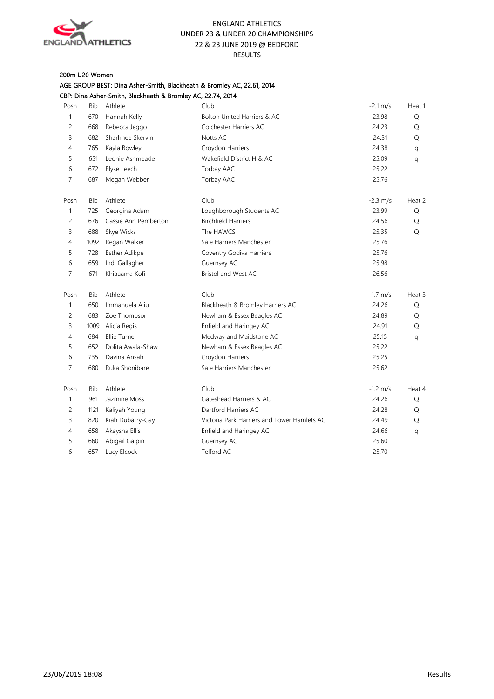

## 200m U20 Women AGE GROUP BEST: Dina Asher-Smith, Blackheath & Bromley AC, 22.61, 2014

|                |            | CBP: Dina Asher-Smith, Blackheath & Bromley AC, 22.74, 2014 |                                             |                      |        |
|----------------|------------|-------------------------------------------------------------|---------------------------------------------|----------------------|--------|
| Posn           | Bib        | Athlete                                                     | Club                                        | $-2.1 \text{ m/s}$   | Heat 1 |
| $\mathbf{1}$   | 670        | Hannah Kelly                                                | Bolton United Harriers & AC                 | 23.98                | Q      |
| $\overline{c}$ | 668        | Rebecca Jeggo                                               | Colchester Harriers AC                      | 24.23                | Q      |
| 3              | 682        | Sharhnee Skervin                                            | Notts AC                                    | 24.31                | Q      |
| 4              | 765        | Kayla Bowley                                                | Croydon Harriers                            | 24.38                | q      |
| 5              | 651        | Leonie Ashmeade                                             | Wakefield District H & AC                   | 25.09                | q      |
| 6              | 672        | Elyse Leech                                                 | Torbay AAC                                  | 25.22                |        |
| $\overline{7}$ | 687        | Megan Webber                                                | Torbay AAC                                  | 25.76                |        |
| Posn           | <b>Bib</b> | Athlete                                                     | Club                                        | $-2.3$ m/s           | Heat 2 |
| $\mathbf{1}$   | 725        | Georgina Adam                                               | Loughborough Students AC                    | 23.99                | Q      |
| 2              | 676        | Cassie Ann Pemberton                                        | <b>Birchfield Harriers</b>                  | 24.56                | Q      |
| 3              | 688        | Skye Wicks                                                  | The HAWCS                                   | 25.35                | Q      |
| $\overline{4}$ | 1092       | Regan Walker                                                | Sale Harriers Manchester                    | 25.76                |        |
| 5              | 728        | Esther Adikpe                                               | Coventry Godiva Harriers                    | 25.76                |        |
| 6              | 659        | Indi Gallagher                                              | Guernsey AC                                 | 25.98                |        |
| 7              | 671        | Khiaaama Kofi                                               | Bristol and West AC                         | 26.56                |        |
| Posn           | Bib        | Athlete                                                     | Club                                        | $-1.7$ m/s           | Heat 3 |
| $\mathbf{1}$   | 650        | Immanuela Aliu                                              | Blackheath & Bromley Harriers AC            | 24.26                | Q      |
| $\overline{c}$ | 683        | Zoe Thompson                                                | Newham & Essex Beagles AC                   | 24.89                | Q      |
| 3              | 1009       | Alicia Regis                                                | Enfield and Haringey AC                     | 24.91                | Q      |
| 4              | 684        | Ellie Turner                                                | Medway and Maidstone AC                     | 25.15                | q      |
| 5              | 652        | Dolita Awala-Shaw                                           | Newham & Essex Beagles AC                   | 25.22                |        |
| 6              | 735        | Davina Ansah                                                | Croydon Harriers                            | 25.25                |        |
| $\overline{7}$ | 680        | Ruka Shonibare                                              | Sale Harriers Manchester                    | 25.62                |        |
| Posn           | Bib        | Athlete                                                     | Club                                        | $-1.2 \, \text{m/s}$ | Heat 4 |
| $\mathbf{1}$   | 961        | Jazmine Moss                                                | Gateshead Harriers & AC                     | 24.26                | Q      |
| $\overline{c}$ | 1121       | Kaliyah Young                                               | Dartford Harriers AC                        | 24.28                | Q      |
| 3              | 820        | Kiah Dubarry-Gay                                            | Victoria Park Harriers and Tower Hamlets AC | 24.49                | Q      |
| 4              | 658        | Akaysha Ellis                                               | Enfield and Haringey AC                     | 24.66                | q      |
| 5              | 660        | Abigail Galpin                                              | Guernsey AC                                 | 25.60                |        |
| 6              | 657        | Lucy Elcock                                                 | Telford AC                                  | 25.70                |        |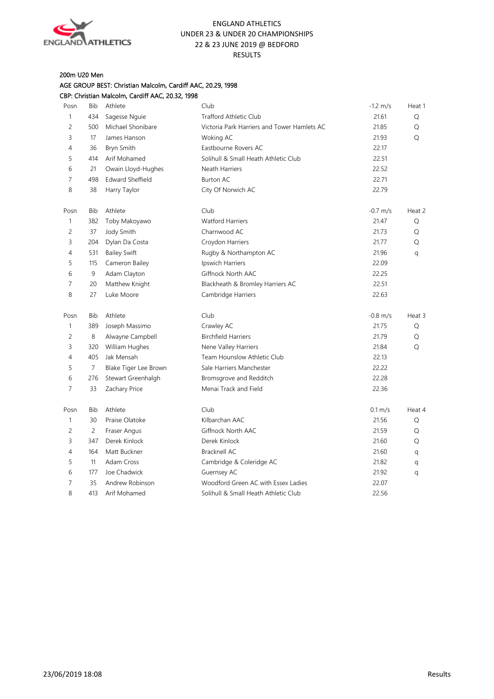

## 200m U20 Men

AGE GROUP BEST: Christian Malcolm, Cardiff AAC, 20.29, 1998 CBP: Christian Malcolm, Cardiff AAC, 20.32, 1998

| Posn           | Bib            | Athlete                 | Club                                        | $-1.2 \, \text{m/s}$ | Heat 1 |
|----------------|----------------|-------------------------|---------------------------------------------|----------------------|--------|
| 1              | 434            | Sagesse Nguie           | <b>Trafford Athletic Club</b>               | 21.61                | Q      |
| 2              | 500            | Michael Shonibare       | Victoria Park Harriers and Tower Hamlets AC | 21.85                | Q      |
| 3              | 17             | James Hanson            | Woking AC                                   | 21.93                | Q      |
| 4              | 36             | Bryn Smith              | Eastbourne Rovers AC                        | 22.17                |        |
| 5              | 414            | Arif Mohamed            | Solihull & Small Heath Athletic Club        | 22.51                |        |
| 6              | 21             | Owain Lloyd-Hughes      | Neath Harriers                              | 22.52                |        |
| 7              | 498            | <b>Edward Sheffield</b> | <b>Burton AC</b>                            | 22.71                |        |
| 8              | 38             | Harry Taylor            | City Of Norwich AC                          | 22.79                |        |
| Posn           | Bib            | Athlete                 | Club                                        | $-0.7$ m/s           | Heat 2 |
| 1              | 382            | Toby Makoyawo           | <b>Watford Harriers</b>                     | 21.47                | Q      |
| $\overline{c}$ | 37             | Jody Smith              | Charnwood AC                                | 21.73                | Q      |
| 3              | 204            | Dylan Da Costa          | Croydon Harriers                            | 21.77                | Q      |
| $\overline{4}$ | 531            | <b>Bailey Swift</b>     | Rugby & Northampton AC                      | 21.96                | q      |
| 5              | 115            | Cameron Bailey          | Ipswich Harriers                            | 22.09                |        |
| 6              | 9              | Adam Clayton            | Giffnock North AAC                          | 22.25                |        |
| $\overline{7}$ | 20             | Matthew Knight          | Blackheath & Bromley Harriers AC            | 22.51                |        |
| 8              | 27             | Luke Moore              | Cambridge Harriers                          | 22.63                |        |
| Posn           | <b>Bib</b>     | Athlete                 | Club                                        | $-0.8$ m/s           | Heat 3 |
| 1              | 389            | Joseph Massimo          | Crawley AC                                  | 21.75                | Q      |
| 2              | 8              | Alwayne Campbell        | <b>Birchfield Harriers</b>                  | 21.79                | Q      |
| 3              | 320            | William Hughes          | Nene Valley Harriers                        | 21.84                | Q      |
| $\overline{4}$ | 405            | Jak Mensah              | Team Hounslow Athletic Club                 | 22.13                |        |
| 5              | $\overline{7}$ | Blake Tiger Lee Brown   | Sale Harriers Manchester                    | 22.22                |        |
| 6              | 276            | Stewart Greenhalgh      | Bromsgrove and Redditch                     | 22.28                |        |
| $\overline{7}$ | 33             | Zachary Price           | Menai Track and Field                       | 22.36                |        |
| Posn           | Bib            | Athlete                 | Club                                        | $0.1 \, \text{m/s}$  | Heat 4 |
| 1              | 30             | Praise Olatoke          | Kilbarchan AAC                              | 21.56                | Q      |
| $\overline{c}$ | $\overline{c}$ | Fraser Angus            | Giffnock North AAC                          | 21.59                | Q      |
| 3              | 347            | Derek Kinlock           | Derek Kinlock                               | 21.60                | Q      |
| 4              | 164            | Matt Buckner            | <b>Bracknell AC</b>                         | 21.60                | q      |
| 5              | 11             | Adam Cross              | Cambridge & Coleridge AC                    | 21.82                | q      |
| 6              | 177            | Joe Chadwick            | Guernsey AC                                 | 21.92                | q      |
| 7              | 35             | Andrew Robinson         | Woodford Green AC with Essex Ladies         | 22.07                |        |
| 8              | 413            | Arif Mohamed            | Solihull & Small Heath Athletic Club        | 22.56                |        |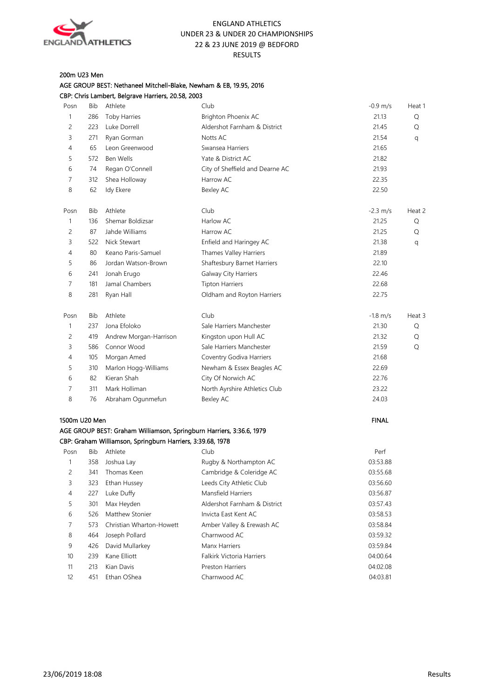

#### 200m U23 Men AGE GROUP BEST: Nethaneel Mitchell-Blake, Newham & EB, 19.95, 2016

|               |     | CBP: Chris Lambert, Belgrave Harriers, 20.58, 2003                   |                                 |                      |        |
|---------------|-----|----------------------------------------------------------------------|---------------------------------|----------------------|--------|
| Posn          | Bib | Athlete                                                              | Club                            | $-0.9 \, \text{m/s}$ | Heat 1 |
| $\mathbf{1}$  | 286 | <b>Toby Harries</b>                                                  | Brighton Phoenix AC             | 21.13                | Q      |
| 2             | 223 | Luke Dorrell                                                         | Aldershot Farnham & District    | 21.45                | Q      |
| 3             | 271 | Ryan Gorman                                                          | Notts AC                        | 21.54                | q      |
| 4             | 65  | Leon Greenwood                                                       | Swansea Harriers                | 21.65                |        |
| 5             | 572 | Ben Wells                                                            | Yate & District AC              | 21.82                |        |
| 6             | 74  | Regan O'Connell                                                      | City of Sheffield and Dearne AC | 21.93                |        |
| 7             | 312 | Shea Holloway                                                        | Harrow AC                       | 22.35                |        |
| 8             | 62  | Idy Ekere                                                            | Bexley AC                       | 22.50                |        |
| Posn          | Bib | Athlete                                                              | Club                            | $-2.3 \, \text{m/s}$ | Heat 2 |
| 1             | 136 | Shemar Boldizsar                                                     | Harlow AC                       | 21.25                | Q      |
| 2             | 87  | Jahde Williams                                                       | Harrow AC                       | 21.25                | Q      |
| 3             | 522 | Nick Stewart                                                         | Enfield and Haringey AC         | 21.38                | q      |
| 4             | 80  | Keano Paris-Samuel                                                   | Thames Valley Harriers          | 21.89                |        |
| 5             | 86  | Jordan Watson-Brown                                                  | Shaftesbury Barnet Harriers     | 22.10                |        |
| 6             | 241 | Jonah Erugo                                                          | Galway City Harriers            | 22.46                |        |
| 7             | 181 | Jamal Chambers                                                       | <b>Tipton Harriers</b>          | 22.68                |        |
| 8             | 281 | Ryan Hall                                                            | Oldham and Royton Harriers      | 22.75                |        |
| Posn          | Bib | Athlete                                                              | Club                            | $-1.8$ m/s           | Heat 3 |
| 1             | 237 | Jona Efoloko                                                         | Sale Harriers Manchester        | 21.30                | Q      |
| 2             | 419 | Andrew Morgan-Harrison                                               | Kingston upon Hull AC           | 21.32                | Q      |
| 3             | 586 | Connor Wood                                                          | Sale Harriers Manchester        | 21.59                | Q      |
| 4             | 105 | Morgan Amed                                                          | Coventry Godiva Harriers        | 21.68                |        |
| 5             | 310 | Marlon Hogg-Williams                                                 | Newham & Essex Beagles AC       | 22.69                |        |
| 6             | 82  | Kieran Shah                                                          | City Of Norwich AC              | 22.76                |        |
| 7             | 311 | Mark Holliman                                                        | North Ayrshire Athletics Club   | 23.22                |        |
| 8             | 76  | Abraham Ogunmefun                                                    | Bexley AC                       | 24.03                |        |
| 1500m U20 Men |     |                                                                      |                                 | <b>FINAL</b>         |        |
|               |     | AGE GROUP BEST: Graham Williamson, Springburn Harriers, 3:36.6, 1979 |                                 |                      |        |
|               |     | CBP: Graham Williamson, Springburn Harriers, 3:39.68, 1978           |                                 |                      |        |
| Posn          | Bib | Athlete                                                              | Club                            | Perf                 |        |
| 1             | 358 | Joshua Lay                                                           | Rugby & Northampton AC          | 03:53.88             |        |
| 2             | 341 | Thomas Keen                                                          | Cambridge & Coleridge AC        | 03:55.68             |        |
| 3             | 323 | Ethan Hussey                                                         | Leeds City Athletic Club        | 03:56.60             |        |
| 4             | 227 | Luke Duffy                                                           | Mansfield Harriers              | 03:56.87             |        |
| 5             | 301 | Max Heyden                                                           | Aldershot Farnham & District    | 03:57.43             |        |
| 6             | 526 | Matthew Stonier                                                      | Invicta East Kent AC            | 03:58.53             |        |
| 7             | 573 | Christian Wharton-Howett                                             | Amber Valley & Erewash AC       | 03:58.84             |        |
| 8             | 464 | Joseph Pollard                                                       | Charnwood AC                    | 03:59.32             |        |
| 9             | 426 | David Mullarkey                                                      | Manx Harriers                   | 03:59.84             |        |
| 10            | 239 | Kane Elliott                                                         | Falkirk Victoria Harriers       | 04:00.64             |        |
| 11            | 213 | Kian Davis                                                           | Preston Harriers                | 04:02.08             |        |
| 12            | 451 | Ethan OShea                                                          | Charnwood AC                    | 04:03.81             |        |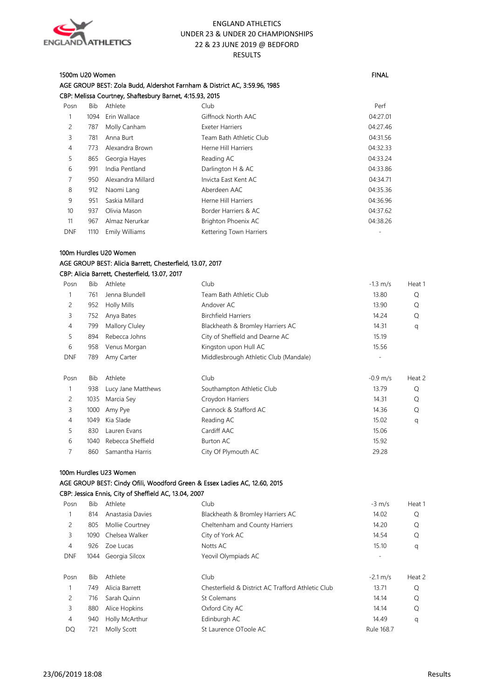

#### 1500m U20 Women FINAL

AGE GROUP BEST: Zola Budd, Aldershot Farnham & District AC, 3:59.96, 1985 CBP: Melissa Courtney, Shaftesbury Barnet, 4:15.93, 2015 Posn Bib Athlete Club Perf 1 1094 Erin Wallace Giffnock North AAC 04:27.01 2 787 Molly Canham Exeter Harriers 04:27.46 3 781 Anna Burt Team Bath Athletic Club 04:31.56 4 773 Alexandra Brown Herne Hill Harriers **12.2008** Herne Hill Harriers **12.33** 5 865 Georgia Hayes Reading AC Reading AC 04:33.24 6 991 India Pentland Darlington H & AC 04:33.86 7 950 Alexandra Millard Invicta East Kent AC 04:34.71 8 912 Naomi Lang Aberdeen AAC 64:35.36 9 951 Saskia Millard **Herne Hill Harriers** 64:36.96 10 937 Olivia Mason Border Harriers & AC 04:37.62 11 967 Almaz Nerurkar Brighton Phoenix AC 04:38.26 DNF 1110 Emily Williams **Kettering Town Harriers CONF** 

#### 100m Hurdles U20 Women AGE GROUP BEST: Alicia Barrett, Chesterfield, 13.07, 2017 CBP: Alicia Barrett, Chesterfield, 13.07, 2017

| Posn           | Bib        | Athlete            | Club                                  | $-1.3$ m/s | Heat 1 |
|----------------|------------|--------------------|---------------------------------------|------------|--------|
|                | 761        | Jenna Blundell     | Team Bath Athletic Club               | 13.80      | Q      |
| $\overline{c}$ | 952        | <b>Holly Mills</b> | Andover AC                            | 13.90      | Q      |
| 3              | 752        | Anya Bates         | <b>Birchfield Harriers</b>            | 14.24      | Q      |
| $\overline{4}$ | 799        | Mallory Cluley     | Blackheath & Bromley Harriers AC      | 14.31      | q      |
| 5              | 894        | Rebecca Johns      | City of Sheffield and Dearne AC       | 15.19      |        |
| 6              | 958        | Venus Morgan       | Kingston upon Hull AC                 | 15.56      |        |
| <b>DNF</b>     | 789        | Amy Carter         | Middlesbrough Athletic Club (Mandale) |            |        |
|                |            |                    |                                       |            |        |
| Posn           | <b>Bib</b> | Athlete            | Club                                  | $-0.9$ m/s | Heat 2 |
|                | 938        | Lucy Jane Matthews | Southampton Athletic Club             | 13.79      | Q      |
| 2              | 1035       | Marcia Sey         | Croydon Harriers                      | 14.31      | Q      |
| 3              | 1000       | Amy Pye            | Cannock & Stafford AC                 | 14.36      | Q      |
| 4              | 1049       | Kia Slade          | Reading AC                            | 15.02      | q      |
| 5              | 830        | Lauren Evans       | Cardiff AAC                           | 15.06      |        |
| 6              | 1040       | Rebecca Sheffield  | Burton AC                             | 15.92      |        |
|                | 860        | Samantha Harris    | City Of Plymouth AC                   | 29.28      |        |
|                |            |                    |                                       |            |        |

## 100m Hurdles U23 Women

#### AGE GROUP BEST: Cindy Ofili, Woodford Green & Essex Ladies AC, 12.60, 2015 CBP: Jessica Ennis, City of Sheffield AC, 13.04, 2007

| Posn           | Bib        | Athlete          | Club                                              | $-3$ m/s                 | Heat 1 |
|----------------|------------|------------------|---------------------------------------------------|--------------------------|--------|
| 1              | 814        | Anastasia Davies | Blackheath & Bromley Harriers AC                  | 14.02                    | Q      |
| 2              | 805        | Mollie Courtney  | Cheltenham and County Harriers                    | 14.20                    | Q      |
| 3              | 1090       | Chelsea Walker   | City of York AC                                   | 14.54                    | Q      |
| 4              | 926        | Zoe Lucas        | Notts AC                                          | 15.10                    | q      |
| <b>DNF</b>     | 1044       | Georgia Silcox   | Yeovil Olympiads AC                               | $\overline{\phantom{a}}$ |        |
|                |            |                  |                                                   |                          |        |
| Posn           | <b>Bib</b> | Athlete          | Club                                              | $-2.1 \text{ m/s}$       | Heat 2 |
| 1              | 749        | Alicia Barrett   | Chesterfield & District AC Trafford Athletic Club | 13.71                    | O      |
| 2              | 716        | Sarah Quinn      | St Colemans                                       | 14.14                    | Q      |
| 3              | 880        | Alice Hopkins    | Oxford City AC                                    | 14.14                    | Q      |
| $\overline{4}$ | 940        | Holly McArthur   | Edinburgh AC                                      | 14.49                    | q      |
| DQ             | 721        | Molly Scott      | St Laurence OToole AC                             | Rule 168.7               |        |
|                |            |                  |                                                   |                          |        |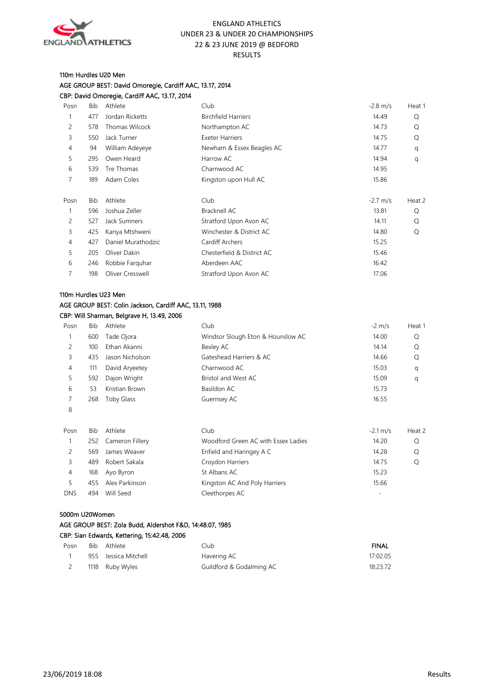

## 110m Hurdles U20 Men AGE GROUP BEST: David Omoregie, Cardiff AAC, 13.17, 2014 CBP: David Omoregie, Cardiff AAC, 13.17, 2014

| Posn           | Bib        | Athlete            | Club                       | $-2.8$ m/s | Heat 1 |
|----------------|------------|--------------------|----------------------------|------------|--------|
|                | 477        | Jordan Ricketts    | <b>Birchfield Harriers</b> | 14.49      | Q      |
| 2              | 578        | Thomas Wilcock     | Northampton AC             | 14.73      | Q      |
| 3              | 550        | Jack Turner        | <b>Exeter Harriers</b>     | 14.75      | Q      |
| 4              | 94         | William Adeyeye    | Newham & Essex Beagles AC  | 14.77      | q      |
| 5              | 295        | Owen Heard         | Harrow AC                  | 14.94      | q      |
| 6              | 539        | Tre Thomas         | Charnwood AC               | 14.95      |        |
| 7              | 189        | Adam Coles         | Kingston upon Hull AC      | 15.86      |        |
|                |            |                    |                            |            |        |
| Posn           | <b>Bib</b> | Athlete            | Club                       | $-2.7$ m/s | Heat 2 |
|                | 596        | Joshua Zeller      | Bracknell AC               | 13.81      | Q      |
| 2              | 527        | Jack Sumners       | Stratford Upon Avon AC     | 14.11      | Q      |
| 3              | 425        | Kanya Mtshweni     | Winchester & District AC   | 14.80      | Q      |
| $\overline{4}$ | 427        | Daniel Murathodzic | Cardiff Archers            | 15.25      |        |
| 5              | 205        | Oliver Dakin       | Chesterfield & District AC | 15.46      |        |
| 6              | 246        | Robbie Farguhar    | Aberdeen AAC               | 16.42      |        |
|                | 198        | Oliver Cresswell   | Stratford Upon Avon AC     | 17.06      |        |
|                |            |                    |                            |            |        |

## 110m Hurdles U23 Men AGE GROUP BEST: Colin Jackson, Cardiff AAC, 13.11, 1988 CBP: Will Sharman, Belgrave H, 13.49, 2006

| Posn | Bib | Athlete         | Club                              | $-2$ m/s | Heat 1 |
|------|-----|-----------------|-----------------------------------|----------|--------|
|      | 600 | Tade Ojora      | Windsor Slough Eton & Hounslow AC | 14.00    | Q      |
|      | 100 | Ethan Akanni    | Bexley AC                         | 14.14    | Q      |
| 3    | 435 | Jason Nicholson | Gateshead Harriers & AC           | 14.66    | O      |
| 4    | 111 | David Aryeetey  | Charnwood AC                      | 15.03    | q      |
| 5.   | 592 | Dajon Wright    | Bristol and West AC               | 15.09    | q      |
| 6    | 53  | Kristian Brown  | Basildon AC                       | 15.73    |        |
|      | 268 | Toby Glass      | Guernsey AC                       | 16.55    |        |
| 8    |     |                 |                                   |          |        |

| Posn       | Bib | Athlete         | Club                                | $-2.1 \text{ m/s}$ | Heat 2 |
|------------|-----|-----------------|-------------------------------------|--------------------|--------|
|            | 252 | Cameron Fillery | Woodford Green AC with Essex Ladies | 14.20              | Q      |
|            | 569 | James Weaver    | Enfield and Haringey A C            | 14.28              | O      |
|            | 489 | Robert Sakala   | Croydon Harriers                    | 14.75              | O      |
| 4          | 168 | Ayo Byron       | St Albans AC                        | 15.23              |        |
|            | 455 | Alex Parkinson  | Kingston AC And Poly Harriers       | 15.66              |        |
| <b>DNS</b> | 494 | Will Seed       | Cleethorpes AC                      | -                  |        |

#### 5000m U20Women

#### AGE GROUP BEST: Zola Budd, Aldershot F&D, 14:48.07, 1985

|      |       | CBP: Sian Edwards, Kettering, 15:42.48, 2006 |      |  |
|------|-------|----------------------------------------------|------|--|
| Posn | Rih l | Athlete                                      | Club |  |

| Posn | Bib Athlete          | Club                     | FINAL    |
|------|----------------------|--------------------------|----------|
|      | 955 Jessica Mitchell | Havering AC              | 17:02.05 |
|      | 1118 Ruby Wyles      | Guildford & Godalming AC | 18:23.72 |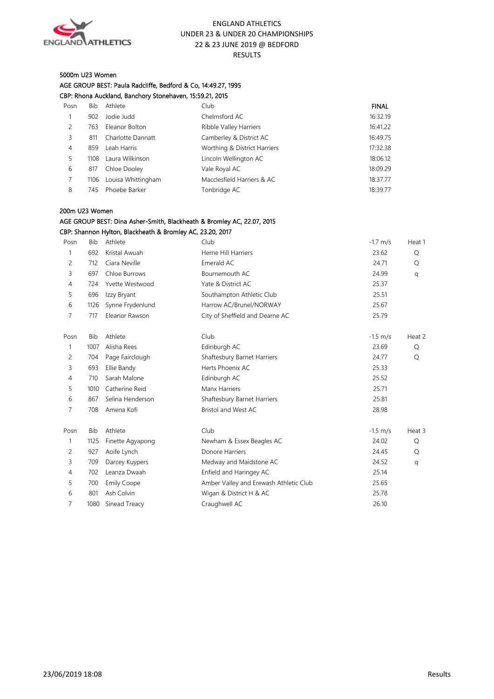

#### 5000m U23 Women

AGE GROUP BEST: Paula Radcliffe, Bedford & Co, 14:49.27, 1995

| CBP: Rhona Auckland, Banchory Stonehaven, 15:59.21, 2015 |      |                    |                              |              |
|----------------------------------------------------------|------|--------------------|------------------------------|--------------|
| Posn                                                     | Bib  | Athlete            | Club                         | <b>FINAL</b> |
|                                                          | 902  | Jodie Judd         | Chelmsford AC                | 16:32.19     |
| 2                                                        | 763  | Eleanor Bolton     | Ribble Valley Harriers       | 16:41.22     |
| 3                                                        | 811  | Charlotte Dannatt  | Camberley & District AC      | 16:49.75     |
| $\overline{4}$                                           | 859  | Leah Harris        | Worthing & District Harriers | 17:32.38     |
| 5                                                        | 1108 | Laura Wilkinson    | Lincoln Wellington AC        | 18:06.12     |
| 6                                                        | 817  | Chloe Dooley       | Vale Royal AC                | 18:09.29     |
|                                                          | 1106 | Louisa Whittingham | Macclesfield Harriers & AC   | 18:37.77     |
| 8                                                        | 745  | Phoebe Barker      | Tonbridge AC                 | 18:39.77     |

#### 200m U23 Women

## AGE GROUP BEST: Dina Asher-Smith, Blackheath & Bromley AC, 22.07, 2015

CBP: Shannon Hylton, Blackheath & Bromley AC, 23.20, 2017

| Posn           | <b>Bib</b> | Athlete            | Club                                   | $-1.7$ m/s | Heat 1 |
|----------------|------------|--------------------|----------------------------------------|------------|--------|
| 1              | 692        | Kristal Awuah      | Herne Hill Harriers                    | 23.62      | Q      |
| 2              | 712        | Ciara Neville      | Emerald AC                             | 24.71      | Q      |
| 3              | 697        | Chloe Burrows      | Bournemouth AC                         | 24.99      | q      |
| $\overline{4}$ | 724        | Yvette Westwood    | Yate & District AC                     | 25.37      |        |
| 5              | 696        | Izzy Bryant        | Southampton Athletic Club              | 25.51      |        |
| 6              | 1126       | Synne Frydenlund   | Harrow AC/Brunel/NORWAY                | 25.67      |        |
| 7              | 717        | Eleanor Rawson     | City of Sheffield and Dearne AC        | 25.79      |        |
| Posn           | <b>Bib</b> | Athlete            | Club                                   | $-1.5$ m/s | Heat 2 |
| 1              | 1007       | Alisha Rees        | Edinburgh AC                           | 23.69      | Q      |
| 2              | 704        | Page Fairclough    | Shaftesbury Barnet Harriers            | 24.77      | Q      |
| 3              | 693        | Ellie Bandy        | Herts Phoenix AC                       | 25.33      |        |
| $\overline{4}$ | 710        | Sarah Malone       | Edinburgh AC                           | 25.52      |        |
| 5              | 1010       | Catherine Reid     | Manx Harriers                          | 25.71      |        |
| 6              | 867        | Selina Henderson   | Shaftesbury Barnet Harriers            | 25.81      |        |
| 7              | 708        | Amena Kofi         | Bristol and West AC                    | 28.98      |        |
| Posn           | <b>Bib</b> | Athlete            | Club                                   | $-1.5$ m/s | Heat 3 |
| $\mathbf{1}$   | 1125       | Finette Agyapong   | Newham & Essex Beagles AC              | 24.02      | Q      |
| 2              | 927        | Aoife Lynch        | Donore Harriers                        | 24.45      | Q      |
| 3              | 709        | Darcey Kuypers     | Medway and Maidstone AC                | 24.52      | q      |
| $\overline{4}$ | 702        | Leanza Dwaah       | Enfield and Haringey AC                | 25.14      |        |
| 5              | 700        | <b>Emily Coope</b> | Amber Valley and Erewash Athletic Club | 25.65      |        |
| 6              | 801        | Ash Colvin         | Wigan & District H & AC                | 25.78      |        |
| 7              | 1080       | Sinead Treacy      | Craughwell AC                          | 26.10      |        |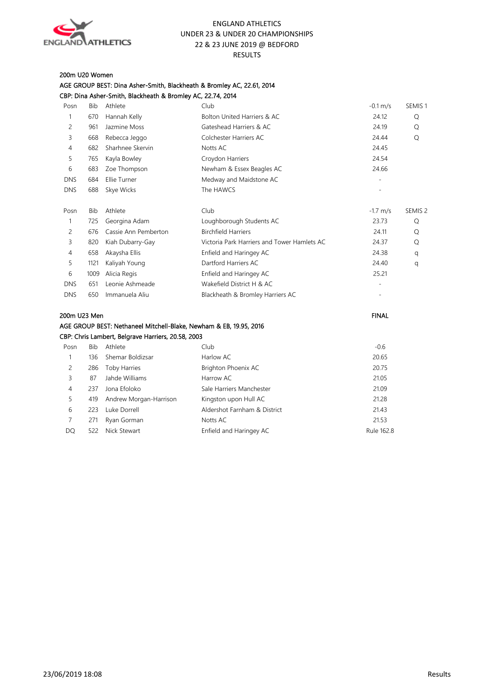

## 200m U20 Women

|                |            | CBP: Dina Asher-Smith, Blackheath & Bromley AC, 22.74, 2014        |                                             |                    |                    |
|----------------|------------|--------------------------------------------------------------------|---------------------------------------------|--------------------|--------------------|
| Posn           | <b>Bib</b> | Athlete                                                            | Club                                        | $-0.1 \text{ m/s}$ | SEMIS <sub>1</sub> |
| $\mathbf{1}$   | 670        | Hannah Kelly                                                       | <b>Bolton United Harriers &amp; AC</b>      | 24.12              | Q                  |
| $\overline{c}$ | 961        | Jazmine Moss                                                       | Gateshead Harriers & AC                     | 24.19              | Q                  |
| 3              | 668        | Rebecca Jeggo                                                      | Colchester Harriers AC                      | 24.44              | Q                  |
| 4              | 682        | Sharhnee Skervin                                                   | Notts AC                                    | 24.45              |                    |
| 5              | 765        | Kayla Bowley                                                       | Croydon Harriers                            | 24.54              |                    |
| 6              | 683        | Zoe Thompson                                                       | Newham & Essex Beagles AC                   | 24.66              |                    |
| <b>DNS</b>     | 684        | Ellie Turner                                                       | Medway and Maidstone AC                     |                    |                    |
| <b>DNS</b>     | 688        | Skye Wicks                                                         | The HAWCS                                   |                    |                    |
| Posn           | <b>Bib</b> | Athlete                                                            | Club                                        | $-1.7$ m/s         | SEMIS <sub>2</sub> |
| $\mathbf{1}$   | 725        | Georgina Adam                                                      | Loughborough Students AC                    | 23.73              | Q                  |
| 2              | 676        | Cassie Ann Pemberton                                               | <b>Birchfield Harriers</b>                  | 24.11              | Q                  |
| 3              | 820        | Kiah Dubarry-Gay                                                   | Victoria Park Harriers and Tower Hamlets AC | 24.37              | Q                  |
| 4              | 658        | Akaysha Ellis                                                      | Enfield and Haringey AC                     | 24.38              | q                  |
| 5              | 1121       | Kaliyah Young                                                      | Dartford Harriers AC                        | 24.40              | q                  |
| 6              | 1009       | Alicia Regis                                                       | Enfield and Haringey AC                     | 25.21              |                    |
| <b>DNS</b>     | 651        | Leonie Ashmeade                                                    | Wakefield District H & AC                   |                    |                    |
| <b>DNS</b>     | 650        | Immanuela Aliu                                                     | Blackheath & Bromley Harriers AC            |                    |                    |
| 200m U23 Men   |            |                                                                    |                                             | <b>FINAL</b>       |                    |
|                |            | AGE GROUP BEST: Nethaneel Mitchell-Blake, Newham & EB, 19.95, 2016 |                                             |                    |                    |
|                |            | CBP: Chris Lambert, Belgrave Harriers, 20.58, 2003                 |                                             |                    |                    |
| Posn           | <b>Bib</b> | Athlete                                                            | Club                                        | $-0.6$             |                    |
| 1              | 136        | Shemar Boldizsar                                                   | Harlow AC                                   | 20.65              |                    |
| 2              | 286        | <b>Toby Harries</b>                                                | Brighton Phoenix AC                         | 20.75              |                    |
| 3              | 87         | Jahde Williams                                                     | Harrow AC                                   | 21.05              |                    |
| 4              | 237        | Jona Efoloko                                                       | Sale Harriers Manchester                    | 21.09              |                    |
| 5              | 419        | Andrew Morgan-Harrison                                             | Kingston upon Hull AC                       | 21.28              |                    |
| 6              | 223        | Luke Dorrell                                                       | Aldershot Farnham & District                | 21.43              |                    |

7 271 Ryan Gorman Notts AC 21.53 DQ 522 Nick Stewart Enfield and Haringey AC 62.8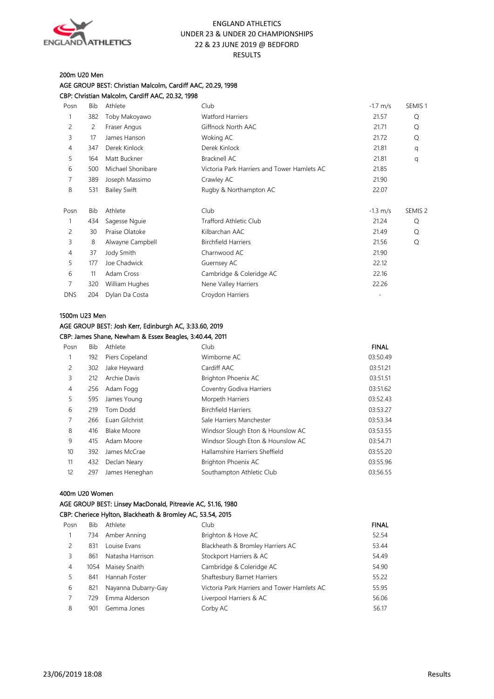

#### 200m U20 Men

AGE GROUP BEST: Christian Malcolm, Cardiff AAC, 20.29, 1998 CBP: Christian Malcolm, Cardiff AAC, 20.32, 1998

| Posn       | <b>Bib</b> | Athlete             | Club                                        | $-1.7$ m/s | SEMIS <sub>1</sub> |
|------------|------------|---------------------|---------------------------------------------|------------|--------------------|
| 1          | 382        | Toby Makoyawo       | <b>Watford Harriers</b>                     | 21.57      | Q                  |
| 2          | 2          | Fraser Angus        | Giffnock North AAC                          | 21.71      | Q                  |
| 3          | 17         | James Hanson        | Woking AC                                   | 21.72      | Q                  |
| 4          | 347        | Derek Kinlock       | Derek Kinlock                               | 21.81      | q                  |
| 5          | 164        | Matt Buckner        | <b>Bracknell AC</b>                         | 21.81      | q                  |
| 6          | 500        | Michael Shonibare   | Victoria Park Harriers and Tower Hamlets AC | 21.85      |                    |
| 7          | 389        | Joseph Massimo      | Crawley AC                                  | 21.90      |                    |
| 8          | 531        | <b>Bailey Swift</b> | Rugby & Northampton AC                      | 22.07      |                    |
|            |            |                     |                                             |            |                    |
| Posn       | <b>Bib</b> | Athlete             | Club                                        | $-1.3$ m/s | SEMIS <sub>2</sub> |
|            | 434        | Sagesse Nguie       | <b>Trafford Athletic Club</b>               | 21.24      | Q                  |
| 2          | 30         | Praise Olatoke      | Kilbarchan AAC                              | 21.49      | Q                  |
| 3          | 8          | Alwayne Campbell    | <b>Birchfield Harriers</b>                  | 21.56      | Q                  |
| 4          | 37         | Jody Smith          | Charnwood AC                                | 21.90      |                    |
| 5          | 177        | Joe Chadwick        | Guernsey AC                                 | 22.12      |                    |
| 6          | 11         | Adam Cross          | Cambridge & Coleridge AC                    | 22.16      |                    |
| 7          | 320        | William Hughes      | Nene Valley Harriers                        | 22.26      |                    |
| <b>DNS</b> | 204        | Dylan Da Costa      | Croydon Harriers                            |            |                    |
|            |            |                     |                                             |            |                    |

#### 1500m U23 Men

#### AGE GROUP BEST: Josh Kerr, Edinburgh AC, 3:33.60, 2019 CBP: James Shane, Newham & Essex Beagles, 3:40.44, 2011

| Posn | Bib | Athlete            | Club                              | <b>FINAL</b> |
|------|-----|--------------------|-----------------------------------|--------------|
|      | 192 | Piers Copeland     | Wimborne AC                       | 03:50.49     |
| 2    | 302 | Jake Heyward       | Cardiff AAC                       | 03:51.21     |
| 3    | 212 | Archie Davis       | Brighton Phoenix AC               | 03:51.51     |
| 4    | 256 | Adam Fogg          | Coventry Godiva Harriers          | 03:51.62     |
| 5    | 595 | James Young        | Morpeth Harriers                  | 03:52.43     |
| 6    | 219 | Tom Dodd           | <b>Birchfield Harriers</b>        | 03:53.27     |
| 7    | 266 | Euan Gilchrist     | Sale Harriers Manchester          | 03:53.34     |
| 8    | 416 | <b>Blake Moore</b> | Windsor Slough Eton & Hounslow AC | 03:53.55     |
| 9    | 415 | Adam Moore         | Windsor Slough Eton & Hounslow AC | 03:54.71     |
| 10   | 392 | James McCrae       | Hallamshire Harriers Sheffield    | 03:55.20     |
| 11   | 432 | Declan Neary       | Brighton Phoenix AC               | 03:55.96     |
| 12   | 297 | James Heneghan     | Southampton Athletic Club         | 03:56.55     |

#### 400m U20 Women

## AGE GROUP BEST: Linsey MacDonald, Pitreavie AC, 51.16, 1980

#### CBP: Cheriece Hylton, Blackheath & Bromley AC, 53.54, 2015

| Posn | Bib | Athlete             | Club                                        | <b>FINAL</b> |
|------|-----|---------------------|---------------------------------------------|--------------|
|      | 734 | Amber Anning        | Brighton & Hove AC                          | 52.54        |
| 2    | 831 | Louise Evans        | Blackheath & Bromley Harriers AC            | 53.44        |
| 3    | 861 | Natasha Harrison    | Stockport Harriers & AC                     | 54.49        |
| 4    |     | 1054 Maisey Snaith  | Cambridge & Coleridge AC                    | 54.90        |
| 5.   | 841 | Hannah Foster       | Shaftesbury Barnet Harriers                 | 55.22        |
| 6    | 821 | Nayanna Dubarry-Gay | Victoria Park Harriers and Tower Hamlets AC | 55.95        |
|      | 729 | Emma Alderson       | Liverpool Harriers & AC                     | 56.06        |
| 8    | 901 | Gemma Jones         | Corby AC                                    | 56.17        |
|      |     |                     |                                             |              |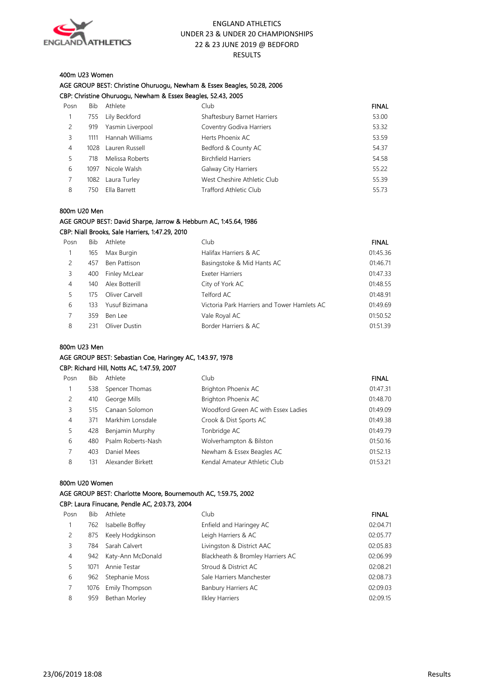

#### 400m U23 Women

#### AGE GROUP BEST: Christine Ohuruogu, Newham & Essex Beagles, 50.28, 2006 CBP: Christine Ohuruogu, Newham & Essex Beagles, 52.43, 2005

| Posn | Bib  | Athlete          | Club                        | <b>FINAL</b> |
|------|------|------------------|-----------------------------|--------------|
|      | 755  | Lily Beckford    | Shaftesbury Barnet Harriers | 53.00        |
| 2    | 919  | Yasmin Liverpool | Coventry Godiva Harriers    | 53.32        |
| 3    | 1111 | Hannah Williams  | Herts Phoenix AC            | 53.59        |
| 4    | 1028 | Lauren Russell   | Bedford & County AC         | 54.37        |
| 5    | 718  | Melissa Roberts  | <b>Birchfield Harriers</b>  | 54.58        |
| 6    | 1097 | Nicole Walsh     | Galway City Harriers        | 55.22        |
|      | 1082 | Laura Turley     | West Cheshire Athletic Club | 55.39        |
| 8    | 750  | Ella Barrett     | Trafford Athletic Club      | 55.73        |
|      |      |                  |                             |              |

#### 800m U20 Men

#### AGE GROUP BEST: David Sharpe, Jarrow & Hebburn AC, 1:45.64, 1986 CBP: Niall Brooks, Sale Harriers, 1:47.29, 2010

| Posn | <b>Bib</b> | Athlete        | Club                                        | <b>FINAL</b> |
|------|------------|----------------|---------------------------------------------|--------------|
|      | 165        | Max Burgin     | Halifax Harriers & AC                       | 01:45.36     |
| 2    | 457        | Ben Pattison   | Basingstoke & Mid Hants AC                  | 01:46.71     |
| 3    | 400        | Finley McLear  | <b>Exeter Harriers</b>                      | 01:47.33     |
| 4    | 140        | Alex Botterill | City of York AC                             | 01:48.55     |
| 5    | 175        | Oliver Carvell | Telford AC                                  | 01:48.91     |
| 6    | 133        | Yusuf Bizimana | Victoria Park Harriers and Tower Hamlets AC | 01:49.69     |
|      | 359        | Ben Lee        | Vale Royal AC                               | 01:50.52     |
| 8    | 231        | Oliver Dustin  | Border Harriers & AC                        | 01:51.39     |

#### 800m U23 Men

#### AGE GROUP BEST: Sebastian Coe, Haringey AC, 1:43.97, 1978 CBP: Richard Hill, Notts AC, 1:47.59, 2007

| Posn | <b>Bib</b> | Athlete            | Club                                | <b>FINAL</b> |
|------|------------|--------------------|-------------------------------------|--------------|
|      | 538        | Spencer Thomas     | Brighton Phoenix AC                 | 01:47.31     |
| 2    | 410        | George Mills       | Brighton Phoenix AC                 | 01:48.70     |
| 3    | 515        | Canaan Solomon     | Woodford Green AC with Essex Ladies | 01:49.09     |
| 4    | 371        | Markhim Lonsdale   | Crook & Dist Sports AC              | 01:49.38     |
| 5.   | 428        | Benjamin Murphy    | Tonbridge AC                        | 01:49.79     |
| 6    | 480        | Psalm Roberts-Nash | Wolverhampton & Bilston             | 01:50.16     |
|      | 403        | Daniel Mees        | Newham & Essex Beagles AC           | 01:52.13     |
| 8    | 131        | Alexander Birkett  | Kendal Amateur Athletic Club        | 01:53.21     |

#### 800m U20 Women

AGE GROUP BEST: Charlotte Moore, Bournemouth AC, 1:59.75, 2002 CBP: Laura Finucane, Pendle AC, 2:03.73, 2004

| Posn           | Bib  | Athlete           | Club                             | <b>FINAL</b> |
|----------------|------|-------------------|----------------------------------|--------------|
|                | 762  | Isabelle Boffey   | Enfield and Haringey AC          | 02:04.71     |
| 2              | 875  | Keely Hodgkinson  | Leigh Harriers & AC              | 02:05.77     |
| 3              | 784  | Sarah Calvert     | Livingston & District AAC        | 02:05.83     |
| $\overline{4}$ | 942  | Katy-Ann McDonald | Blackheath & Bromley Harriers AC | 02:06.99     |
| 5              | 1071 | Annie Testar      | Stroud & District AC             | 02:08.21     |
| 6              | 962  | Stephanie Moss    | Sale Harriers Manchester         | 02:08.73     |
|                | 1076 | Emily Thompson    | Banbury Harriers AC              | 02:09.03     |
| 8              | 959  | Bethan Morley     | <b>Ilkley Harriers</b>           | 02:09.15     |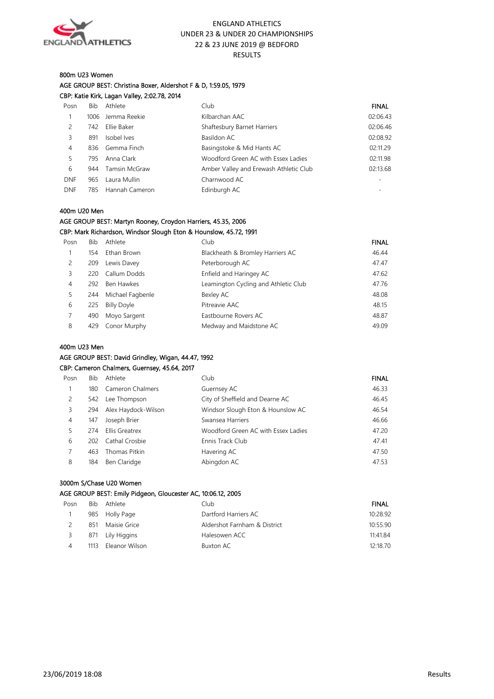

#### 800m U23 Women AGE GROUP BEST: Christina Boxer, Aldershot F & D, 1:59.05, 1979 CBP: Katie Kirk, Lagan Valley, 2:02.78, 2014

| Posn       | Bib. | Athlete         | Club                                   | <b>FINAL</b> |
|------------|------|-----------------|----------------------------------------|--------------|
|            | 1006 | Jemma Reekie    | Kilbarchan AAC                         | 02:06.43     |
| 2          | 742  | Ellie Baker     | Shaftesbury Barnet Harriers            | 02:06.46     |
| 3          | 891  | Isobel Ives     | Basildon AC                            | 02:08.92     |
| 4          |      | 836 Gemma Finch | Basingstoke & Mid Hants AC             | 02:11.29     |
| 5.         | 795  | Anna Clark      | Woodford Green AC with Essex Ladies    | 02:11.98     |
| 6          | 944  | Tamsin McGraw   | Amber Valley and Erewash Athletic Club | 02:13.68     |
| <b>DNF</b> | 965  | Laura Mullin    | Charnwood AC                           |              |
| <b>DNF</b> | 785  | Hannah Cameron  | Edinburgh AC                           |              |
|            |      |                 |                                        |              |

#### 400m U20 Men

#### AGE GROUP BEST: Martyn Rooney, Croydon Harriers, 45.35, 2006 CBP: Mark Richardson, Windsor Slough Eton & Hounslow, 45.72, 1991

| Posn           | Bib | Athlete            | Club                                 | <b>FINAL</b> |
|----------------|-----|--------------------|--------------------------------------|--------------|
|                | 154 | Ethan Brown        | Blackheath & Bromley Harriers AC     | 46.44        |
| 2              | 209 | Lewis Davey        | Peterborough AC                      | 47.47        |
| 3              | 220 | Callum Dodds       | Enfield and Haringey AC              | 47.62        |
| $\overline{4}$ | 292 | Ben Hawkes         | Leamington Cycling and Athletic Club | 47.76        |
|                | 244 | Michael Fagbenle   | Bexley AC                            | 48.08        |
| 6              | 225 | <b>Billy Doyle</b> | Pitreavie AAC                        | 48.15        |
|                | 490 | Moyo Sargent       | Eastbourne Rovers AC                 | 48.87        |
| 8              | 429 | Conor Murphy       | Medway and Maidstone AC              | 49.09        |

#### 400m U23 Men

## AGE GROUP BEST: David Grindley, Wigan, 44.47, 1992

|      | CBP: Cameron Chalmers, Guernsey, 45.64, 2017 |                     |                                     |              |  |
|------|----------------------------------------------|---------------------|-------------------------------------|--------------|--|
| Posn | Bib                                          | Athlete             | Club                                | <b>FINAL</b> |  |
| 1    | 180                                          | Cameron Chalmers    | Guernsey AC                         | 46.33        |  |
| 2    | 542                                          | Lee Thompson        | City of Sheffield and Dearne AC     | 46.45        |  |
| 3    | 294                                          | Alex Haydock-Wilson | Windsor Slough Eton & Hounslow AC   | 46.54        |  |
| 4    | 147                                          | Joseph Brier        | Swansea Harriers                    | 46.66        |  |
| 5    | 274                                          | Ellis Greatrex      | Woodford Green AC with Essex Ladies | 47.20        |  |
| 6    | 202                                          | Cathal Crosbie      | Ennis Track Club                    | 47.41        |  |
| 7    | 463                                          | Thomas Pitkin       | Havering AC                         | 47.50        |  |
| 8    | 184                                          | Ben Claridge        | Abingdon AC                         | 47.53        |  |

#### 3000m S/Chase U20 Women

#### AGE GROUP BEST: Emily Pidgeon, Gloucester AC, 10:06.12, 2005

| Posn |      | Bib Athlete      | Club                         | <b>FINAL</b> |
|------|------|------------------|------------------------------|--------------|
|      |      | 985 Holly Page   | Dartford Harriers AC         | 10:28.92     |
|      | 851  | Maisie Grice     | Aldershot Farnham & District | 10:55.90     |
|      |      | 871 Lily Higgins | Halesowen ACC                | 11:41.84     |
|      | 1113 | Eleanor Wilson   | Buxton AC                    | 12:18.70     |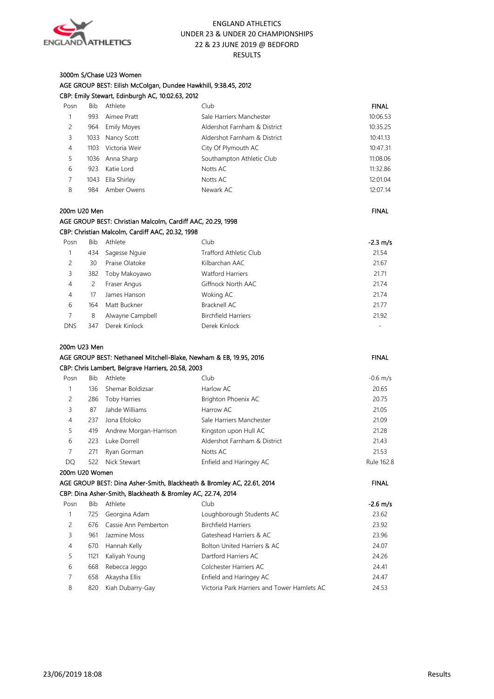

#### 3000m S/Chase U23 Women AGE GROUP BEST: Eilish McColgan, Dundee Hawkhill, 9:38.45, 2012 CBP: Emily Stewart, Edinburgh AC, 10:02.63, 2012

| Posn | Bib  | Athlete            | Club                         | <b>FINAL</b> |
|------|------|--------------------|------------------------------|--------------|
|      | 993  | Aimee Pratt        | Sale Harriers Manchester     | 10:06.53     |
| 2    | 964  | <b>Emily Moyes</b> | Aldershot Farnham & District | 10:35.25     |
| 3    | 1033 | Nancy Scott        | Aldershot Farnham & District | 10:41.13     |
| 4    | 1103 | Victoria Weir      | City Of Plymouth AC          | 10:47.31     |
| 5    | 1036 | Anna Sharp         | Southampton Athletic Club    | 11:08.06     |
| 6    | 923  | Katie Lord         | Notts AC                     | 11:32.86     |
|      | 1043 | Ella Shirley       | Notts AC                     | 12:01.04     |
| 8    | 984  | Amber Owens        | Newark AC                    | 12:07.14     |

#### 200m U20 Men FINAL And the state of the state of the state of the state of the state of the state of the state of the state of the state of the state of the state of the state of the state of the state of the state of the

| AGE GROUP BEST: Christian Malcolm, Cardiff AAC, 20.29, 1998 |  |
|-------------------------------------------------------------|--|
| CBP: Christian Malcolm, Cardiff AAC, 20.32, 1998            |  |

| Posn           | <b>Bib</b> | Athlete          | Club                          | $-2.3$ m/s |
|----------------|------------|------------------|-------------------------------|------------|
|                | 434        | Sagesse Nguie    | <b>Trafford Athletic Club</b> | 21.54      |
| 2              | 30         | Praise Olatoke   | Kilbarchan AAC                | 21.67      |
| 3              | 382        | Toby Makoyawo    | <b>Watford Harriers</b>       | 21.71      |
| 4              | 2          | Fraser Angus     | Giffnock North AAC            | 21.74      |
| $\overline{4}$ | 17         | James Hanson     | Woking AC                     | 21.74      |
| 6              | 164        | Matt Buckner     | Bracknell AC                  | 21.77      |
| 7              | 8          | Alwayne Campbell | <b>Birchfield Harriers</b>    | 21.92      |
| <b>DNS</b>     | 347        | Derek Kinlock    | Derek Kinlock                 | ۰          |

#### 200m U23 Men

|      | AGE GROUP BEST: Nethaneel Mitchell-Blake, Newham & EB, 19.95, 2016 |                                                    |                              | <b>FINAL</b> |
|------|--------------------------------------------------------------------|----------------------------------------------------|------------------------------|--------------|
|      |                                                                    | CBP: Chris Lambert, Belgrave Harriers, 20.58, 2003 |                              |              |
| Posn | <b>Bib</b>                                                         | Athlete                                            | Club                         | $-0.6$ m/s   |
|      | 136.                                                               | Shemar Boldizsar                                   | Harlow AC                    | 20.65        |
| 2    | 286                                                                | <b>Toby Harries</b>                                | Brighton Phoenix AC          | 20.75        |
| 3    | 87                                                                 | Jahde Williams                                     | Harrow AC                    | 21.05        |
| 4    | 237                                                                | Jona Efoloko                                       | Sale Harriers Manchester     | 21.09        |
| 5    | 419                                                                | Andrew Morgan-Harrison                             | Kingston upon Hull AC        | 21.28        |
| 6    | 223                                                                | Luke Dorrell                                       | Aldershot Farnham & District | 21.43        |
| 7    | 271                                                                | Ryan Gorman                                        | Notts AC                     | 21.53        |
| DQ   | 522                                                                | Nick Stewart                                       | Enfield and Haringey AC      | Rule 162.8   |

## 200m U20 Women AGE GROUP BEST: Dina Asher-Smith, Blackheath & Bromley AC, 22.61, 2014 FINAL CBP: Dina Asher-Smith, Blackheath & Bromley AC, 22.74, 2014 Posn Bib Athlete Club Club Club -2.6 m/s 1 725 Georgina Adam Loughborough Students AC 23.62 2 676 Cassie Ann Pemberton Birchfield Harriers 23.92 3 961 Jazmine Moss Gateshead Harriers & AC 23.96 4 670 Hannah Kelly Bolton United Harriers & AC 24.07

|   | 1121 Kaliyah Young   | Dartford Harriers AC                        | 24.26 |
|---|----------------------|---------------------------------------------|-------|
| 6 | 668 Rebecca Jeggo    | Colchester Harriers AC                      | 24.41 |
|   | 658 Akaysha Ellis    | Enfield and Haringey AC                     | 24.47 |
| 8 | 820 Kiah Dubarry-Gay | Victoria Park Harriers and Tower Hamlets AC | 24.53 |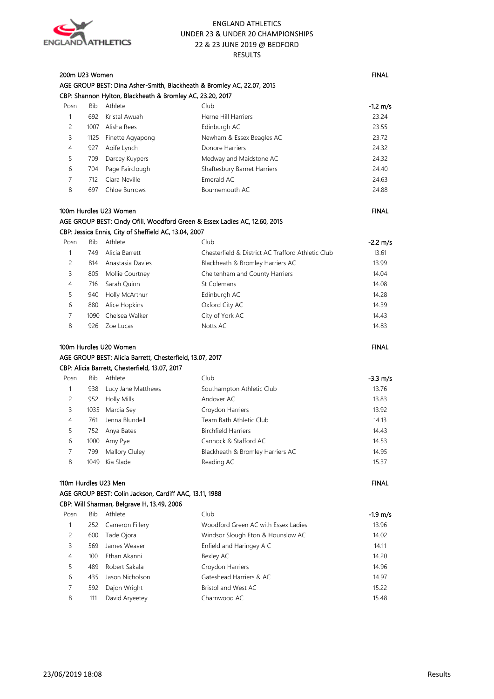

| 200m U23 Women |            |                                                           | AGE GROUP BEST: Dina Asher-Smith, Blackheath & Bromley AC, 22.07, 2015     | <b>FINAL</b> |
|----------------|------------|-----------------------------------------------------------|----------------------------------------------------------------------------|--------------|
|                |            | CBP: Shannon Hylton, Blackheath & Bromley AC, 23.20, 2017 |                                                                            |              |
| Posn           | <b>Bib</b> | Athlete                                                   | Club                                                                       | $-1.2$ m/s   |
| $\mathbf{1}$   | 692        | Kristal Awuah                                             | Herne Hill Harriers                                                        | 23.24        |
| 2              | 1007       | Alisha Rees                                               | Edinburgh AC                                                               | 23.55        |
| 3              | 1125       | Finette Agyapong                                          | Newham & Essex Beagles AC                                                  | 23.72        |
| 4              | 927        | Aoife Lynch                                               | Donore Harriers                                                            | 24.32        |
| 5              | 709        | Darcey Kuypers                                            | Medway and Maidstone AC                                                    | 24.32        |
| 6              | 704        | Page Fairclough                                           | Shaftesbury Barnet Harriers                                                | 24.40        |
| 7              | 712        | Ciara Neville                                             | Emerald AC                                                                 | 24.63        |
| 8              | 697        | Chloe Burrows                                             | Bournemouth AC                                                             | 24.88        |
|                |            | 100m Hurdles U23 Women                                    |                                                                            | <b>FINAL</b> |
|                |            |                                                           | AGE GROUP BEST: Cindy Ofili, Woodford Green & Essex Ladies AC, 12.60, 2015 |              |
|                |            | CBP: Jessica Ennis, City of Sheffield AC, 13.04, 2007     |                                                                            |              |
| Posn           | Bib        | Athlete                                                   | Club                                                                       | $-2.2$ m/s   |
| 1              | 749        | Alicia Barrett                                            | Chesterfield & District AC Trafford Athletic Club                          | 13.61        |
| 2              | 814        | Anastasia Davies                                          | Blackheath & Bromley Harriers AC                                           | 13.99        |
| 3              |            | 805 Mollie Courtney                                       | Cheltenham and County Harriers                                             | 14.04        |
| 4              | 716        | Sarah Quinn                                               | St Colemans                                                                | 14.08        |
| 5              | 940        | Holly McArthur                                            | Edinburgh AC                                                               | 14.28        |
| 6              | 880        | Alice Hopkins                                             | Oxford City AC                                                             | 14.39        |
| 7              | 1090       | Chelsea Walker                                            | City of York AC                                                            | 14.43        |
| 8              | 926        | Zoe Lucas                                                 | Notts AC                                                                   | 14.83        |
|                |            | 100m Hurdles U20 Women                                    |                                                                            | <b>FINAL</b> |
|                |            | AGE GROUP BEST: Alicia Barrett, Chesterfield, 13.07, 2017 |                                                                            |              |
|                |            | CBP: Alicia Barrett, Chesterfield, 13.07, 2017            |                                                                            |              |
| Posn           | Bib        | Athlete                                                   | Club                                                                       | -3.3 m/s     |
| 1              | 938        | Lucy Jane Matthews                                        | Southampton Athletic Club                                                  | 13.76        |
| 2              | 952        | <b>Holly Mills</b>                                        | Andover AC                                                                 | 13.83        |
| 3              |            | 1035 Marcia Sey                                           | Croydon Harriers                                                           | 13.92        |
| 4              | 761        | Jenna Blundell                                            | Team Bath Athletic Club                                                    | 14.13        |
| 5              | 752        | Anya Bates                                                | <b>Birchfield Harriers</b>                                                 | 14.43        |
| 6              | 1000       | Amy Pye                                                   | Cannock & Stafford AC                                                      | 14.53        |
| 7              | 799        | Mallory Cluley                                            | Blackheath & Bromley Harriers AC                                           | 14.95        |
| 8              | 1049       | Kia Slade                                                 | Reading AC                                                                 | 15.37        |
|                |            |                                                           |                                                                            |              |
|                |            | 110m Hurdles U23 Men                                      |                                                                            | <b>FINAL</b> |
|                |            | AGE GROUP BEST: Colin Jackson, Cardiff AAC, 13.11, 1988   |                                                                            |              |
|                |            | CBP: Will Sharman, Belgrave H, 13.49, 2006                |                                                                            |              |
| Posn           | Bib        | Athlete                                                   | Club                                                                       | $-1.9$ m/s   |
| $\mathbf{1}$   | 252        | Cameron Fillery                                           | Woodford Green AC with Essex Ladies                                        | 13.96        |
| 2              | 600        | Tade Ojora                                                | Windsor Slough Eton & Hounslow AC                                          | 14.02        |
| 3              | 569        | James Weaver                                              | Enfield and Haringey A C                                                   | 14.11        |
| 4              | 100        | Ethan Akanni                                              | Bexley AC                                                                  | 14.20        |
| 5              | 489        | Robert Sakala                                             | Croydon Harriers                                                           | 14.96        |
| 6              | 435        | Jason Nicholson                                           | Gateshead Harriers & AC                                                    | 14.97        |
| 7              | 592        | Dajon Wright                                              | Bristol and West AC                                                        | 15.22        |